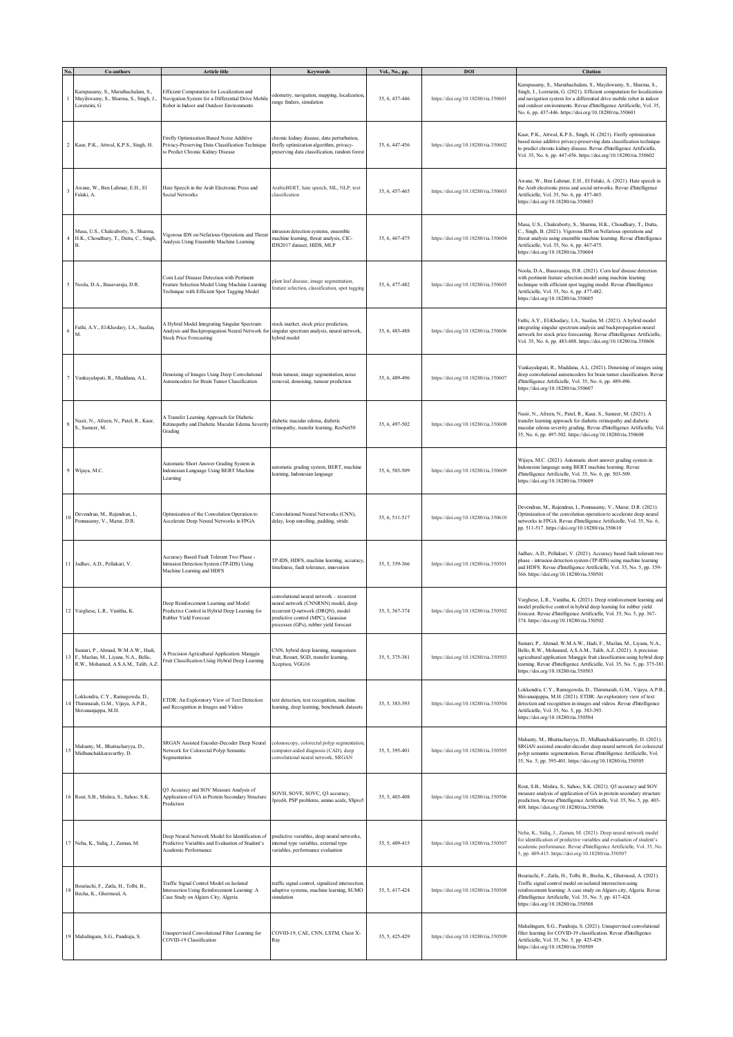|                         | Co-authors                                                                                                         | Article title                                                                                                                               | Keywords                                                                                                                                                                                             | Vol., No., pp. | DOI                                 | <b>Citation</b>                                                                                                                                                                                                                                                                                                                                        |
|-------------------------|--------------------------------------------------------------------------------------------------------------------|---------------------------------------------------------------------------------------------------------------------------------------------|------------------------------------------------------------------------------------------------------------------------------------------------------------------------------------------------------|----------------|-------------------------------------|--------------------------------------------------------------------------------------------------------------------------------------------------------------------------------------------------------------------------------------------------------------------------------------------------------------------------------------------------------|
|                         | Karupusamy, S., Maruthachalam, S.,<br>Mayilswamy, S., Sharma, S., Singh, J.,<br>Lorenzini, G                       | Efficient Computation for Localization and<br>Navigation System for a Differential Drive Mobile<br>Robot in Indoor and Outdoor Environments | dometry, navigation, mapping, localization,<br>range finders, simulation                                                                                                                             | 35, 6, 437-446 | https://doi.org/10.18280/ria.350601 | Karupusamy, S., Maruthachalam, S., Mayilswamy, S., Sharma, S.,<br>Singh, J., Lorenzini, G. (2021). Efficient computation for localization<br>and navigation system for a differential drive mobile robot in indoor<br>and outdoor environments. Revue d'Intelligence Artificielle, Vol. 35,<br>No. 6, pp. 437-446. https://doi.org/10.18280/ria.350601 |
|                         | 2 Kaur, P.K., Attwal, K.P.S., Singh, H.                                                                            | Firefly Optimization Based Noise Additive<br>Privacy-Preserving Data Classification Technique<br>to Predict Chronic Kidney Disease          | chronic kidney disease, data perturbation,<br>firefly optimization algorithm, privacy-<br>preserving data classification, random forest                                                              | 35, 6, 447-456 | https://doi.org/10.18280/ria.350602 | Kaur, P.K., Attwal, K.P.S., Singh, H. (2021). Firefly optimization<br>based noise additive privacy-preserving data classification technique<br>to predict chronic kidney disease. Revue d'Intelligence Artificielle,<br>Vol. 35, No. 6, pp. 447-456. https://doi.org/10.18280/ria.350602                                                               |
| $\overline{\mathbf{3}}$ | Awane, W., Ben Lahmar, E.H., El<br>Falaki, A.                                                                      | Hate Speech in the Arab Electronic Press and<br>Social Networks                                                                             | ArabicBERT, hate speech, ML, NLP, text<br>classification                                                                                                                                             | 35, 6, 457-465 | https://doi.org/10.18280/ria.350603 | Awane, W., Ben Lahmar, E.H., El Falaki, A. (2021). Hate speech in<br>the Arab electronic press and social networks. Revue d'Intelligence<br>Artificielle, Vol. 35, No. 6, pp. 457-465.<br>https://doi.org/10.18280/ria.350603                                                                                                                          |
|                         | Musa, U.S., Chakraborty, S., Sharma,<br>4 H.K., Choudhury, T., Dutta, C., Singh,<br><b>B.</b>                      | Vigorous IDS on Nefarious Operations and Threat<br>Analysis Using Ensemble Machine Learning                                                 | intrusion detection systems, ensemble<br>machine learning, threat analysis, CIC-<br>IDS2017 dataset, HIDS, MLP                                                                                       | 35, 6, 467-475 | https://doi.org/10.18280/ria.350604 | Musa, U.S., Chakraborty, S., Sharma, H.K., Choudhury, T., Dutta,<br>C., Singh, B. (2021). Vigorous IDS on Nefarious operations and<br>threat analysis using ensemble machine learning. Revue d'Intelligence<br>Artificielle, Vol. 35, No. 6, pp. 467-475.<br>https://doi.org/10.18280/ria.350604                                                       |
|                         | 5 Noola, D.A., Basavaraju, D.R.                                                                                    | Corn Leaf Disease Detection with Pertinent<br>Feature Selection Model Using Machine Learning<br>Technique with Efficient Spot Tagging Model | plant leaf disease, image segmentation,<br>feature selection, classification, spot tagging                                                                                                           | 35, 6, 477-482 | https://doi.org/10.18280/ria.350605 | Noola, D.A., Basavaraju, D.R. (2021). Corn leaf disease detection<br>with pertinent feature selection model using machine learning<br>technique with efficient spot tagging model. Revue d'Intelligence<br>Artificielle, Vol. 35, No. 6, pp. 477-482.<br>https://doi.org/10.18280/ria.350605                                                           |
| 6                       | Fathi, A.Y., El-Khodary, I.A., Saafan,                                                                             | A Hybrid Model Integrating Singular Spectrum<br>Analysis and Backpropagation Neural Network fo<br><b>Stock Price Forecasting</b>            | stock market, stock price prediction,<br>singular spectrum analysis, neural network,<br>hybrid model                                                                                                 | 35, 6, 483-488 | https://doi.org/10.18280/ria.350606 | Fathi, A.Y., El-Khodary, I.A., Saafan, M. (2021). A hybrid model<br>integrating singular spectrum analysis and backpropagation neural<br>network for stock price forecasting. Revue d'Intelligence Artificielle,<br>Vol. 35, No. 6, pp. 483-488. https://doi.org/10.18280/ria.350606                                                                   |
|                         | 7 Vankayalapati, R., Muddana, A.L.                                                                                 | Denoising of Images Using Deep Convolutional<br>Autoencoders for Brain Tumor Classification                                                 | brain tumour, image segmentation, noise<br>removal, denoising, tumour prediction                                                                                                                     | 35, 6, 489-496 | https://doi.org/10.18280/ria.350607 | Vankayalapati, R., Muddana, A.L. (2021). Denoising of images using<br>deep convolutional autoencoders for brain tumor classification. Revue<br>d'Intelligence Artificielle, Vol. 35, No. 6, pp. 489-496.<br>https://doi.org/10.18280/ria.350607                                                                                                        |
|                         | Nasir, N., Afreen, N., Patel, R., Kaur,<br>S., Sameer, M.                                                          | A Transfer Learning Approach for Diabetic<br>Retinopathy and Diabetic Macular Edema Severity<br>Grading                                     | diabetic macular edema, diabetic<br>retinopathy, transfer learning, ResNet50                                                                                                                         | 35, 6, 497-502 | https://doi.org/10.18280/ria.350608 | Nasir, N., Afreen, N., Patel, R., Kaur, S., Sameer, M. (2021). A<br>transfer learning approach for diabetic retinopathy and diabetic<br>nacular edema severity grading. Revue d'Intelligence Artificielle, Vol.<br>35, No. 6, pp. 497-502. https://doi.org/10.18280/ria.350608                                                                         |
|                         | 9 Wijaya, M.C.                                                                                                     | Automatic Short Answer Grading System in<br>Indonesian Language Using BERT Machine<br>earning                                               | automatic grading system, BERT, machine<br>learning, Indonesian language                                                                                                                             | 35, 6, 503-509 | https://doi.org/10.18280/ria.350609 | Wijaya, M.C. (2021). Automatic short answer grading system in<br>Indonesian language using BERT machine learning. Revue<br>d'Intelligence Artificielle, Vol. 35, No. 6, pp. 503-509.<br>https://doi.org/10.18280/ria.350609                                                                                                                            |
| $10\,$                  | Devendran, M., Rajendran, I.,<br>Ponnusamy, V., Marur, D.R.                                                        | Optimization of the Convolution Operation to<br>Accelerate Deep Neural Networks in FPGA                                                     | Convolutional Neural Networks (CNN),<br>delay, loop unrolling, padding, stride                                                                                                                       | 35, 6, 511-517 | https://doi.org/10.18280/ria.350610 | Devendran, M., Rajendran, I., Ponnusamy, V., Marur, D.R. (2021).<br>Optimization of the convolution operation to accelerate deep neural<br>networks in FPGA. Revue d'Intelligence Artificielle, Vol. 35, No. 6,<br>pp. 511-517. https://doi.org/10.18280/ria.350610                                                                                    |
|                         | 11 Jadhav, A.D., Pellakuri, V.                                                                                     | Accuracy Based Fault Tolerant Two Phase -<br>Intrusion Detection System (TP-IDS) Using<br>Machine Learning and HDFS                         | TP-IDS, HDFS, machine learning, accuracy,<br>timeliness, fault tolerance, innovation                                                                                                                 | 35, 5, 359-366 | https://doi.org/10.18280/ria.350501 | Jadhav, A.D., Pellakuri, V. (2021). Accuracy based fault tolerant two<br>phase - intrusion detection system (TP-IDS) using machine learning<br>and HDFS. Revue d'Intelligence Artificielle, Vol. 35, No. 5, pp. 359-<br>366. https://doi.org/10.18280/ria.350501                                                                                       |
|                         | 12 Varghese, L.R., Vanitha, K.                                                                                     | Deep Reinforcement Learning and Model<br>Predictive Control in Hybrid Deep Learning for<br>Rubber Yield Forecast                            | convolutional neural network - recurrent<br>neural network (CNNRNN) model, deep<br>recurrent Q-network (DRQN), model<br>predictive control (MPC), Gaussian<br>processes (GPs), rubber yield forecast | 35, 5, 367-374 | https://doi.org/10.18280/ria.350502 | Varghese, L.R., Vanitha, K. (2021). Deep reinforcement learning and<br>model predictive control in hybrid deep learning for rubber yield<br>forecast. Revue d'Intelligence Artificielle, Vol. 35, No. 5, pp. 367-<br>374. https://doi.org/10.18280/ria.350502                                                                                          |
| 13                      | Sumari, P., Ahmad, W.M.A.W., Hadi,<br>F., Mazlan, M., Liyana, N.A., Bello,<br>R.W., Mohamed, A.S.A.M., Talib, A.Z. | A Precision Agricultural Application: Manggis<br>Fruit Classification Using Hybrid Deep Learning                                            | CNN, hybrid deep learning, mangosteen<br>ruit, Resnet, SGD, transfer learning,<br>Keeption, VGG16                                                                                                    | 35, 5, 375-381 | https://doi.org/10.18280/ria.350503 | Sumari, P., Ahmad, W.M.A.W., Hadi, F., Mazlan, M., Liyana, N.A.,<br>Bello, R.W., Mohamed, A.S.A.M., Talib, A.Z. (2021). A precision<br>agricultural application: Manggis fruit classification using hybrid deep<br>earning. Revue d'Intelligence Artificielle, Vol. 35, No. 5, pp. 375-381<br>https://doi.org/10.18280/ria.350503                      |
|                         | Lokkondra, C.Y., Ramegowda, D.,<br>14 Thimmaiah, G.M., Vijaya, A.P.B.,<br>Shivananjappa, M.H.                      | ETDR: An Exploratory View of Text Detection<br>and Recognition in Images and Videos                                                         | text detection, text recognition, machine<br>learning, deep learning, benchmark datasets                                                                                                             | 35, 5, 383-393 | https://doi.org/10.18280/ria.350504 | Lokkondra, C.Y., Ramegowda, D., Thimmaiah, G.M., Vijaya, A.P.B.,<br>Shivananjappa, M.H. (2021). ETDR: An exploratory view of text<br>detection and recognition in images and videos. Revue d'Intelligence<br>Artificielle, Vol. 35, No. 5, pp. 383-393.<br>https://doi.org/10.18280/ria.350504                                                         |
| 15                      | Mahanty, M., Bhattacharyya, D.,<br>Midhunchakkaravarthy, D.                                                        | SRGAN Assisted Encoder-Decoder Deep Neural<br>Network for Colorectal Polyp Semantic<br>Segmentation                                         | colonoscopy, colorectal polyp segmentation,<br>computer-aided diagnosis (CAD), deep<br>convolutional neural network, SRGAN                                                                           | 35, 5, 395-401 | https://doi.org/10.18280/ria.350505 | Mahanty, M., Bhattacharyya, D., Midhunchakkaravarthy, D. (2021).<br>SRGAN assisted encoder-decoder deep neural network for colorectal<br>polyp semantic segmentation. Revue d'Intelligence Artificielle, Vol.<br>35, No. 5, pp. 395-401. https://doi.org/10.18280/ria.350505                                                                           |
|                         | 16 Rout, S.B., Mishra, S., Sahoo, S.K.                                                                             | Q3 Accuracy and SOV Measure Analysis of<br>Application of GA in Protein Secondary Structure<br>Prediction                                   | SOVH, SOVE, SOVC, Q3 accuracy,<br>Jpred4, PSP problems, amino acids, SSpro5                                                                                                                          | 35, 5, 403-408 | https://doi.org/10.18280/ria.350506 | Rout, S.B., Mishra, S., Sahoo, S.K. (2021). Q3 accuracy and SOV<br>neasure analysis of application of GA in protein secondary structure<br>prediction. Revue d'Intelligence Artificielle, Vol. 35, No. 5, pp. 403-<br>408. https://doi.org/10.18280/ria.350506                                                                                         |
|                         | 17 Neha, K., Sidiq, J., Zaman, M.                                                                                  | Deep Neural Network Model for Identification of<br>Predictive Variables and Evaluation of Student's<br>Academic Performance                 | predictive variables, deep neural networks,<br>internal type variables, external type<br>variables, performance evaluation                                                                           | 35, 5, 409-415 | https://doi.org/10.18280/ria.350507 | Neha, K., Sidiq, J., Zaman, M. (2021). Deep neural network model<br>for identification of predictive variables and evaluation of student's<br>academic performance. Revue d'Intelligence Artificielle, Vol. 35, No.<br>5, pp. 409-415. https://doi.org/10.18280/ria.350507                                                                             |
| 18                      | Bouriachi, F., Zatla, H., Tolbi, B.,<br>Becha, K., Ghermoul, A.                                                    | Traffic Signal Control Model on Isolated<br>Intersection Using Reinforcement Learning: A<br>Case Study on Algiers City, Algeria             | traffic signal control, signalized intersection,<br>adaptive systems, machine learning, SUMO<br>simulation                                                                                           | 35, 5, 417-424 | https://doi.org/10.18280/ria.350508 | Bouriachi, F., Zatla, H., Tolbi, B., Becha, K., Ghermoul, A. (2021).<br>Traffic signal control model on isolated intersection using<br>reinforcement learning: A case study on Algiers city, Algeria. Revue<br>d'Intelligence Artificielle, Vol. 35, No. 5, pp. 417-424.<br>https://doi.org/10.18280/ria.350508                                        |
|                         | 19 Mahalingam, S.G., Pandraju, S.                                                                                  | Jnsupervised Convolutional Filter Learning for<br>COVID-19 Classification                                                                   | COVID-19, CAE, CNN, LSTM, Chest X-<br>$_{\rm Ray}$                                                                                                                                                   | 35, 5, 425-429 | https://doi.org/10.18280/ria.350509 | Mahalingam, S.G., Pandraju, S. (2021). Unsupervised convolutional<br>filter learning for COVID-19 classification. Revue d'Intelligence<br>Artificielle, Vol. 35, No. 5, pp. 425-429.<br>https://doi.org/10.18280/ria.350509                                                                                                                            |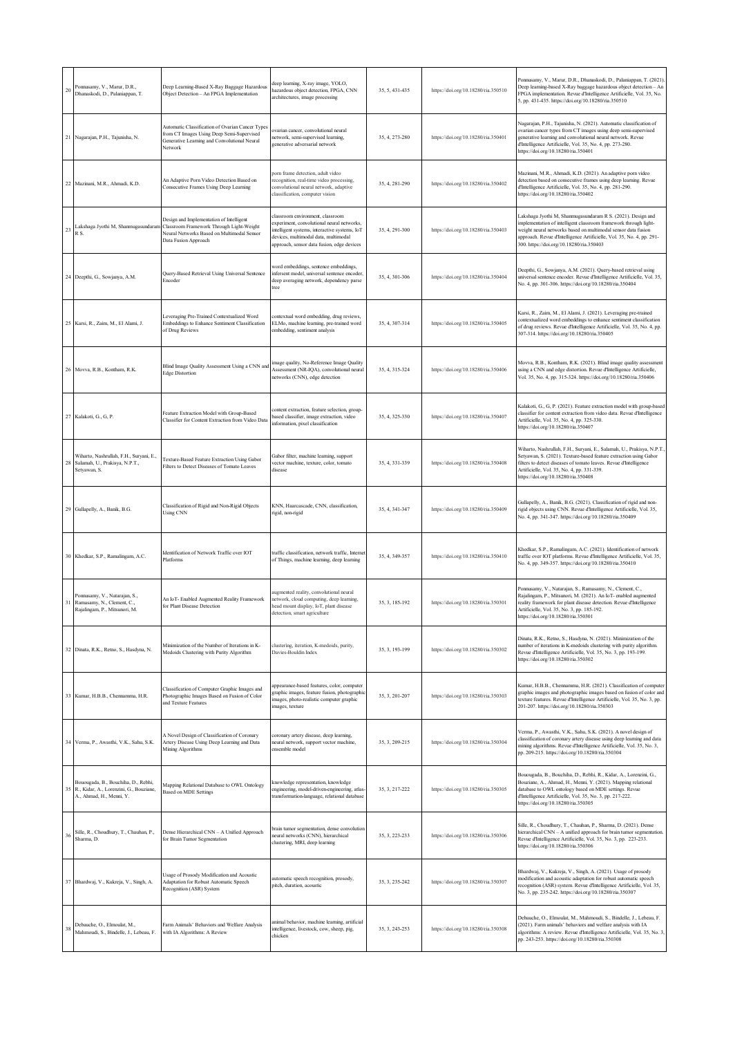| 20     | Ponnusamy, V., Marur, D.R.,<br>Dhanaskodi, D., Palaniappan, T.                                             | Deep Learning-Based X-Ray Baggage Hazardous<br>Object Detection - An FPGA Implementation                                                                                                       | deep learning, X-ray image, YOLO,<br>hazardous object detection, FPGA, CNN<br>architectures, image processing                                                                                                         | 35, 5, 431-435 | https://doi.org/10.18280/ria.350510 | Ponnusamy, V., Marur, D.R., Dhanaskodi, D., Palaniappan, T. (2021).<br>Deep learning-based X-Ray baggage hazardous object detection - An<br>FPGA implementation. Revue d'Intelligence Artificielle, Vol. 35, No.<br>5, pp. 431-435. https://doi.org/10.18280/ria.350510                                              |
|--------|------------------------------------------------------------------------------------------------------------|------------------------------------------------------------------------------------------------------------------------------------------------------------------------------------------------|-----------------------------------------------------------------------------------------------------------------------------------------------------------------------------------------------------------------------|----------------|-------------------------------------|----------------------------------------------------------------------------------------------------------------------------------------------------------------------------------------------------------------------------------------------------------------------------------------------------------------------|
|        | 21 Nagarajan, P.H., Tajunisha, N.                                                                          | Automatic Classification of Ovarian Cancer Types<br>from CT Images Using Deep Semi-Supervised<br>Generative Learning and Convolutional Neural<br>Network                                       | ovarian cancer, convolutional neural<br>network, semi-supervised learning,<br>generative adversarial network                                                                                                          | 35, 4, 273-280 | https://doi.org/10.18280/ria.350401 | Nagarajan, P.H., Tajunisha, N. (2021). Automatic classification of<br>ovarian cancer types from CT images using deep semi-supervised<br>generative learning and convolutional neural network. Revue<br>d'Intelligence Artificielle, Vol. 35, No. 4, pp. 273-280.<br>https://doi.org/10.18280/ria.350401              |
|        | 22 Mazinani, M.R., Ahmadi, K.D.                                                                            | An Adaptive Porn Video Detection Based on<br>Consecutive Frames Using Deep Learning                                                                                                            | porn frame detection, adult video<br>recognition, real-time video processing,<br>convolutional neural network, adaptive<br>classification, computer vision                                                            | 35, 4, 281-290 | https://doi.org/10.18280/ria.350402 | Mazinani, M.R., Ahmadi, K.D. (2021). An adaptive porn video<br>detection based on consecutive frames using deep learning. Revue<br>d'Intelligence Artificielle, Vol. 35, No. 4, pp. 281-290.<br>https://doi.org/10.18280/ria.350402                                                                                  |
| $23\,$ | RS.                                                                                                        | Design and Implementation of Intelligent<br>Lakshaga Jyothi M, Shanmugasundaram Classroom Framework Through Light-Weight<br>Neural Networks Based on Multimodal Sensor<br>Data Fusion Approach | classroom environment, classroom<br>experiment, convolutional neural networks,<br>intelligent systems, interactive systems, IoT<br>devices, multimodal data, multimodal<br>approach, sensor data fusion, edge devices | 35, 4, 291-300 | https://doi.org/10.18280/ria.350403 | Lakshaga Jyothi M, Shanmugasundaram R S. (2021). Design and<br>mplementation of intelligent classroom framework through light-<br>veight neural networks based on multimodal sensor data fusion<br>approach. Revue d'Intelligence Artificielle, Vol. 35, No. 4, pp. 291-<br>300. https://doi.org/10.18280/ria.350403 |
|        | 24 Deepthi, G., Sowjanya, A.M.                                                                             | Query-Based Retrieval Using Universal Sentence<br>Encoder                                                                                                                                      | word embeddings, sentence embeddings,<br>infersent model, universal sentence encoder,<br>deep averaging network, dependency parse<br>tree                                                                             | 35, 4, 301-306 | https://doi.org/10.18280/ria.350404 | Deepthi, G., Sowjanya, A.M. (2021). Query-based retrieval using<br>universal sentence encoder. Revue d'Intelligence Artificielle, Vol. 35,<br>No. 4, pp. 301-306. https://doi.org/10.18280/ria.350404                                                                                                                |
|        | 25 Karsi, R., Zaim, M., El Alami, J.                                                                       | Leveraging Pre-Trained Contextualized Word<br>imbeddings to Enhance Sentiment Classification<br>of Drug Reviews                                                                                | contextual word embedding, drug reviews,<br>ELMo, machine learning, pre-trained word<br>embedding, sentiment analysis                                                                                                 | 35, 4, 307-314 | https://doi.org/10.18280/ria.350405 | Karsi, R., Zaim, M., El Alami, J. (2021). Leveraging pre-trained<br>contextualized word embeddings to enhance sentiment classification<br>of drug reviews. Revue d'Intelligence Artificielle, Vol. 35, No. 4, pp.<br>307-314. https://doi.org/10.18280/ria.350405                                                    |
|        | 26 Movva, R.B., Kontham, R.K.                                                                              | Blind Image Quality Assessment Using a CNN and<br><b>Edge Distortion</b>                                                                                                                       | image quality, No-Reference Image Quality<br>Assessment (NR-IQA), convolutional neural<br>networks (CNN), edge detection                                                                                              | 35, 4, 315-324 | https://doi.org/10.18280/ria.350406 | Movva, R.B., Kontham, R.K. (2021). Blind image quality assessment<br>using a CNN and edge distortion. Revue d'Intelligence Artificielle,<br>Vol. 35, No. 4, pp. 315-324. https://doi.org/10.18280/ria.350406                                                                                                         |
|        | 27 Kalakoti, G., G, P.                                                                                     | Feature Extraction Model with Group-Based<br>Classifier for Content Extraction from Video Data                                                                                                 | content extraction, feature selection, group-<br>based classifier, image extraction, video<br>information, pixel classification                                                                                       | 35, 4, 325-330 | https://doi.org/10.18280/ria.350407 | Kalakoti, G., G, P. (2021). Feature extraction model with group-based<br>classifier for content extraction from video data. Revue d'Intelligence<br>Artificielle, Vol. 35, No. 4, pp. 325-330.<br>https://doi.org/10.18280/ria.350407                                                                                |
| 28     | Wiharto, Nashrullah, F.H., Suryani, E.,<br>Salamah, U., Prakisya, N.P.T.,<br>Setyawan, S.                  | Texture-Based Feature Extraction Using Gabor<br>Filters to Detect Diseases of Tomato Leaves                                                                                                    | Gabor filter, machine learning, support<br>vector machine, texture, color, tomato<br>disease                                                                                                                          | 35, 4, 331-339 | https://doi.org/10.18280/ria.350408 | Wiharto, Nashrullah, F.H., Suryani, E., Salamah, U., Prakisya, N.P.T.<br>Setyawan, S. (2021). Texture-based feature extraction using Gabor<br>filters to detect diseases of tomato leaves. Revue d'Intelligence<br>Artificielle, Vol. 35, No. 4, pp. 331-339.<br>https://doi.org/10.18280/ria.350408                 |
| 29     | Gullapelly, A., Banik, B.G.                                                                                | Classification of Rigid and Non-Rigid Objects<br>Using CNN                                                                                                                                     | KNN, Haarcascade, CNN, classification,<br>rigid, non-rigid                                                                                                                                                            | 35, 4, 341-347 | https://doi.org/10.18280/ria.350409 | Gullapelly, A., Banik, B.G. (2021). Classification of rigid and non-<br>rigid objects using CNN. Revue d'Intelligence Artificielle, Vol. 35,<br>No. 4, pp. 341-347. https://doi.org/10.18280/ria.350409                                                                                                              |
|        | 30 Khedkar, S.P., Ramalingam, A.C.                                                                         | dentification of Network Traffic over IOT<br>Platforms                                                                                                                                         | raffic classification, network traffic, Internet<br>of Things, machine learning, deep learning                                                                                                                        | 35, 4, 349-357 | https://doi.org/10.18280/ria.350410 | Khedkar, S.P., Ramalingam, A.C. (2021). Identification of network<br>raffic over IOT platforms. Revue d'Intelligence Artificielle, Vol. 35,<br>No. 4, pp. 349-357. https://doi.org/10.18280/ria.350410                                                                                                               |
|        | Ponnusamy, V., Natarajan, S.,<br>31 Ramasamy, N., Clement, C.,<br>Rajalingam, P., Mitsunori, M.            | An IoT- Enabled Augmented Reality Framework<br>for Plant Disease Detection                                                                                                                     | augmented reality, convolutional neural<br>network, cloud computing, deep learning,<br>head mount display, IoT, plant disease<br>detection, smart agriculture                                                         | 35.3.185-192   | https://doi.org/10.18280/ria.350301 | Ponnusamy, V., Natarajan, S., Ramasamy, N., Clement, C.,<br>Rajalingam, P., Mitsunori, M. (2021). An IoT- enabled augmented<br>reality framework for plant disease detection. Revue d'Intelligence<br>Artificielle, Vol. 35, No. 3, pp. 185-192.<br>https://doi.org/10.18280/ria.350301                              |
|        | 32 Dinata, R.K., Retno, S., Hasdyna, N.                                                                    | Minimization of the Number of Iterations in K-<br>Medoids Clustering with Purity Algorithm                                                                                                     | clustering, iteration, K-medoids, purity,<br>Davies-Bouldin Index                                                                                                                                                     | 35, 3, 193-199 | https://doi.org/10.18280/ria.350302 | Dinata, R.K., Retno, S., Hasdyna, N. (2021). Minimization of the<br>number of iterations in K-medoids clustering with purity algorithm.<br>Revue d'Intelligence Artificielle, Vol. 35, No. 3, pp. 193-199.<br>https://doi.org/10.18280/ria.350302                                                                    |
|        | 33 Kumar, H.B.B., Chennamma, H.R.                                                                          | Classification of Computer Graphic Images and<br>Photographic Images Based on Fusion of Color<br>and Texture Features                                                                          | ppearance-based features, color, computer<br>graphic images, feature fusion, photographic<br>mages, photo-realistic computer graphic<br>images, texture                                                               | 35, 3, 201-207 | https://doi.org/10.18280/ria.350303 | Kumar, H.B.B., Chennamma, H.R. (2021). Classification of computer<br>graphic images and photographic images based on fusion of color and<br>texture features. Revue d'Intelligence Artificielle, Vol. 35, No. 3, pp.<br>201-207. https://doi.org/10.18280/ria.350303                                                 |
|        | 34 Verma, P., Awasthi, V.K., Sahu, S.K.                                                                    | A Novel Design of Classification of Coronary<br>Artery Disease Using Deep Learning and Data<br>Mining Algorithms                                                                               | coronary artery disease, deep learning,<br>neural network, support vector machine,<br>ensemble model                                                                                                                  | 35, 3, 209-215 | https://doi.org/10.18280/ria.350304 | Verma, P., Awasthi, V.K., Sahu, S.K. (2021). A novel design of<br>classification of coronary artery disease using deep learning and data<br>mining algorithms. Revue d'Intelligence Artificielle, Vol. 35, No. 3,<br>pp. 209-215. https://doi.org/10.18280/ria.350304                                                |
| 35     | Bouougada, B., Bouchiha, D., Rebhi,<br>R., Kidar, A., Lorenzini, G., Bouziane,<br>A., Ahmad, H., Menni, Y. | Aapping Relational Database to OWL Ontology<br><b>Based on MDE Settings</b>                                                                                                                    | knowledge representation, knowledge<br>engineering, model-driven-engineering, atlas-<br>transformation-language, relational database                                                                                  | 35, 3, 217-222 | https://doi.org/10.18280/ria.350305 | Bouougada, B., Bouchiha, D., Rebhi, R., Kidar, A., Lorenzini, G.,<br>Bouziane, A., Ahmad, H., Menni, Y. (2021). Mapping relational<br>database to OWL ontology based on MDE settings. Revue<br>d'Intelligence Artificielle, Vol. 35, No. 3, pp. 217-222.<br>https://doi.org/10.18280/ria.350305                      |
| 36     | Sille, R., Choudhury, T., Chauhan, P.,<br>Sharma, D.                                                       | Dense Hierarchical CNN - A Unified Approach<br>for Brain Tumor Segmentation                                                                                                                    | brain tumor segmentation, dense convolution<br>neural networks (CNN), hierarchical<br>clustering, MRI, deep learning                                                                                                  | 35, 3, 223-233 | https://doi.org/10.18280/ria.350306 | Sille, R., Choudhury, T., Chauhan, P., Sharma, D. (2021). Dense<br>hierarchical CNN - A unified approach for brain tumor segmentation.<br>Revue d'Intelligence Artificielle, Vol. 35, No. 3, pp. 223-233.<br>https://doi.org/10.18280/ria.350306                                                                     |
|        | 37 Bhardwaj, V., Kukreja, V., Singh, A.                                                                    | Jsage of Prosody Modification and Acoustic<br>Adaptation for Robust Automatic Speech<br>Recognition (ASR) System                                                                               | utomatic speech recognition, prosody,<br>pitch, duration, acoustic                                                                                                                                                    | 35, 3, 235-242 | https://doi.org/10.18280/ria.350307 | Bhardwaj, V., Kukreja, V., Singh, A. (2021). Usage of prosody<br>modification and acoustic adaptation for robust automatic speech<br>recognition (ASR) system. Revue d'Intelligence Artificielle, Vol. 35,<br>No. 3, pp. 235-242. https://doi.org/10.18280/ria.350307                                                |
| 38     | Debauche, O., Elmoulat, M.,<br>Mahmoudi, S., Bindelle, J., Lebeau, F.                                      | farm Animals' Behaviors and Welfare Analysis<br>vith IA Algorithms: A Review                                                                                                                   | mimal behavior, machine learning, artificial<br>ntelligence, livestock, cow, sheep, pig,<br>chicken                                                                                                                   | 35, 3, 243-253 | https://doi.org/10.18280/ria.350308 | Debauche, O., Elmoulat, M., Mahmoudi, S., Bindelle, J., Lebeau, F.<br>(2021). Farm animals' behaviors and welfare analysis with IA<br>algorithms: A review. Revue d'Intelligence Artificielle, Vol. 35, No. 3,<br>pp. 243-253. https://doi.org/10.18280/ria.350308                                                   |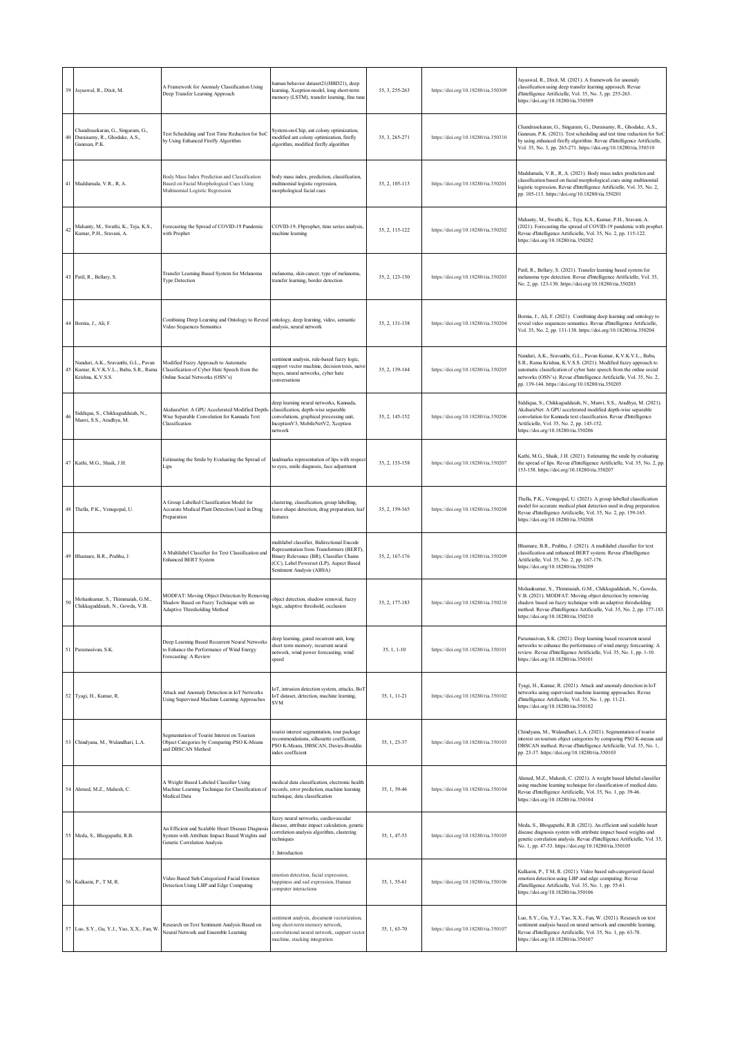|    | 39 Jayaswal, R., Dixit, M.                                                                        | A Framework for Anomaly Classification Using<br>Deep Transfer Learning Approach                                                     | human behavior dataset21(HBD21), deep<br>learning, Xception model, long short-term<br>memory (LSTM), transfer learning, fine tune                                                                           | 35, 3, 255-263 | https://doi.org/10.18280/ria.350309 | Jayaswal, R., Dixit, M. (2021). A framework for anomaly<br>classification using deep transfer learning approach. Revue<br>d'Intelligence Artificielle, Vol. 35, No. 3, pp. 255-263.<br>https://doi.org/10.18280/ria.350309                                                                                                            |
|----|---------------------------------------------------------------------------------------------------|-------------------------------------------------------------------------------------------------------------------------------------|-------------------------------------------------------------------------------------------------------------------------------------------------------------------------------------------------------------|----------------|-------------------------------------|---------------------------------------------------------------------------------------------------------------------------------------------------------------------------------------------------------------------------------------------------------------------------------------------------------------------------------------|
| 4( | Chandrasekaran, G., Singaram, G.,<br>Duraisamy, R., Ghodake, A.S.,<br>Ganesan, P.K.               | Fest Scheduling and Test Time Reduction for SoC<br>by Using Enhanced Firefly Algorithm                                              | System-on-Chip, ant colony optimization,<br>modified ant colony optimization, firefly<br>algorithm, modified firefly algorithm                                                                              | 35, 3, 265-271 | https://doi.org/10.18280/ria.350310 | Chandrasekaran, G., Singaram, G., Duraisamy, R., Ghodake, A.S.,<br>Ganesan, P.K. (2021). Test scheduling and test time reduction for SoC<br>by using enhanced firefly algorithm. Revue d'Intelligence Artificielle,<br>Vol. 35, No. 3, pp. 265-271. https://doi.org/10.18280/ria.350310                                               |
|    | 41 Maddumala, V.R., R, A.                                                                         | Body Mass Index Prediction and Classification<br>Based on Facial Morphological Cues Using<br>Multinomial Logistic Regression        | body mass index, prediction, classification,<br>nultinomial logistic regression,<br>norphological facial cues                                                                                               | 35, 2, 105-113 | https://doi.org/10.18280/ria.350201 | Maddumala, V.R., R, A. (2021). Body mass index prediction and<br>classification based on facial morphological cues using multinomial<br>logistic regression. Revue d'Intelligence Artificielle, Vol. 35, No. 2,<br>pp. 105-113. https://doi.org/10.18280/ria.350201                                                                   |
| 42 | Mahanty, M., Swathi, K., Teja, K.S.,<br>Kumar, P.H., Sravani, A.                                  | Forecasting the Spread of COVID-19 Pandemic<br>with Prophet                                                                         | COVID-19, Fbprophet, time series analysis,<br>nachine learning                                                                                                                                              | 35, 2, 115-122 | https://doi.org/10.18280/ria.350202 | Mahanty, M., Swathi, K., Teja, K.S., Kumar, P.H., Sravani, A.<br>(2021). Forecasting the spread of COVID-19 pandemic with prophet.<br>Revue d'Intelligence Artificielle, Vol. 35, No. 2, pp. 115-122.<br>https://doi.org/10.18280/ria.350202                                                                                          |
|    | 43 Patil, R., Bellary, S.                                                                         | Fransfer Learning Based System for Melanoma<br><b>Type Detection</b>                                                                | nelanoma, skin cancer, type of melanoma,<br>transfer learning, border detection                                                                                                                             | 35, 2, 123-130 | https://doi.org/10.18280/ria.350203 | Patil, R., Bellary, S. (2021). Transfer learning based system for<br>melanoma type detection. Revue d'Intelligence Artificielle, Vol. 35,<br>No. 2, pp. 123-130. https://doi.org/10.18280/ria.350203                                                                                                                                  |
|    | 44 Bornia, J., Ali, F.                                                                            | Combining Deep Learning and Ontology to Reveal ontology, deep learning, video, semantic<br>Video Sequences Semantics                | analysis, neural network                                                                                                                                                                                    | 35, 2, 131-138 | https://doi.org/10.18280/ria.350204 | Bornia, J., Ali, F. (2021). Combining deep learning and ontology to<br>reveal video sequences semantics. Revue d'Intelligence Artificielle,<br>Vol. 35, No. 2, pp. 131-138. https://doi.org/10.18280/ria.350204                                                                                                                       |
| 45 | Nanduri, A.K., Sravanthi, G.L., Pavan<br>Kumar, K.V.K.V.L., Babu, S.R., Rama<br>Krishna, K.V.S.S. | Modified Fuzzy Approach to Automatic<br>Classification of Cyber Hate Speech from the<br>Online Social Networks (OSN's)              | sentiment analysis, rule-based fuzzy logic,<br>support vector machine, decision trees, naive<br>bayes, neural networks, cyber hate<br>conversations                                                         | 35, 2, 139-144 | https://doi.org/10.18280/ria.350205 | Nanduri, A.K., Sravanthi, G.L., Pavan Kumar, K.V.K.V.L., Babu,<br>S.R., Rama Krishna, K.V.S.S. (2021). Modified fuzzy approach to<br>automatic classification of cyber hate speech from the online social<br>networks (OSN's). Revue d'Intelligence Artificielle, Vol. 35, No. 2,<br>pp. 139-144. https://doi.org/10.18280/ria.350205 |
| 46 | Siddiqua, S., Chikkaguddaiah, N.,<br>Manvi, S.S., Aradhya, M.                                     | AksharaNet: A GPU Accelerated Modified Depth-<br>Wise Separable Convolution for Kannada Text<br>Classification                      | deep learning neural networks, Kannada,<br>classification, depth-wise separable<br>convolutions, graphical processing unit,<br>InceptionV3, MobileNetV2, Xception<br>network                                | 35, 2, 145-152 | https://doi.org/10.18280/ria.350206 | Siddiqua, S., Chikkaguddaiah, N., Manvi, S.S., Aradhya, M. (2021).<br>AksharaNet: A GPU accelerated modified depth-wise separable<br>convolution for Kannada text classification. Revue d'Intelligence<br>Artificielle, Vol. 35, No. 2, pp. 145-152.<br>https://doi.org/10.18280/ria.350206                                           |
|    | 47 Kathi, M.G., Shaik, J.H.                                                                       | Estimating the Smile by Evaluating the Spread of<br>.ips                                                                            | landmarks representation of lips with respect<br>to eyes, smile diagnosis, face adjustment                                                                                                                  | 35, 2, 153-158 | https://doi.org/10.18280/ria.350207 | Kathi, M.G., Shaik, J.H. (2021). Estimating the smile by evaluating<br>the spread of lips. Revue d'Intelligence Artificielle, Vol. 35, No. 2, pp.<br>153-158. https://doi.org/10.18280/ria.350207                                                                                                                                     |
|    | 48 Thella, P.K., Venugopal, U.                                                                    | A Group Labelled Classification Model for<br><b>Accurate Medical Plant Detection Used in Drug</b><br>reparation                     | clustering, classification, group labelling,<br>leave shape detection, drug preparation, leaf<br>features                                                                                                   | 35, 2, 159-165 | https://doi.org/10.18280/ria.350208 | Thella, P.K., Venugopal, U. (2021). A group labelled classification<br>model for accurate medical plant detection used in drug preparation.<br>Revue d'Intelligence Artificielle, Vol. 35, No. 2, pp. 159-165.<br>https://doi.org/10.18280/ria.350208                                                                                 |
|    | 49 Bhamare, B.R., Prabhu, J.                                                                      | A Multilabel Classifier for Text Classification and<br><b>Enhanced BERT System</b>                                                  | nultilabel classifier, Bidirectional Encode<br>Representation from Transformers (BERT),<br>Binary Relevance (BR), Classifier Chains<br>(CC), Label Powerset (LP), Aspect Based<br>Sentiment Analysis (ABSA) | 35, 2, 167-176 | https://doi.org/10.18280/ria.350209 | Bhamare, B.R., Prabhu, J. (2021). A multilabel classifier for text<br>classification and enhanced BERT system. Revue d'Intelligence<br>Artificielle, Vol. 35, No. 2, pp. 167-176.<br>https://doi.org/10.18280/ria.350209                                                                                                              |
| 50 | Mohankumar, S., Thimmaiah, G.M.,<br>Chikkaguddaiah, N., Gowda, V.B.                               | MODFAT: Moving Object Detection by Removing<br>Shadow Based on Fuzzy Technique with an<br><b>Adaptive Thresholding Method</b>       | object detection, shadow removal, fuzzy<br>logic, adaptive threshold, occlusion                                                                                                                             | 35, 2, 177-183 | https://doi.org/10.18280/ria.350210 | Mohankumar, S., Thimmaiah, G.M., Chikkaguddaiah, N., Gowda,<br>V.B. (2021). MODFAT: Moving object detection by removing<br>shadow based on fuzzy technique with an adaptive thresholding<br>method. Revue d'Intelligence Artificielle, Vol. 35, No. 2, pp. 177-183.<br>https://doi.org/10.18280/ria.350210                            |
|    | 51 Paramasivan, S.K.                                                                              | Oeep Learning Based Recurrent Neural Networks<br>o Enhance the Performance of Wind Energy<br>orecasting: A Review                   | deep learning, gated recurrent unit, long<br>short term memory, recurrent neural<br>network, wind power forecasting, wind<br>speed                                                                          | 35, 1, 1-10    | https://doi.org/10.18280/ria.350101 | Paramasivan, S.K. (2021). Deep learning based recurrent neural<br>networks to enhance the performance of wind energy forecasting: A<br>review. Revue d'Intelligence Artificielle, Vol. 35, No. 1, pp. 1-10.<br>https://doi.org/10.18280/ria.350101                                                                                    |
|    | 52 Tyagi, H., Kumar, R.                                                                           | Attack and Anomaly Detection in IoT Networks<br>Ising Supervised Machine Learning Approaches                                        | IoT, intrusion detection system, attacks, BoT<br>IoT dataset, detection, machine learning,<br><b>SVM</b>                                                                                                    | 35, 1, 11-21   | https://doi.org/10.18280/ria.350102 | Tyagi, H., Kumar, R. (2021). Attack and anomaly detection in IoT<br>networks using supervised machine learning approaches. Revue<br>d'Intelligence Artificielle, Vol. 35, No. 1, pp. 11-21.<br>https://doi.org/10.18280/ria.350102                                                                                                    |
| 53 | Chindyana, M., Wulandhari, L.A.                                                                   | Segmentation of Tourist Interest on Tourism<br>Object Categories by Comparing PSO K-Means<br>nd DBSCAN Method                       | tourist interest segmentation, tour package<br>recommendations, silhouette coefficient,<br>PSO K-Means, DBSCAN, Davies-Bouldin<br>index coefficient                                                         | 35, 1, 23-37   | https://doi.org/10.18280/ria.350103 | Chindyana, M., Wulandhari, L.A. (2021). Segmentation of tourist<br>interest on tourism object categories by comparing PSO K-means and<br>DBSCAN method. Revue d'Intelligence Artificielle, Vol. 35, No. 1,<br>pp. 23-37. https://doi.org/10.18280/ria.350103                                                                          |
|    | 54 Ahmed, M.Z., Mahesh, C.                                                                        | Weight Based Labeled Classifier Using<br>Machine Learning Technique for Classification of<br>Medical Data                           | nedical data classification, electronic health<br>records, error prediction, machine learning<br>technique, data classification                                                                             | 35, 1, 39-46   | https://doi.org/10.18280/ria.350104 | Ahmed, M.Z., Mahesh, C. (2021). A weight based labeled classifier<br>using machine learning technique for classification of medical data.<br>Revue d'Intelligence Artificielle, Vol. 35, No. 1, pp. 39-46.<br>https://doi.org/10.18280/ria.350104                                                                                     |
|    | 55 Meda, S., Bhogapathi, R.B.                                                                     | An Efficient and Scalable Heart Disease Diagnosis<br>System with Attribute Impact Based Weights and<br>Genetic Correlation Analysis | fuzzy neural networks, cardiovascular<br>disease, attribute impact calculation, genetic<br>correlation analysis algorithm, clustering<br>techniques<br>I. Introduction                                      | 35, 1, 47-53   | https://doi.org/10.18280/ria.350105 | Meda, S., Bhogapathi, R.B. (2021). An efficient and scalable heart<br>disease diagnosis system with attribute impact based weights and<br>genetic correlation analysis. Revue d'Intelligence Artificielle, Vol. 35,<br>No. 1, pp. 47-53. https://doi.org/10.18280/ria.350105                                                          |
|    | 56 Kulkarni, P., T M, R.                                                                          | Video Based Sub-Categorized Facial Emotion<br>Detection Using LBP and Edge Computing                                                | emotion detection, facial expression,<br>happiness and sad expression, Human<br>computer interactions                                                                                                       | 35, 1, 55-61   | https://doi.org/10.18280/ria.350106 | Kulkarni, P., T M, R. (2021). Video based sub-categorized facial<br>emotion detection using LBP and edge computing. Revue<br>d'Intelligence Artificielle, Vol. 35, No. 1, pp. 55-61.<br>https://doi.org/10.18280/ria.350106                                                                                                           |
|    | 57 Luo, S.Y., Gu, Y.J., Yao, X.X., Fan, W.                                                        | Research on Text Sentiment Analysis Based on<br>Neural Network and Ensemble Learning                                                | sentiment analysis, document vectorization,<br>long short-term memory network,<br>convolutional neural network, support vector<br>machine, stacking integration                                             | 35, 1, 63-70   | https://doi.org/10.18280/ria.350107 | Luo, S.Y., Gu, Y.J., Yao, X.X., Fan, W. (2021). Research on text<br>sentiment analysis based on neural network and ensemble learning.<br>Revue d'Intelligence Artificielle, Vol. 35, No. 1, pp. 63-70.<br>https://doi.org/10.18280/ria.350107                                                                                         |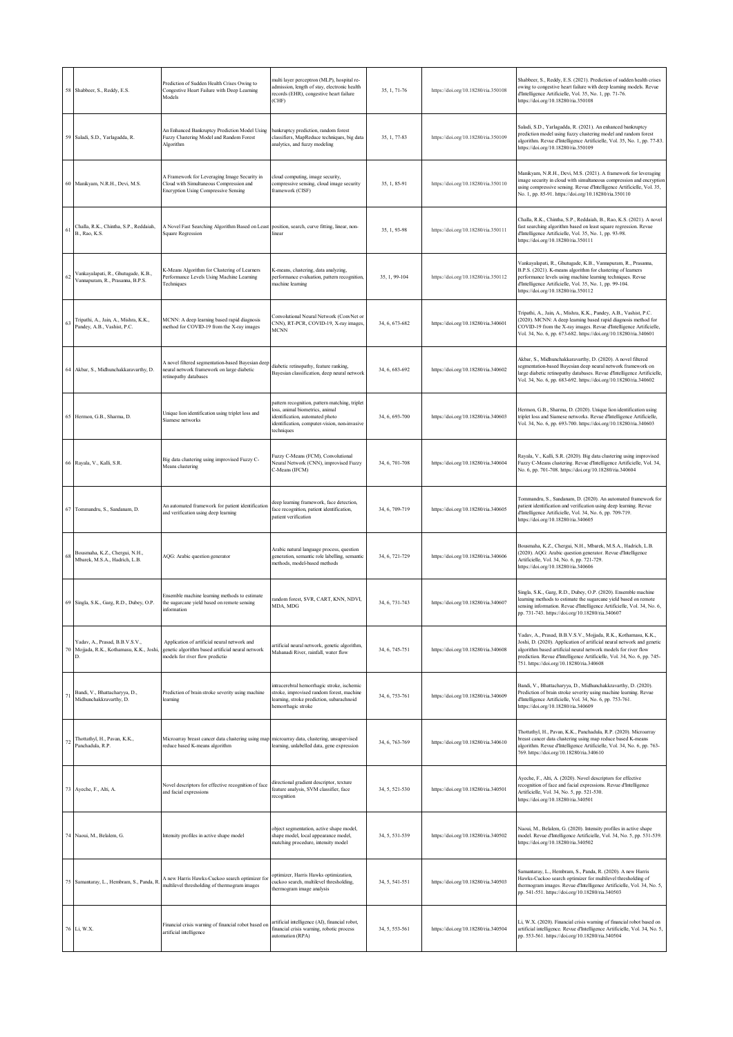|    | 58 Shabbeer, S., Reddy, E.S.                                             | Prediction of Sudden Health Crises Owing to<br>Congestive Heart Failure with Deep Learning<br>Models                                   | nulti layer perceptron (MLP), hospital re-<br>admission, length of stay, electronic health<br>records (EHR), congestive heart failure<br>(CHF)                                      | 35, 1, 71-76   | https://doi.org/10.18280/ria.350108 | Shabbeer, S., Reddy, E.S. (2021). Prediction of sudden health crises<br>owing to congestive heart failure with deep learning models. Revue<br>d'Intelligence Artificielle, Vol. 35, No. 1, pp. 71-76.<br>https://doi.org/10.18280/ria.350108                                                                                       |
|----|--------------------------------------------------------------------------|----------------------------------------------------------------------------------------------------------------------------------------|-------------------------------------------------------------------------------------------------------------------------------------------------------------------------------------|----------------|-------------------------------------|------------------------------------------------------------------------------------------------------------------------------------------------------------------------------------------------------------------------------------------------------------------------------------------------------------------------------------|
|    | 59 Saladi, S.D., Yarlagadda, R.                                          | An Enhanced Bankruptcy Prediction Model Using<br>Fuzzy Clustering Model and Random Forest<br>Algorithm                                 | bankruptcy prediction, random forest<br>classifiers, MapReduce techniques, big data<br>analytics, and fuzzy modeling                                                                | 35, 1, 77-83   | https://doi.org/10.18280/ria.350109 | Saladi, S.D., Yarlagadda, R. (2021). An enhanced bankruptcy<br>prediction model using fuzzy clustering model and random forest<br>algorithm. Revue d'Intelligence Artificielle, Vol. 35, No. 1, pp. 77-83.<br>https://doi.org/10.18280/ria.350109                                                                                  |
|    | 60 Manikyam, N.R.H., Devi, M.S.                                          | A Framework for Leveraging Image Security in<br>Cloud with Simultaneous Compression and<br><b>Encryption Using Compressive Sensing</b> | cloud computing, image security,<br>compressive sensing, cloud image security<br>framework (CISF)                                                                                   | 35, 1, 85-91   | https://doi.org/10.18280/ria.350110 | Manikyam, N.R.H., Devi, M.S. (2021). A framework for leveraging<br>image security in cloud with simultaneous compression and encryption<br>using compressive sensing. Revue d'Intelligence Artificielle, Vol. 35,<br>No. 1, pp. 85-91. https://doi.org/10.18280/ria.350110                                                         |
| 6  | Challa, R.K., Chintha, S.P., Reddaiah,<br>B., Rao, K.S.                  | A Novel Fast Searching Algorithm Based on Least position, search, curve fitting, linear, non-<br>Square Regression                     | linear                                                                                                                                                                              | 35, 1, 93-98   | https://doi.org/10.18280/ria.350111 | Challa, R.K., Chintha, S.P., Reddaiah, B., Rao, K.S. (2021). A novel<br>fast searching algorithm based on least square regression. Revue<br>d'Intelligence Artificielle, Vol. 35, No. 1, pp. 93-98.<br>https://doi.org/10.18280/ria.350111                                                                                         |
| 62 | Vankayalapati, R., Ghutugade, K.B.,<br>Vannapuram, R., Prasanna, B.P.S.  | K-Means Algorithm for Clustering of Learners<br>Performance Levels Using Machine Learning<br>Techniques                                | K-means, clustering, data analyzing,<br>performance evaluation, pattern recognition,<br>machine learning                                                                            | 35, 1, 99-104  | https://doi.org/10.18280/ria.350112 | Vankayalapati, R., Ghutugade, K.B., Vannapuram, R., Prasanna,<br>B.P.S. (2021). K-means algorithm for clustering of learners<br>performance levels using machine learning techniques. Revue<br>d'Intelligence Artificielle, Vol. 35, No. 1, pp. 99-104.<br>https://doi.org/10.18280/ria.350112                                     |
| 63 | Tripathi, A., Jain, A., Mishra, K.K.,<br>Pandey, A.B., Vashist, P.C.     | MCNN: A deep learning based rapid diagnosis<br>method for COVID-19 from the X-ray images                                               | Convolutional Neural Network (ConvNet or<br>CNN), RT-PCR, COVID-19, X-ray images,<br><b>MCNN</b>                                                                                    | 34, 6, 673-682 | https://doi.org/10.18280/ria.340601 | Tripathi, A., Jain, A., Mishra, K.K., Pandey, A.B., Vashist, P.C.<br>(2020). MCNN: A deep learning based rapid diagnosis method for<br>COVID-19 from the X-ray images. Revue d'Intelligence Artificielle,<br>Vol. 34, No. 6, pp. 673-682. https://doi.org/10.18280/ria.340601                                                      |
|    | 64 Akbar, S., Midhunchakkaravarthy, D.                                   | A novel filtered segmentation-based Bayesian deep<br>neural network framework on large diabetic<br>retinopathy databases               | diabetic retinopathy, feature ranking,<br>Bayesian classification, deep neural network                                                                                              | 34, 6, 683-692 | https://doi.org/10.18280/ria.340602 | Akbar, S., Midhunchakkaravarthy, D. (2020). A novel filtered<br>segmentation-based Bayesian deep neural network framework on<br>large diabetic retinopathy databases. Revue d'Intelligence Artificielle,<br>Vol. 34, No. 6, pp. 683-692. https://doi.org/10.18280/ria.340602                                                       |
|    | 65 Hermon, G.B., Sharma, D.                                              | Unique lion identification using triplet loss and<br>Siamese networks                                                                  | pattern recognition, pattern matching, triplet<br>loss, animal biometrics, animal<br>identification, automated photo<br>identification, computer-vision, non-invasive<br>techniques | 34, 6, 693-700 | https://doi.org/10.18280/ria.340603 | Hermon, G.B., Sharma, D. (2020). Unique lion identification using<br>triplet loss and Siamese networks. Revue d'Intelligence Artificielle,<br>Vol. 34, No. 6, pp. 693-700. https://doi.org/10.18280/ria.340603                                                                                                                     |
|    | 66 Rayala, V., Kalli, S.R.                                               | Big data clustering using improvised Fuzzy C-<br>Means clustering                                                                      | Fuzzy C-Means (FCM), Convolutional<br>Neural Network (CNN), improvised Fuzzy<br>C-Means (IFCM)                                                                                      | 34, 6, 701-708 | https://doi.org/10.18280/ria.340604 | Rayala, V., Kalli, S.R. (2020). Big data clustering using improvised<br>Fuzzy C-Means clustering. Revue d'Intelligence Artificielle, Vol. 34,<br>No. 6, pp. 701-708. https://doi.org/10.18280/ria.340604                                                                                                                           |
| 67 | Tommandru, S., Sandanam, D.                                              | An automated framework for patient identification<br>and verification using deep learning                                              | deep learning framework, face detection,<br>face recognition, patient identification,<br>patient verification                                                                       | 34, 6, 709-719 | https://doi.org/10.18280/ria.340605 | Tommandru, S., Sandanam, D. (2020). An automated framework for<br>patient identification and verification using deep learning. Revue<br>d'Intelligence Artificielle, Vol. 34, No. 6, pp. 709-719.<br>https://doi.org/10.18280/ria.340605                                                                                           |
| 68 | Bousmaha, K.Z., Chergui, N.H.,<br>Mbarek, M.S.A., Hadrich, L.B.          | AQG: Arabic question generator                                                                                                         | Arabic natural language process, question<br>generation, semantic role labelling, semantic<br>nethods, model-based methods                                                          | 34, 6, 721-729 | https://doi.org/10.18280/ria.340606 | Bousmaha, K.Z., Chergui, N.H., Mbarek, M.S.A., Hadrich, L.B.<br>(2020). AQG: Arabic question generator. Revue d'Intelligence<br>Artificielle, Vol. 34, No. 6, pp. 721-729.<br>https://doi.org/10.18280/ria.340606                                                                                                                  |
|    | 69 Singla, S.K., Garg, R.D., Dubey, O.P.                                 | insemble machine learning methods to estimate<br>the sugarcane yield based on remote sensing<br>information                            | andom forest, SVR, CART, KNN, NDVI,<br>MDA. MDG                                                                                                                                     | 34, 6, 731-743 | https://doi.org/10.18280/ria.340607 | Singla, S.K., Garg, R.D., Dubey, O.P. (2020). Ensemble machine<br>learning methods to estimate the sugarcane yield based on remote<br>sensing information. Revue d'Intelligence Artificielle, Vol. 34, No. 6,<br>pp. 731-743. https://doi.org/10.18280/ria.340607                                                                  |
| 70 | Yadav, A., Prasad, B.B.V.S.V.,<br>Mojjada, R.K., Kothamasu, K.K., Joshi, | Application of artificial neural network and<br>genetic algorithm based artificial neural network<br>nodels for river flow predictio   | artificial neural network, genetic algorithm,<br>Mahanadi River, rainfall, water flow                                                                                               | 34, 6, 745-751 | https://doi.org/10.18280/ria.340608 | Yadav, A., Prasad, B.B.V.S.V., Mojjada, R.K., Kothamasu, K.K.,<br>Joshi, D. (2020). Application of artificial neural network and genetic<br>algorithm based artificial neural network models for river flow<br>prediction. Revue d'Intelligence Artificielle, Vol. 34, No. 6, pp. 745-<br>751. https://doi.org/10.18280/ria.340608 |
| 71 | Bandi, V., Bhattacharyya, D.,<br>Midhunchakkravarthy, D.                 | Prediction of brain stroke severity using machine<br>learning                                                                          | ntracerebral hemorrhagic stroke, ischemic<br>stroke, improvised random forest, machine<br>learning, stroke prediction, subarachnoid<br>hemorrhagic stroke                           | 34, 6, 753-761 | https://doi.org/10.18280/ria.340609 | Bandi, V., Bhattacharyya, D., Midhunchakkravarthy, D. (2020).<br>Prediction of brain stroke severity using machine learning. Revue<br>d'Intelligence Artificielle, Vol. 34, No. 6, pp. 753-761.<br>https://doi.org/10.18280/ria.340609                                                                                             |
| 72 | Thottathyl, H., Pavan, K.K.,<br>Panchadula, R.P.                         | Microarray breast cancer data clustering using map microarray data, clustering, unsupervised<br>reduce based K-means algorithm         | learning, unlabelled data, gene expression                                                                                                                                          | 34, 6, 763-769 | https://doi.org/10.18280/ria.340610 | Thottathyl, H., Pavan, K.K., Panchadula, R.P. (2020). Microarray<br>breast cancer data clustering using map reduce based K-means<br>algorithm. Revue d'Intelligence Artificielle, Vol. 34, No. 6, pp. 763-<br>769. https://doi.org/10.18280/ria.340610                                                                             |
|    | 73 Ayeche, F., Alti, A.                                                  | Novel descriptors for effective recognition of face<br>and facial expressions                                                          | directional gradient descriptor, texture<br>feature analysis, SVM classifier, face<br>recognition                                                                                   | 34, 5, 521-530 | https://doi.org/10.18280/ria.340501 | Ayeche, F., Alti, A. (2020). Novel descriptors for effective<br>recognition of face and facial expressions. Revue d'Intelligence<br>Artificielle, Vol. 34, No. 5, pp. 521-530.<br>https://doi.org/10.18280/ria.340501                                                                                                              |
|    | 74 Naoui, M., Belalem, G.                                                | Intensity profiles in active shape model                                                                                               | object segmentation, active shape model,<br>shape model, local appearance model,<br>matching procedure, intensity model                                                             | 34, 5, 531-539 | https://doi.org/10.18280/ria.340502 | Naoui, M., Belalem, G. (2020). Intensity profiles in active shape<br>model. Revue d'Intelligence Artificielle, Vol. 34, No. 5, pp. 531-539.<br>https://doi.org/10.18280/ria.340502                                                                                                                                                 |
|    | 75 Samantaray, L., Hembram, S., Panda, R.                                | A new Harris Hawks-Cuckoo search optimizer for<br>multilevel thresholding of thermogram images                                         | optimizer, Harris Hawks optimization,<br>cuckoo search, multilevel thresholding,<br>thermogram image analysis                                                                       | 34, 5, 541-551 | https://doi.org/10.18280/ria.340503 | Samantaray, L., Hembram, S., Panda, R. (2020). A new Harris<br>Hawks-Cuckoo search optimizer for multilevel thresholding of<br>thermogram images. Revue d'Intelligence Artificielle, Vol. 34, No. 5,<br>pp. 541-551. https://doi.org/10.18280/ria.340503                                                                           |
|    | 76 Li, W.X.                                                              | Financial crisis warning of financial robot based on<br>artificial intelligence                                                        | artificial intelligence (AI), financial robot,<br>financial crisis warning, robotic process<br>automation (RPA)                                                                     | 34, 5, 553-561 | https://doi.org/10.18280/ria.340504 | Li, W.X. (2020). Financial crisis warning of financial robot based on<br>artificial intelligence. Revue d'Intelligence Artificielle, Vol. 34, No. 5,<br>pp. 553-561. https://doi.org/10.18280/ria.340504                                                                                                                           |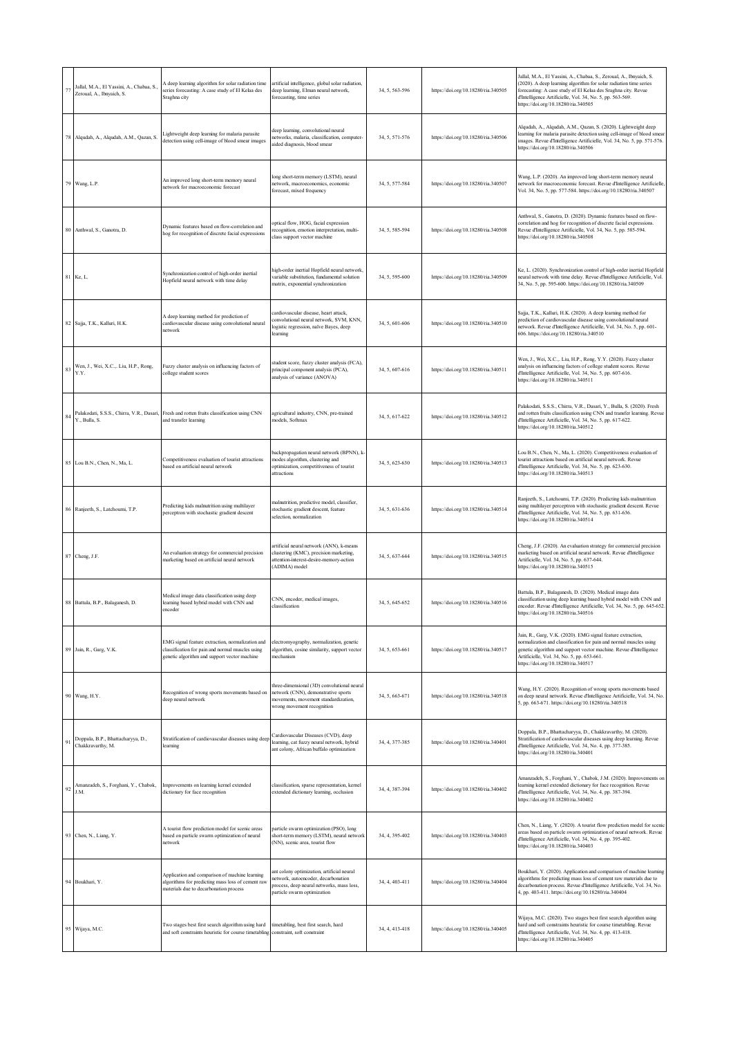| 77 | Jallal, M.A., El Yassini, A., Chabaa, S.,<br>Zeroual, A., Ibnyaich, S. | deep learning algorithm for solar radiation time<br>eries forecasting: A case study of El Kelaa des<br>Sraghna city                                  | artificial intelligence, global solar radiation,<br>leep learning, Elman neural network,<br>forecasting, time series                                          | 34, 5, 563-596 | https://doi.org/10.18280/ria.340505 | Jallal, M.A., El Yassini, A., Chabaa, S., Zeroual, A., Ibnyaich, S.<br>(2020). A deep learning algorithm for solar radiation time series<br>forecasting: A case study of El Kelaa des Sraghna city. Revue<br>d'Intelligence Artificielle, Vol. 34, No. 5, pp. 563-569.<br>https://doi.org/10.18280/ria.340505 |
|----|------------------------------------------------------------------------|------------------------------------------------------------------------------------------------------------------------------------------------------|---------------------------------------------------------------------------------------------------------------------------------------------------------------|----------------|-------------------------------------|---------------------------------------------------------------------------------------------------------------------------------------------------------------------------------------------------------------------------------------------------------------------------------------------------------------|
|    | 78 Alqudah, A., Alqudah, A.M., Qazan, S.                               | Lightweight deep learning for malaria parasite<br>letection using cell-image of blood smear images                                                   | deep learning, convolutional neural<br>networks, malaria, classification, computer-<br>aided diagnosis, blood smear                                           | 34, 5, 571-576 | https://doi.org/10.18280/ria.340506 | Alqudah, A., Alqudah, A.M., Qazan, S. (2020). Lightweight deep<br>learning for malaria parasite detection using cell-image of blood smear<br>mages. Revue d'Intelligence Artificielle, Vol. 34, No. 5, pp. 571-576.<br>https://doi.org/10.18280/ria.340506                                                    |
|    | 79 Wang, L.P.                                                          | An improved long short-term memory neural<br>retwork for macroeconomic forecast                                                                      | long short-term memory (LSTM), neural<br>network, macroeconomics, economic<br>forecast, mixed frequency                                                       | 34, 5, 577-584 | https://doi.org/10.18280/ria.340507 | Wang, L.P. (2020). An improved long short-term memory neural<br>network for macroeconomic forecast. Revue d'Intelligence Artificielle,<br>Vol. 34, No. 5, pp. 577-584. https://doi.org/10.18280/ria.340507                                                                                                    |
|    | 80 Anthwal, S., Ganotra, D.                                            | Dynamic features based on flow-correlation and<br>tog for recognition of discrete facial expressions                                                 | optical flow, HOG, facial expression<br>ecognition, emotion interpretation, multi-<br>class support vector machine                                            | 34, 5, 585-594 | https://doi.org/10.18280/ria.340508 | Anthwal, S., Ganotra, D. (2020). Dynamic features based on flow-<br>correlation and hog for recognition of discrete facial expressions.<br>Revue d'Intelligence Artificielle, Vol. 34, No. 5, pp. 585-594.<br>https://doi.org/10.18280/ria.340508                                                             |
|    | 81 Ke, L.                                                              | Synchronization control of high-order inertial<br>Hopfield neural network with time delay                                                            | high-order inertial Hopfield neural network,<br>variable substitution, fundamental solution<br>matrix, exponential synchronization                            | 34, 5, 595-600 | https://doi.org/10.18280/ria.340509 | Ke, L. (2020). Synchronization control of high-order inertial Hopfield<br>neural network with time delay. Revue d'Intelligence Artificielle, Vol.<br>34, No. 5, pp. 595-600. https://doi.org/10.18280/ria.340509                                                                                              |
|    | 82 Sajja, T.K., Kalluri, H.K.                                          | A deep learning method for prediction of<br>ardiovascular disease using convolutional neural<br>etwork                                               | ardiovascular disease. heart attack.<br>onvolutional neural network, SVM, KNN,<br>ogistic regression, naïve Bayes, deep<br>learning                           | 34, 5, 601-606 | https://doi.org/10.18280/ria.340510 | Sajja, T.K., Kalluri, H.K. (2020). A deep learning method for<br>prediction of cardiovascular disease using convolutional neural<br>network. Revue d'Intelligence Artificielle, Vol. 34, No. 5, pp. 601-<br>606. https://doi.org/10.18280/ria.340510                                                          |
| 83 | Wen, J., Wei, X.C.,. Liu, H.P., Rong,<br>Y.Y.                          | Fuzzy cluster analysis on influencing factors of<br>ollege student scores                                                                            | student score, fuzzy cluster analysis (FCA),<br>principal component analysis (PCA),<br>analysis of variance (ANOVA)                                           | 34, 5, 607-616 | https://doi.org/10.18280/ria.340511 | Wen, J., Wei, X.C.,. Liu, H.P., Rong, Y.Y. (2020). Fuzzy cluster<br>analysis on influencing factors of college student scores. Revue<br>d'Intelligence Artificielle, Vol. 34, No. 5, pp. 607-616.<br>https://doi.org/10.18280/ria.340511                                                                      |
| 84 | Y., Bulla, S.                                                          | Palakodati, S.S.S., Chirra, V.R., Dasari, Fresh and rotten fruits classification using CNN<br>and transfer learning                                  | agricultural industry, CNN, pre-trained<br>models. Softmax                                                                                                    | 34, 5, 617-622 | https://doi.org/10.18280/ria.340512 | Palakodati, S.S.S., Chirra, V.R., Dasari, Y., Bulla, S. (2020). Fresh<br>and rotten fruits classification using CNN and transfer learning. Revue<br>d'Intelligence Artificielle, Vol. 34, No. 5, pp. 617-622.<br>https://doi.org/10.18280/ria.340512                                                          |
|    | 85 Lou B.N., Chen, N., Ma, L.                                          | Competitiveness evaluation of tourist attractions<br>ased on artificial neural network                                                               | backpropagation neural network (BPNN), k-<br>modes algorithm, clustering and<br>optimization, competitiveness of tourist<br>attractions                       | 34, 5, 623-630 | https://doi.org/10.18280/ria.340513 | Lou B.N., Chen, N., Ma, L. (2020). Competitiveness evaluation of<br>ourist attractions based on artificial neural network. Revue<br>d'Intelligence Artificielle, Vol. 34, No. 5, pp. 623-630.<br>https://doi.org/10.18280/ria.340513                                                                          |
| 86 | Ranjeeth, S., Latchoumi, T.P.                                          | Predicting kids malnutrition using multilayer<br>perceptron with stochastic gradient descent                                                         | malnutrition, predictive model, classifier,<br>stochastic gradient descent, feature<br>selection, normalization                                               | 34, 5, 631-636 | https://doi.org/10.18280/ria.340514 | Ranjeeth, S., Latchoumi, T.P. (2020). Predicting kids malnutrition<br>using multilayer perceptron with stochastic gradient descent. Revue<br>d'Intelligence Artificielle, Vol. 34, No. 5, pp. 631-636.<br>https://doi.org/10.18280/ria.340514                                                                 |
|    | 87 Cheng, J.F.                                                         | An evaluation strategy for commercial precision<br>narketing based on artificial neural network                                                      | artificial neural network (ANN), k-means<br>clustering (KMC), precision marketing,<br>ttention-interest-desire-memory-action<br>(ADIMA) model                 | 34, 5, 637-644 | https://doi.org/10.18280/ria.340515 | Cheng, J.F. (2020). An evaluation strategy for commercial precision<br>marketing based on artificial neural network. Revue d'Intelligence<br>Artificielle, Vol. 34, No. 5, pp. 637-644.<br>https://doi.org/10.18280/ria.340515                                                                                |
|    | 88 Battula, B.P., Balaganesh, D.                                       | Medical image data classification using deep<br>learning based hybrid model with CNN and<br>encoder                                                  | CNN, encoder, medical images,<br>classification                                                                                                               | 34, 5, 645-652 | https://doi.org/10.18280/ria.340516 | Battula, B.P., Balaganesh, D. (2020). Medical image data<br>classification using deep learning based hybrid model with CNN and<br>encoder. Revue d'Intelligence Artificielle, Vol. 34, No. 5, pp. 645-652.<br>https://doi.org/10.18280/ria.340516                                                             |
|    | 89 Jain, R., Garg, V.K.                                                | EMG signal feature extraction, normalization and<br>classification for pain and normal muscles using<br>genetic algorithm and support vector machine | electromyography, normalization, genetic<br>algorithm, cosine similarity, support vector<br>mechanism                                                         | 34, 5, 653-661 | https://doi.org/10.18280/ria.340517 | Jain, R., Garg, V.K. (2020). EMG signal feature extraction,<br>normalization and classification for pain and normal muscles using<br>genetic algorithm and support vector machine. Revue d'Intelligence<br>Artificielle, Vol. 34, No. 5, pp. 653-661.<br>https://doi.org/10.18280/ria.340517                  |
|    | 90 Wang, H.Y.                                                          | tecognition of wrong sports movements based on<br>leep neural network                                                                                | three-dimensional (3D) convolutional neural<br>network (CNN), demonstrative sports<br>novements, movement standardization,<br>wrong movement recognition      | 34, 5, 663-671 | https://doi.org/10.18280/ria.340518 | Wang, H.Y. (2020). Recognition of wrong sports movements based<br>on deep neural network. Revue d'Intelligence Artificielle, Vol. 34, No.<br>5, pp. 663-671. https://doi.org/10.18280/ria.340518                                                                                                              |
| 9  | Doppala, B.P., Bhattacharyya, D.,<br>Chakkravarthy, M.                 | Stratification of cardiovascular diseases using deep<br>learning                                                                                     | Cardiovascular Diseases (CVD), deep<br>learning, cat fuzzy neural network, hybrid<br>ant colony, African buffalo optimization                                 | 34, 4, 377-385 | https://doi.org/10.18280/ria.340401 | Doppala, B.P., Bhattacharyya, D., Chakkravarthy, M. (2020).<br>Stratification of cardiovascular diseases using deep learning. Revue<br>d'Intelligence Artificielle, Vol. 34, No. 4, pp. 377-385.<br>https://doi.org/10.18280/ria.340401                                                                       |
| 92 | Amanzadeh, S., Forghani, Y., Chabok,<br>J.M.                           | mprovements on learning kernel extended<br>lictionary for face recognition                                                                           | classification, sparse representation, kernel<br>extended dictionary learning, occlusion                                                                      | 34, 4, 387-394 | https://doi.org/10.18280/ria.340402 | Amanzadeh, S., Forghani, Y., Chabok, J.M. (2020). Improvements on<br>earning kernel extended dictionary for face recognition. Revue<br>d'Intelligence Artificielle, Vol. 34, No. 4, pp. 387-394.<br>https://doi.org/10.18280/ria.340402                                                                       |
|    | 93 Chen, N., Liang, Y.                                                 | A tourist flow prediction model for scenic areas<br>vased on particle swarm optimization of neural<br>network                                        | particle swarm optimization (PSO), long<br>short-term memory (LSTM), neural network<br>(NN), scenic area, tourist flow                                        | 34, 4, 395-402 | https://doi.org/10.18280/ria.340403 | Chen, N., Liang, Y. (2020). A tourist flow prediction model for scenic<br>areas based on particle swarm optimization of neural network. Revue<br>d'Intelligence Artificielle, Vol. 34, No. 4, pp. 395-402.<br>https://doi.org/10.18280/ria.340403                                                             |
|    | 94 Boukhari, Y.                                                        | Application and comparison of machine learning<br>algorithms for predicting mass loss of cement raw<br>materials due to decarbonation process        | ant colony optimization, artificial neural<br>network, autoencoder, decarbonation<br>process, deep neural networks, mass loss,<br>particle swarm optimization | 34, 4, 403-411 | https://doi.org/10.18280/ria.340404 | Boukhari, Y. (2020). Application and comparison of machine learning<br>algorithms for predicting mass loss of cement raw materials due to<br>decarbonation process. Revue d'Intelligence Artificielle, Vol. 34, No.<br>4, pp. 403-411. https://doi.org/10.18280/ria.340404                                    |
|    | 95 Wijaya, M.C.                                                        | Iwo stages best first search algorithm using hard<br>nd soft constraints heuristic for course timetabling                                            | timetabling, best first search, hard<br>constraint, soft constraint                                                                                           | 34, 4, 413-418 | https://doi.org/10.18280/ria.340405 | Wijaya, M.C. (2020). Two stages best first search algorithm using<br>hard and soft constraints heuristic for course timetabling. Revue<br>d'Intelligence Artificielle, Vol. 34, No. 4, pp. 413-418.<br>https://doi.org/10.18280/ria.340405                                                                    |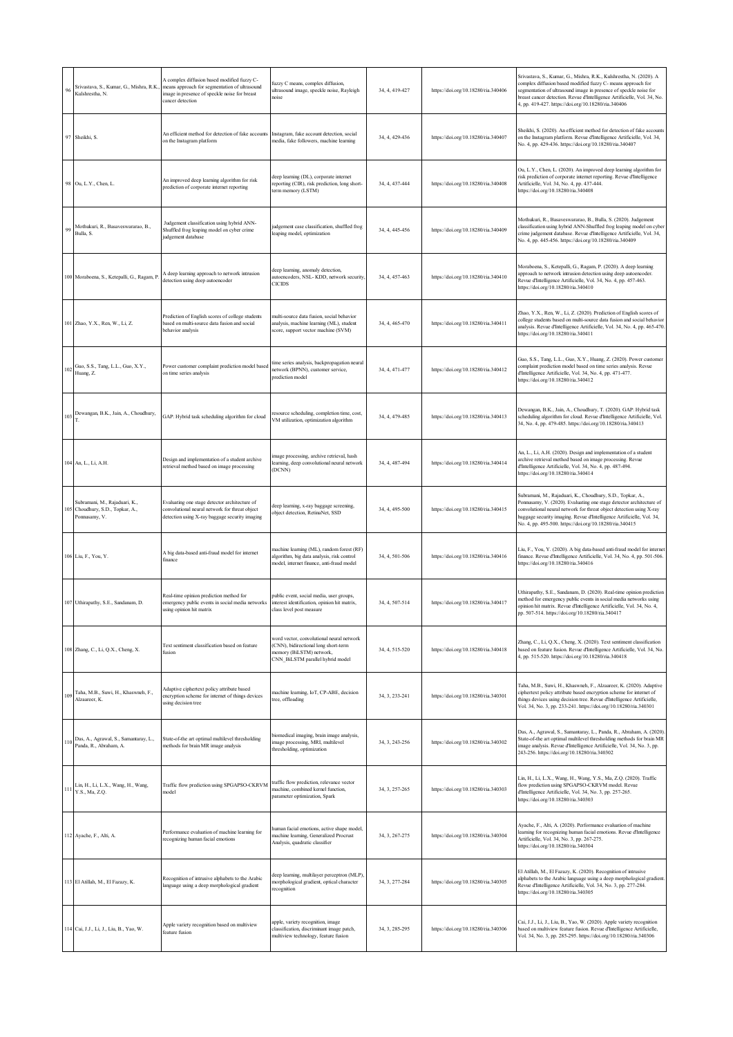| 96 | Srivastava, S., Kumar, G., Mishra, R.K.<br>Kulshrestha, N.                         | A complex diffusion based modified fuzzy C-<br>means approach for segmentation of ultrasound<br>image in presence of speckle noise for breast<br>cancer detection | fuzzy C means, complex diffusion,<br>ultrasound image, speckle noise, Rayleigh<br>noise                                                           | 34, 4, 419-427 | https://doi.org/10.18280/ria.340406 | Srivastava, S., Kumar, G., Mishra, R.K., Kulshrestha, N. (2020). A<br>complex diffusion based modified fuzzy C- means approach for<br>segmentation of ultrasound image in presence of speckle noise for<br>breast cancer detection. Revue d'Intelligence Artificielle, Vol. 34, No.<br>4, pp. 419-427. https://doi.org/10.18280/ria.340406    |
|----|------------------------------------------------------------------------------------|-------------------------------------------------------------------------------------------------------------------------------------------------------------------|---------------------------------------------------------------------------------------------------------------------------------------------------|----------------|-------------------------------------|-----------------------------------------------------------------------------------------------------------------------------------------------------------------------------------------------------------------------------------------------------------------------------------------------------------------------------------------------|
|    | 97 Sheikhi, S.                                                                     | An efficient method for detection of fake accounts<br>on the Instagram platform                                                                                   | Instagram, fake account detection, social<br>nedia, fake followers, machine learning                                                              | 34, 4, 429-436 | https://doi.org/10.18280/ria.340407 | Sheikhi, S. (2020). An efficient method for detection of fake accounts<br>on the Instagram platform. Revue d'Intelligence Artificielle, Vol. 34,<br>No. 4, pp. 429-436. https://doi.org/10.18280/ria.340407                                                                                                                                   |
|    | 98 Ou, L.Y., Chen, L.                                                              | An improved deep learning algorithm for risk<br>prediction of corporate internet reporting                                                                        | deep learning (DL), corporate internet<br>reporting (CIR), risk prediction, long short-<br>term memory (LSTM)                                     | 34, 4, 437-444 | https://doi.org/10.18280/ria.340408 | Ou, L.Y., Chen, L. (2020). An improved deep learning algorithm for<br>risk prediction of corporate internet reporting. Revue d'Intelligence<br>Artificielle, Vol. 34, No. 4, pp. 437-444.<br>https://doi.org/10.18280/ria.340408                                                                                                              |
| 99 | Mothukuri, R., Basaveswararao, B.,<br>Bulla, S.                                    | Judgement classification using hybrid ANN-<br>Shuffled frog leaping model on cyber crime<br>udgement database                                                     | udgement case classification, shuffled frog<br>eaping model, optimization                                                                         | 34, 4, 445-456 | https://doi.org/10.18280/ria.340409 | Mothukuri, R., Basaveswararao, B., Bulla, S. (2020). Judgement<br>classification using hybrid ANN-Shuffled frog leaping model on cyber<br>crime judgement database. Revue d'Intelligence Artificielle, Vol. 34,<br>No. 4, pp. 445-456. https://doi.org/10.18280/ria.340409                                                                    |
|    | 100 Moraboena, S., Ketepalli, G., Ragam, P                                         | A deep learning approach to network intrusion<br>detection using deep autoencoder                                                                                 | leep learning, anomaly detection,<br>autoencoders, NSL-KDD, network security,<br><b>CICIDS</b>                                                    | 34, 4, 457-463 | https://doi.org/10.18280/ria.340410 | Moraboena, S., Ketepalli, G., Ragam, P. (2020). A deep learning<br>approach to network intrusion detection using deep autoencoder.<br>Revue d'Intelligence Artificielle, Vol. 34, No. 4, pp. 457-463.<br>https://doi.org/10.18280/ria.340410                                                                                                  |
|    | 101 Zhao, Y.X., Ren, W., Li, Z.                                                    | Prediction of English scores of college students<br>based on multi-source data fusion and social<br>behavior analysis                                             | nulti-source data fusion, social behavior<br>analysis, machine learning (ML), student<br>score, support vector machine (SVM)                      | 34, 4, 465-470 | https://doi.org/10.18280/ria.340411 | Zhao, Y.X., Ren, W., Li, Z. (2020). Prediction of English scores of<br>college students based on multi-source data fusion and social behavior<br>analysis. Revue d'Intelligence Artificielle, Vol. 34, No. 4, pp. 465-470.<br>https://doi.org/10.18280/ria.340411                                                                             |
|    | 102 Guo, S.S., Tang, L.L., Guo, X.Y., Huang, Z.                                    | Power customer complaint prediction model based<br>on time series analysis                                                                                        | time series analysis, backpropagation neural<br>network (BPNN), customer service,<br>prediction model                                             | 34, 4, 471-477 | https://doi.org/10.18280/ria.340412 | Guo, S.S., Tang, L.L., Guo, X.Y., Huang, Z. (2020). Power customer<br>complaint prediction model based on time series analysis. Revue<br>d'Intelligence Artificielle, Vol. 34, No. 4, pp. 471-477.<br>https://doi.org/10.18280/ria.340412                                                                                                     |
|    | 103 Dewangan, B.K., Jain, A., Choudhury,                                           | GAP: Hybrid task scheduling algorithm for cloud                                                                                                                   | resource scheduling, completion time, cost,<br>VM utilization, optimization algorithm                                                             | 34, 4, 479-485 | https://doi.org/10.18280/ria.340413 | Dewangan, B.K., Jain, A., Choudhury, T. (2020). GAP: Hybrid task<br>scheduling algorithm for cloud. Revue d'Intelligence Artificielle, Vol.<br>34, No. 4, pp. 479-485. https://doi.org/10.18280/ria.340413                                                                                                                                    |
|    | 104 An, L., Li, A.H.                                                               | Design and implementation of a student archive<br>etrieval method based on image processing                                                                       | mage processing, archive retrieval, hash<br>earning, deep convolutional neural network<br>(DCNN)                                                  | 34, 4, 487-494 | https://doi.org/10.18280/ria.340414 | An, L., Li, A.H. (2020). Design and implementation of a student<br>archive retrieval method based on image processing. Revue<br>d'Intelligence Artificielle, Vol. 34, No. 4, pp. 487-494.<br>https://doi.org/10.18280/ria.340414                                                                                                              |
|    | Subramani, M., Rajaduari, K.,<br>105 Choudhury, S.D., Topkar, A.,<br>Ponnusamy, V. | Evaluating one stage detector architecture of<br>convolutional neural network for threat object<br>detection using X-ray baggage security imaging                 | deep learning, x-ray baggage screening,<br>object detection, RetinaNet, SSD                                                                       | 34, 4, 495-500 | https://doi.org/10.18280/ria.340415 | Subramani, M., Rajaduari, K., Choudhury, S.D., Topkar, A.,<br>Ponnusamy, V. (2020). Evaluating one stage detector architecture of<br>convolutional neural network for threat object detection using X-ray<br>baggage security imaging. Revue d'Intelligence Artificielle, Vol. 34,<br>No. 4, pp. 495-500. https://doi.org/10.18280/ria.340415 |
|    | 106 Liu, F., You, Y.                                                               | A big data-based anti-fraud model for internet<br>finance                                                                                                         | nachine learning (ML), random forest (RF)<br>algorithm, big data analysis, risk control<br>model, internet finance, anti-fraud model              | 34, 4, 501-506 | https://doi.org/10.18280/ria.340416 | Liu, F., You, Y. (2020). A big data-based anti-fraud model for internet<br>finance. Revue d'Intelligence Artificielle, Vol. 34, No. 4, pp. 501-506.<br>https://doi.org/10.18280/ria.340416                                                                                                                                                    |
|    | 107 Uthirapathy, S.E., Sandanam, D.                                                | Real-time opinion prediction method for<br>emergency public events in social media networks<br>using opinion hit matrix                                           | public event, social media, user groups,<br>interest identification, opinion hit matrix,<br>class level post measure                              | 34, 4, 507-514 | https://doi.org/10.18280/ria.340417 | Uthirapathy, S.E., Sandanam, D. (2020). Real-time opinion prediction<br>method for emergency public events in social media networks using<br>opinion hit matrix. Revue d'Intelligence Artificielle, Vol. 34, No. 4,<br>pp. 507-514. https://doi.org/10.18280/ria.340417                                                                       |
|    | 108 Zhang, C., Li, Q.X., Cheng, X.                                                 | Text sentiment classification based on feature<br>fusion                                                                                                          | word vector, convolutional neural network<br>(CNN), bidirectional long short-term<br>memory (BiLSTM) network,<br>CNN_BiLSTM parallel hybrid model | 34, 4, 515-520 | https://doi.org/10.18280/ria.340418 | Zhang, C., Li, Q.X., Cheng, X. (2020). Text sentiment classification<br>based on feature fusion. Revue d'Intelligence Artificielle, Vol. 34, No.<br>4, pp. 515-520. https://doi.org/10.18280/ria.340418                                                                                                                                       |
|    | 109 Taha, M.B., Suwi, H., Khaswneh, F.,<br>Alzaareer, K.                           | Adaptive ciphertext policy attribute based<br>encryption scheme for internet of things devices<br>using decision tree                                             | nachine learning, IoT, CP-ABE, decision<br>tree, offloading                                                                                       | 34, 3, 233-241 | https://doi.org/10.18280/ria.340301 | Taha, M.B., Suwi, H., Khaswneh, F., Alzaareer, K. (2020). Adaptive<br>ciphertext policy attribute based encryption scheme for internet of<br>things devices using decision tree. Revue d'Intelligence Artificielle,<br>Vol. 34, No. 3, pp. 233-241. https://doi.org/10.18280/ria.340301                                                       |
|    | 110 Das, A., Agrawal, S., Samantaray, L., Panda, R., Abraham, A.                   | State-of-the art optimal multilevel thresholding<br>methods for brain MR image analysis                                                                           | iomedical imaging, brain image analysis,<br>image processing, MRI, multilevel<br>thresholding, optimization                                       | 34, 3, 243-256 | https://doi.org/10.18280/ria.340302 | Das, A., Agrawal, S., Samantaray, L., Panda, R., Abraham, A. (2020).<br>State-of-the art optimal multilevel thresholding methods for brain MR<br>image analysis. Revue d'Intelligence Artificielle, Vol. 34, No. 3, pp.<br>243-256. https://doi.org/10.18280/ria.340302                                                                       |
|    | 111 Lin, H., Li, L.X., Wang, H., Wang, Y.S., Ma, Z.Q.                              | Traffic flow prediction using SPGAPSO-CKRVM<br>model                                                                                                              | traffic flow prediction, relevance vector<br>machine, combined kernel function,<br>parameter optimization, Spark                                  | 34, 3, 257-265 | https://doi.org/10.18280/ria.340303 | Lin, H., Li, L.X., Wang, H., Wang, Y.S., Ma, Z.Q. (2020). Traffic<br>flow prediction using SPGAPSO-CKRVM model. Revue<br>d'Intelligence Artificielle, Vol. 34, No. 3, pp. 257-265.<br>https://doi.org/10.18280/ria.340303                                                                                                                     |
|    | 112 Ayache, F., Alti, A.                                                           | Performance evaluation of machine learning for<br>ecognizing human facial emotions                                                                                | numan facial emotions, active shape model,<br>nachine learning, Generalized Procrust<br>Analysis, quadratic classifier                            | 34, 3, 267-275 | https://doi.org/10.18280/ria.340304 | Ayache, F., Alti, A. (2020). Performance evaluation of machine<br>learning for recognizing human facial emotions. Revue d'Intelligence<br>Artificielle, Vol. 34, No. 3, pp. 267-275.<br>https://doi.org/10.18280/ria.340304                                                                                                                   |
|    | 113 El Atillah, M., El Fazazy, K.                                                  | Recognition of intrusive alphabets to the Arabic<br>anguage using a deep morphological gradient                                                                   | deep learning, multilayer perceptron (MLP),<br>norphological gradient, optical character<br>recognition                                           | 34, 3, 277-284 | https://doi.org/10.18280/ria.340305 | El Atillah, M., El Fazazy, K. (2020). Recognition of intrusive<br>alphabets to the Arabic language using a deep morphological gradient.<br>Revue d'Intelligence Artificielle, Vol. 34, No. 3, pp. 277-284.<br>https://doi.org/10.18280/ria.340305                                                                                             |
|    | 114 Cai, J.J., Li, J., Liu, B., Yao, W.                                            | Apple variety recognition based on multiview<br>eature fusion                                                                                                     | apple, variety recognition, image<br>classification, discriminant image patch,<br>nultiview technology, feature fusion                            | 34, 3, 285-295 | https://doi.org/10.18280/ria.340306 | Cai, J.J., Li, J., Liu, B., Yao, W. (2020). Apple variety recognition<br>based on multiview feature fusion. Revue d'Intelligence Artificielle,<br>Vol. 34, No. 3, pp. 285-295. https://doi.org/10.18280/ria.340306                                                                                                                            |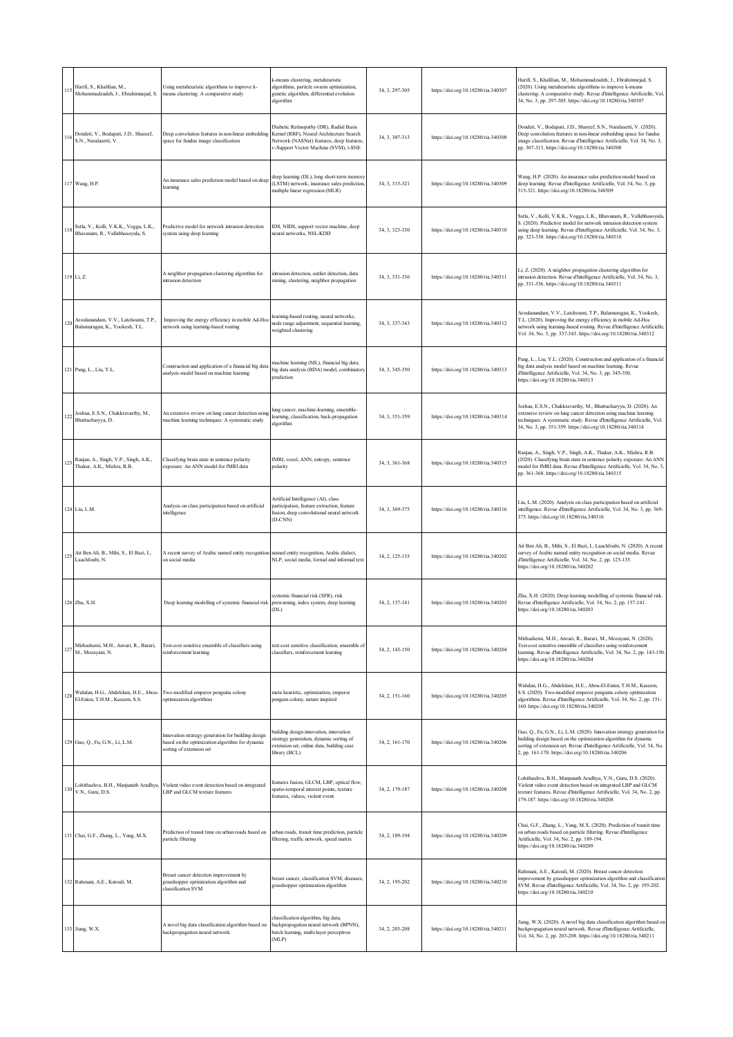|     | 115 Harifi, S., Khalilian, M., Thailmnejad, S.                                 | Jsing metaheuristic algorithms to improve k-<br>means clustering: A comparative study                                             | means clustering, metaheuristic<br>algorithms, particle swarm optimization,<br>genetic algorithm, differential evolution<br>algorithm                                    | 34, 3, 297-305 | https://doi.org/10.18280/ria.340307 | Harifi, S., Khalilian, M., Mohammadzadeh, J., Ebrahimnejad, S.<br>(2020). Using metaheuristic algorithms to improve k-means<br>clustering: A comparative study. Revue d'Intelligence Artificielle, Vol.<br>34, No. 3, pp. 297-305. https://doi.org/10.18280/ria.340307          |
|-----|--------------------------------------------------------------------------------|-----------------------------------------------------------------------------------------------------------------------------------|--------------------------------------------------------------------------------------------------------------------------------------------------------------------------|----------------|-------------------------------------|---------------------------------------------------------------------------------------------------------------------------------------------------------------------------------------------------------------------------------------------------------------------------------|
|     | 116 Dondeti, V., Bodapati, J.D., Shareef,<br>S.N., Naralasetti, V.             | Deep convolution features in non-linear embedding<br>space for fundus image classification                                        | Diabetic Retinopathy (DR), Radial Basis<br>Kernel (RBF), Neural Architecture Search<br>Network (NASNet) features, deep features,<br>-Support Vector Machine (SVM), t-SNE | 34, 3, 307-313 | https://doi.org/10.18280/ria.340308 | Dondeti, V., Bodapati, J.D., Shareef, S.N., Naralasetti, V. (2020).<br>Deep convolution features in non-linear embedding space for fundus<br>image classification. Revue d'Intelligence Artificielle, Vol. 34, No. 3,<br>pp. 307-313. https://doi.org/10.18280/ria.340308       |
|     | 117 Wang, H.P.                                                                 | An insurance sales prediction model based on deep<br>learning                                                                     | deep learning (DL), long short-term memory<br>(LSTM) network, insurance sales prediction,<br>nultiple linear regression (MLR)                                            | 34, 3, 315-321 | https://doi.org/10.18280/ria.340309 | Wang, H.P. (2020). An insurance sales prediction model based on<br>deep learning. Revue d'Intelligence Artificielle, Vol. 34, No. 3, pp.<br>315-321. https://doi.org/10.18280/ria.340309                                                                                        |
|     | Sstla, V., Kolli, V.K.K., Voggu, L.K.,<br>118 Bhavanam, R., Vallabhasoyula, S. | Predictive model for network intrusion detection<br>system using deep learning                                                    | IDS, NIDS, support vector machine, deep<br>neural networks, NSL-KDD                                                                                                      | 34, 3, 323-330 | https://doi.org/10.18280/ria.340310 | Sstla, V., Kolli, V.K.K., Voggu, L.K., Bhavanam, R., Vallabhasoyula,<br>S. (2020). Predictive model for network intrusion detection system<br>using deep learning. Revue d'Intelligence Artificielle, Vol. 34, No. 3,<br>pp. 323-330. https://doi.org/10.18280/ria.340310       |
|     | 119 Li, Z.                                                                     | A neighbor propagation clustering algorithm for<br>intrusion detection                                                            | intrusion detection, outlier detection, data<br>mining, clustering, neighbor propagation                                                                                 | 34, 3, 331-336 | https://doi.org/10.18280/ria.340311 | Li, Z. (2020). A neighbor propagation clustering algorithm for<br>intrusion detection. Revue d'Intelligence Artificielle, Vol. 34, No. 3,<br>pp. 331-336. https://doi.org/10.18280/ria.340311                                                                                   |
|     | Aroulanandam, V.V., Latchoumi, T.P.,<br>120 Balamurugan, K., Yookesh, T.L.     | Improving the energy efficiency in mobile Ad-Ho<br>network using learning-based routing                                           | earning-based routing, neural networks,<br>node range adjustment, sequential learning,<br>veighted clustering                                                            | 34, 3, 337-343 | https://doi.org/10.18280/ria.340312 | Aroulanandam, V.V., Latchoumi, T.P., Balamurugan, K., Yookesh,<br>T.L. (2020). Improving the energy efficiency in mobile Ad-Hoc<br>network using learning-based routing. Revue d'Intelligence Artificielle,<br>Vol. 34, No. 3, pp. 337-343. https://doi.org/10.18280/ria.340312 |
|     | 121 Pang, L., Liu, Y.L.                                                        | Construction and application of a financial big data<br>analysis model based on machine learning                                  | machine learning (ML), financial big data,<br>big data analysis (BDA) model, combinatory<br>prediction                                                                   | 34, 3, 345-350 | https://doi.org/10.18280/ria.340313 | Pang, L., Liu, Y.L. (2020). Construction and application of a financial<br>big data analysis model based on machine learning. Revue<br>d'Intelligence Artificielle, Vol. 34, No. 3, pp. 345-350.<br>https://doi.org/10.18280/ria.340313                                         |
|     | 122 Joshua, E.S.N., Chakkravarthy, M.,<br>Bhattacharyya, D.                    | An extensive review on lung cancer detection using<br>nachine learning techniques: A systematic study                             | ung cancer, machine-learning, ensemble-<br>learning, classification, back-propagation<br>algorithm                                                                       | 34, 3, 351-359 | https://doi.org/10.18280/ria.340314 | Joshua, E.S.N., Chakkravarthy, M., Bhattacharyya, D. (2020). An<br>extensive review on lung cancer detection using machine learning<br>techniques: A systematic study. Revue d'Intelligence Artificielle, Vol.<br>34, No. 3, pp. 351-359. https://doi.org/10.18280/ria.340314   |
| 123 | Ranjan, A., Singh, V.P., Singh, A.K.,<br>Thakur, A.K., Mishra, R.B.            | Classifying brain state in sentence polarity<br>exposure: An ANN model for fMRI data                                              | fMRI, voxel, ANN, entropy, sentence<br>polarity                                                                                                                          | 34, 3, 361-368 | https://doi.org/10.18280/ria.340315 | Ranjan, A., Singh, V.P., Singh, A.K., Thakur, A.K., Mishra, R.B.<br>(2020). Classifying brain state in sentence polarity exposure: An ANN<br>model for fMRI data. Revue d'Intelligence Artificielle, Vol. 34, No. 3,<br>pp. 361-368. https://doi.org/10.18280/ria.340315        |
|     | 124 Liu, L.M.                                                                  | Analysis on class participation based on artificial<br>intelligence                                                               | Artificial Intelligence (AI), class<br>participation, feature extraction, feature<br>fusion, deep convolutional neural network<br>$(D-CNN)$                              | 34, 3, 369-375 | https://doi.org/10.18280/ria.340316 | Liu, L.M. (2020). Analysis on class participation based on artificial<br>intelligence. Revue d'Intelligence Artificielle, Vol. 34, No. 3, pp. 369-<br>375. https://doi.org/10.18280/ria.340316                                                                                  |
|     | 125 Ait Ben Ali, B., Mihi, S., El Bazi, I.,<br>Laachfoubi, N.                  | A recent survey of Arabic named entity recognition<br>on social media                                                             | named entity recognition, Arabic dialect,<br>NLP, social media, formal and informal text                                                                                 | 34, 2, 125-135 | https://doi.org/10.18280/ria.340202 | Ait Ben Ali, B., Mihi, S., El Bazi, I., Laachfoubi, N. (2020). A recent<br>survey of Arabic named entity recognition on social media. Revue<br>d'Intelligence Artificielle, Vol. 34, No. 2, pp. 125-135.<br>https://doi.org/10.18280/ria.340202                                 |
|     | 126 Zhu, X.H.                                                                  | Deep learning modelling of systemic financial risk prewarning, index system, deep learning                                        | systemic financial risk (SFR), risk<br>(DL)                                                                                                                              | 34, 2, 137-141 | https://doi.org/10.18280/ria.340203 | Zhu, X.H. (2020). Deep learning modelling of systemic financial risk.<br>Revue d'Intelligence Artificielle, Vol. 34, No. 2, pp. 137-141.<br>https://doi.org/10.18280/ria.340203                                                                                                 |
|     | Mirhashemi, M.H., Anvari, R., Barari,<br>127 M., Mozayani, N.                  | Test-cost sensitive ensemble of classifiers using<br>reinforcement learning                                                       | test-cost sensitive classification, ensemble of<br>classifiers, reinforcement learning                                                                                   | 34, 2, 143-150 | https://doi.org/10.18280/ria.340204 | Mirhashemi, M.H., Anvari, R., Barari, M., Mozayani, N. (2020).<br>Test-cost sensitive ensemble of classifiers using reinforcement<br>learning. Revue d'Intelligence Artificielle, Vol. 34, No. 2, pp. 143-150.<br>https://doi.org/10.18280/ria.340204                           |
| 128 | Wahdan, H.G., Abdelslam, H.E., Abou-<br>El-Enien, T.H.M., Kassem, S.S.         | Two-modified emperor penguins colony<br>optimization algorithms                                                                   | meta heuristic, optimization, emperor<br>penguin colony, nature inspired                                                                                                 | 34, 2, 151-160 | https://doi.org/10.18280/ria.340205 | Wahdan, H.G., Abdelslam, H.E., Abou-El-Enien, T.H.M., Kassem,<br>S.S. (2020). Two-modified emperor penguins colony optimization<br>algorithms. Revue d'Intelligence Artificielle, Vol. 34, No. 2, pp. 151-<br>160. https://doi.org/10.18280/ria.340205                          |
|     | 129 Guo, Q., Fu, G.N., Li, L.M.                                                | Innovation strategy generation for building design<br>based on the optimization algorithm for dynamic<br>sorting of extension set | vuilding design innovation, innovation<br>strategy generation, dynamic sorting of<br>extension set, online data, building case<br>library (BCL)                          | 34, 2, 161-170 | https://doi.org/10.18280/ria.340206 | Guo, Q., Fu, G.N., Li, L.M. (2020). Innovation strategy generation for<br>building design based on the optimization algorithm for dynamic<br>sorting of extension set. Revue d'Intelligence Artificielle, Vol. 34, No.<br>2, pp. 161-170. https://doi.org/10.18280/ria.340206   |
|     | Lohithashva, B.H., Manjunath Aradhya,<br>$130$ V.N., Guru, D.S.                | Violent video event detection based on integrated<br>LBP and GLCM texture features                                                | eatures fusion, GLCM, LBP, optical flow,<br>patio-temporal interest points, texture<br>features, videos, violent event                                                   | 34, 2, 179-187 | https://doi.org/10.18280/ria.340208 | Lohithashva, B.H., Manjunath Aradhya, V.N., Guru, D.S. (2020).<br>Violent video event detection based on integrated LBP and GLCM<br>texture features. Revue d'Intelligence Artificielle, Vol. 34, No. 2, pp.<br>179-187. https://doi.org/10.18280/ria.340208                    |
|     | 131 Chai, G.F., Zhang, L., Yang, M.X.                                          | Prediction of transit time on urban roads based on<br>particle filtering                                                          | urban roads, transit time prediction, particle<br>filtering, traffic network, speed matrix                                                                               | 34, 2, 189-194 | https://doi.org/10.18280/ria.340209 | Chai, G.F., Zhang, L., Yang, M.X. (2020). Prediction of transit time<br>on urban roads based on particle filtering. Revue d'Intelligence<br>Artificielle, Vol. 34, No. 2, pp. 189-194.<br>https://doi.org/10.18280/ria.340209                                                   |
|     | 132 Rahmani, A.E., Katouli, M.                                                 | Breast cancer detection improvement by<br>grasshopper optimization algorithm and<br>classification SVM                            | preast cancer, classification SVM, diseases,<br>grasshopper optimization algorithm                                                                                       | 34, 2, 195-202 | https://doi.org/10.18280/ria.340210 | Rahmani, A.E., Katouli, M. (2020). Breast cancer detection<br>improvement by grasshopper optimization algorithm and classification<br>SVM. Revue d'Intelligence Artificielle, Vol. 34, No. 2, pp. 195-202.<br>https://doi.org/10.18280/ria.340210                               |
|     | 133 Jiang, W.X.                                                                | A novel big data classification algorithm based on<br>vackpropagation neural network                                              | classification algorithm, big data,<br>backpropagation neural network (BPNN),<br>batch learning, multi-layer perceptron<br>(MLP)                                         | 34, 2, 203-208 | https://doi.org/10.18280/ria.340211 | Jiang, W.X. (2020). A novel big data classification algorithm based on<br>backpropagation neural network. Revue d'Intelligence Artificielle,<br>Vol. 34, No. 2, pp. 203-208. https://doi.org/10.18280/ria.340211                                                                |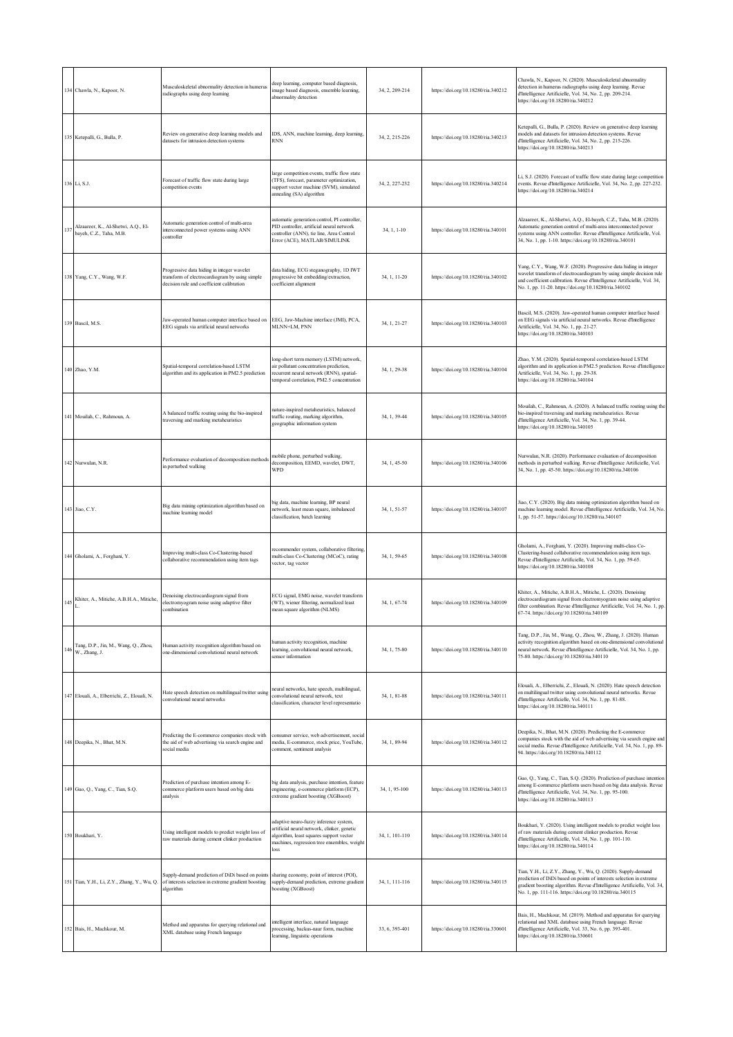|     | 134 Chawla, N., Kapoor, N.                                                              | Musculoskeletal abnormality detection in humerus<br>radiographs using deep learning                                                       | deep learning, computer based diagnosis,<br>image based diagnosis, ensemble learning,<br>abnormality detection                                                                          | 34, 2, 209-214 | https://doi.org/10.18280/ria.340212 | Chawla, N., Kapoor, N. (2020). Musculoskeletal abnormality<br>detection in humerus radiographs using deep learning. Revue<br>d'Intelligence Artificielle, Vol. 34, No. 2, pp. 209-214.<br>https://doi.org/10.18280/ria.340212                                                  |
|-----|-----------------------------------------------------------------------------------------|-------------------------------------------------------------------------------------------------------------------------------------------|-----------------------------------------------------------------------------------------------------------------------------------------------------------------------------------------|----------------|-------------------------------------|--------------------------------------------------------------------------------------------------------------------------------------------------------------------------------------------------------------------------------------------------------------------------------|
|     | 135 Ketepalli, G., Bulla, P.                                                            | Review on generative deep learning models and<br>datasets for intrusion detection systems                                                 | IDS, ANN, machine learning, deep learning,<br><b>RNN</b>                                                                                                                                | 34, 2, 215-226 | https://doi.org/10.18280/ria.340213 | Ketepalli, G., Bulla, P. (2020). Review on generative deep learning<br>models and datasets for intrusion detection systems. Revue<br>d'Intelligence Artificielle, Vol. 34, No. 2, pp. 215-226.<br>https://doi.org/10.18280/ria.340213                                          |
|     | 136 Li, S.J.                                                                            | orecast of traffic flow state during large<br>ompetition events                                                                           | arge competition events, traffic flow state<br>(TFS), forecast, parameter optimization,<br>upport vector machine (SVM), simulated<br>annealing (SA) algorithm                           | 34, 2, 227-232 | https://doi.org/10.18280/ria.340214 | Li, S.J. (2020). Forecast of traffic flow state during large competition<br>events. Revue d'Intelligence Artificielle, Vol. 34, No. 2, pp. 227-232.<br>https://doi.org/10.18280/ria.340214                                                                                     |
| 137 | Alzaareer, K., Al-Shetwi, A.Q., El-<br>bayeh, C.Z., Taha, M.B.                          | Automatic generation control of multi-area<br>interconnected power systems using ANN<br>controller                                        | automatic generation control, PI controller,<br>PID controller, artificial neural network<br>controller (ANN), tie line, Area Control<br>Error (ACE), MATLAB/SIMULINK                   | 34, 1, 1-10    | https://doi.org/10.18280/ria.340101 | Alzaareer, K., Al-Shetwi, A.Q., El-bayeh, C.Z., Taha, M.B. (2020).<br>Automatic generation control of multi-area interconnected power<br>systems using ANN controller. Revue d'Intelligence Artificielle, Vol.<br>34, No. 1, pp. 1-10. https://doi.org/10.18280/ria.340101     |
|     | 138 Yang, C.Y., Wang, W.F.                                                              | Progressive data hiding in integer wavelet<br>transform of electrocardiogram by using simple<br>decision rule and coefficient calibration | data hiding, ECG steganography, 1D IWT<br>progressive bit embedding/extraction,<br>coefficient alignment                                                                                | 34, 1, 11-20   | https://doi.org/10.18280/ria.340102 | Yang, C.Y., Wang, W.F. (2020). Progressive data hiding in integer<br>wavelet transform of electrocardiogram by using simple decision rule<br>and coefficient calibration. Revue d'Intelligence Artificielle, Vol. 34,<br>No. 1, pp. 11-20. https://doi.org/10.18280/ria.340102 |
|     | 139 Bascil, M.S.                                                                        | Jaw-operated human computer interface based on<br>EEG signals via artificial neural networks                                              | EEG, Jaw-Machine interface (JMI), PCA,<br>MLNN+LM, PNN                                                                                                                                  | 34, 1, 21-27   | https://doi.org/10.18280/ria.340103 | Bascil, M.S. (2020). Jaw-operated human computer interface based<br>on EEG signals via artificial neural networks. Revue d'Intelligence<br>Artificielle, Vol. 34, No. 1, pp. 21-27.<br>https://doi.org/10.18280/ria.340103                                                     |
|     | 140 Zhao, Y.M.                                                                          | Spatial-temporal correlation-based LSTM<br>algorithm and its application in PM2.5 prediction                                              | long-short term memory (LSTM) network,<br>air pollutant concentration prediction,<br>recurrent neural network (RNN), spatial-<br>temporal correlation, PM2.5 concentration              | 34, 1, 29-38   | https://doi.org/10.18280/ria.340104 | Zhao, Y.M. (2020). Spatial-temporal correlation-based LSTM<br>algorithm and its application in PM2.5 prediction. Revue d'Intelligence<br>Artificielle, Vol. 34, No. 1, pp. 29-38.<br>https://doi.org/10.18280/ria.340104                                                       |
|     | 141 Mouilah, C., Rahmoun, A.                                                            | A balanced traffic routing using the bio-inspired<br>raversing and marking metaheuristics                                                 | ature-inspired metaheuristics, balanced<br>raffic routing, marking algorithm,<br>geographic information system                                                                          | 34, 1, 39-44   | https://doi.org/10.18280/ria.340105 | Mouilah, C., Rahmoun, A. (2020). A balanced traffic routing using the<br>bio-inspired traversing and marking metaheuristics. Revue<br>d'Intelligence Artificielle, Vol. 34, No. 1, pp. 39-44.<br>https://doi.org/10.18280/ria.340105                                           |
|     | 142 Nurwulan, N.R.                                                                      | Performance evaluation of decomposition methods<br>in perturbed walking                                                                   | mobile phone, perturbed walking,<br>decomposition, EEMD, wavelet, DWT,<br><b>WPD</b>                                                                                                    | 34, 1, 45-50   | https://doi.org/10.18280/ria.340106 | Nurwulan, N.R. (2020). Performance evaluation of decomposition<br>methods in perturbed walking. Revue d'Intelligence Artificielle, Vol.<br>34, No. 1, pp. 45-50. https://doi.org/10.18280/ria.340106                                                                           |
|     | 143 Jiao, C.Y.                                                                          | Big data mining optimization algorithm based on<br>machine learning model                                                                 | big data, machine learning, BP neural<br>network, least mean square, imbalanced<br>classification, batch learning                                                                       | 34.1.51-57     | https://doi.org/10.18280/ria.340107 | Jiao, C.Y. (2020). Big data mining optimization algorithm based on<br>machine learning model. Revue d'Intelligence Artificielle, Vol. 34, No.<br>1, pp. 51-57. https://doi.org/10.18280/ria.340107                                                                             |
|     | 144 Gholami, A., Forghani, Y.                                                           | mproving multi-class Co-Clustering-based<br>collaborative recommendation using item tags                                                  | recommender system, collaborative filtering,<br>multi-class Co-Clustering (MCoC), rating<br>vector, tag vector                                                                          | 34, 1, 59-65   | https://doi.org/10.18280/ria.340108 | Gholami, A., Forghani, Y. (2020). Improving multi-class Co-<br>Clustering-based collaborative recommendation using item tags.<br>Revue d'Intelligence Artificielle, Vol. 34, No. 1, pp. 59-65.<br>https://doi.org/10.18280/ria.340108                                          |
| 145 | Khiter, A., Mitiche, A.B.H.A., Mitiche,                                                 | Denoising electrocardiogram signal from<br>electromyogram noise using adaptive filter<br>combination                                      | ECG signal, EMG noise, wavelet transform<br>(WT), wiener filtering, normalized least<br>mean square algorithm (NLMS)                                                                    | 34, 1, 67-74   | https://doi.org/10.18280/ria.340109 | Khiter, A., Mitiche, A.B.H.A., Mitiche, L. (2020). Denoising<br>electrocardiogram signal from electromyogram noise using adaptive<br>filter combination. Revue d'Intelligence Artificielle, Vol. 34, No. 1, pp.<br>67-74. https://doi.org/10.18280/ria.340109                  |
|     | Tang, D.P., Jin, M., Wang, Q., Zhou,<br>146 $\frac{1 \text{ cm}}{\text{W}}$ , Zhang, J. | Human activity recognition algorithm based on<br>ne-dimensional convolutional neural network                                              | uman activity recognition, machine<br>earning, convolutional neural network,<br>ensor information                                                                                       | 34, 1, 75-80   | https://doi.org/10.18280/ria.340110 | Tang, D.P., Jin, M., Wang, Q., Zhou, W., Zhang, J. (2020). Human<br>activity recognition algorithm based on one-dimensional convolutional<br>neural network. Revue d'Intelligence Artificielle, Vol. 34, No. 1, pp.<br>75-80. https://doi.org/10.18280/ria.340110              |
|     | 147 Elouali, A., Elberrichi, Z., Elouali, N.                                            | Hate speech detection on multilingual twitter using<br>onvolutional neural networks                                                       | neural networks, hate speech, multilingual,<br>convolutional neural network, text<br>classification, character level representatio                                                      | 34, 1, 81-88   | https://doi.org/10.18280/ria.340111 | Elouali, A., Elberrichi, Z., Elouali, N. (2020). Hate speech detection<br>on multilingual twitter using convolutional neural networks. Revue<br>d'Intelligence Artificielle, Vol. 34, No. 1, pp. 81-88.<br>https://doi.org/10.18280/ria.340111                                 |
|     | 148 Deepika, N., Bhat, M.N.                                                             | Predicting the E-commerce companies stock with<br>the aid of web advertising via search engine and<br>ocial media                         | consumer service, web advertisement, social<br>media, E-commerce, stock price, YouTube,<br>comment, sentiment analysis                                                                  | 34, 1, 89-94   | https://doi.org/10.18280/ria.340112 | Deepika, N., Bhat, M.N. (2020). Predicting the E-commerce<br>companies stock with the aid of web advertising via search engine and<br>social media. Revue d'Intelligence Artificielle, Vol. 34, No. 1, pp. 89-<br>94. https://doi.org/10.18280/ria.340112                      |
|     | 149 Guo, Q., Yang, C., Tian, S.Q.                                                       | Prediction of purchase intention among E-<br>ommerce platform users based on big data<br>malysis                                          | big data analysis, purchase intention, feature<br>engineering, e-commerce platform (ECP),<br>extreme gradient boosting (XGBoost)                                                        | 34, 1, 95-100  | https://doi.org/10.18280/ria.340113 | Guo, Q., Yang, C., Tian, S.Q. (2020). Prediction of purchase intention<br>among E-commerce platform users based on big data analysis. Revue<br>d'Intelligence Artificielle, Vol. 34, No. 1, pp. 95-100.<br>https://doi.org/10.18280/ria.340113                                 |
|     | 150 Boukhari, Y.                                                                        | Using intelligent models to predict weight loss of<br>raw materials during cement clinker production                                      | adaptive neuro-fuzzy inference system,<br>artificial neural network, clinker, genetic<br>algorithm, least squares support vector<br>machines, regression tree ensembles, weight<br>loss | 34, 1, 101-110 | https://doi.org/10.18280/ria.340114 | Boukhari, Y. (2020). Using intelligent models to predict weight loss<br>of raw materials during cement clinker production. Revue<br>d'Intelligence Artificielle, Vol. 34, No. 1, pp. 101-110.<br>https://doi.org/10.18280/ria.340114                                           |
|     | 151 Tian, Y.H., Li, Z.Y., Zhang, Y., Wu, Q.                                             | Supply-demand prediction of DiDi based on points<br>of interests selection in extreme gradient boosting<br>algorithm                      | sharing economy, point of interest (POI),<br>supply-demand prediction, extreme gradient<br>boosting (XGBoost)                                                                           | 34, 1, 111-116 | https://doi.org/10.18280/ria.340115 | Tian, Y.H., Li, Z.Y., Zhang, Y., Wu, Q. (2020). Supply-demand<br>prediction of DiDi based on points of interests selection in extreme<br>gradient boosting algorithm. Revue d'Intelligence Artificielle, Vol. 34,<br>No. 1, pp. 111-116. https://doi.org/10.18280/ria.340115   |
|     | 152 Bais, H., Machkour, M.                                                              | Method and apparatus for querying relational and<br>XML database using French language                                                    | ntelligent interface, natural language<br>processing, backus-naur form, machine<br>learning, linguistic operations                                                                      | 33, 6, 393-401 | https://doi.org/10.18280/ria.330601 | Bais, H., Machkour, M. (2019). Method and apparatus for querying<br>relational and XML database using French language. Revue<br>d'Intelligence Artificielle, Vol. 33, No. 6, pp. 393-401.<br>https://doi.org/10.18280/ria.330601                                               |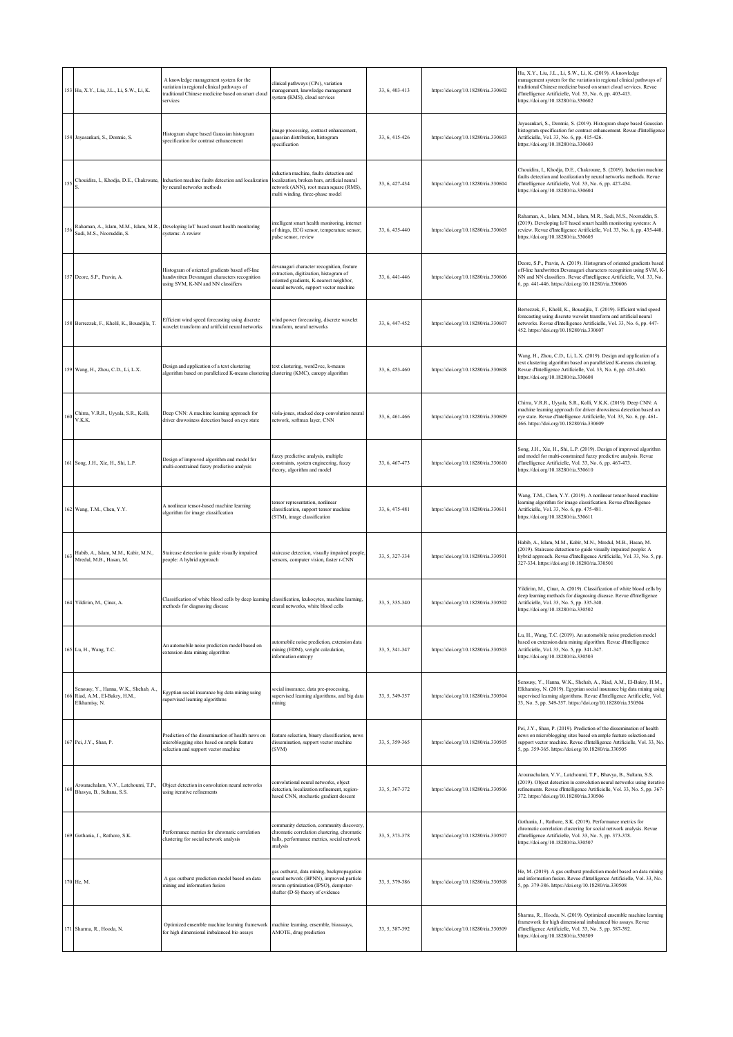|     | 153 Hu, X.Y., Liu, J.L., Li, S.W., Li, K.                                                 | A knowledge management system for the<br>variation in regional clinical pathways of<br>traditional Chinese medicine based on smart cloud<br>ervices | clinical pathways (CPs), variation<br>management, knowledge management<br>system (KMS), cloud services                                                                   | 33, 6, 403-413 | https://doi.org/10.18280/ria.330602 | Hu, X.Y., Liu, J.L., Li, S.W., Li, K. (2019). A knowledge<br>management system for the variation in regional clinical pathways of<br>raditional Chinese medicine based on smart cloud services. Revue<br>d'Intelligence Artificielle, Vol. 33, No. 6, pp. 403-413.<br>https://doi.org/10.18280/ria.330602 |
|-----|-------------------------------------------------------------------------------------------|-----------------------------------------------------------------------------------------------------------------------------------------------------|--------------------------------------------------------------------------------------------------------------------------------------------------------------------------|----------------|-------------------------------------|-----------------------------------------------------------------------------------------------------------------------------------------------------------------------------------------------------------------------------------------------------------------------------------------------------------|
|     | 154 Jayasankari, S., Domnic, S.                                                           | Histogram shape based Gaussian histogram<br>pecification for contrast enhancement                                                                   | image processing, contrast enhancement,<br>gaussian distribution, histogram<br>specification                                                                             | 33, 6, 415-426 | https://doi.org/10.18280/ria.330603 | Jayasankari, S., Domnic, S. (2019). Histogram shape based Gaussian<br>histogram specification for contrast enhancement. Revue d'Intelligence<br>Artificielle, Vol. 33, No. 6, pp. 415-426.<br>https://doi.org/10.18280/ria.330603                                                                         |
| 155 | Chouidira, I., Khodja, D.E., Chakroune,                                                   | Induction machine faults detection and localization<br>by neural networks methods                                                                   | induction machine, faults detection and<br>localization, broken bars, artificial neural<br>network (ANN), root mean square (RMS),<br>multi winding, three-phase model    | 33, 6, 427-434 | https://doi.org/10.18280/ria.330604 | Chouidira, I., Khodja, D.E., Chakroune, S. (2019). Induction machine<br>faults detection and localization by neural networks methods. Revue<br>d'Intelligence Artificielle, Vol. 33, No. 6, pp. 427-434.<br>https://doi.org/10.18280/ria.330604                                                           |
| 156 | Sadi, M.S., Nooruddin, S.                                                                 | Rahaman, A., Islam, M.M., Islam, M.R., Developing IoT based smart health monitoring<br>systems: A review                                            | intelligent smart health monitoring, internet<br>of things, ECG sensor, temperature sensor,<br>pulse sensor, review                                                      | 33, 6, 435-440 | https://doi.org/10.18280/ria.330605 | Rahaman, A., Islam, M.M., Islam, M.R., Sadi, M.S., Nooruddin, S.<br>2019). Developing IoT based smart health monitoring systems: A<br>review. Revue d'Intelligence Artificielle, Vol. 33, No. 6, pp. 435-440.<br>https://doi.org/10.18280/ria.330605                                                      |
|     | 157 Deore, S.P., Pravin, A.                                                               | Histogram of oriented gradients based off-line<br>handwritten Devanagari characters recognition<br>asing SVM, K-NN and NN classifiers               | devanagari character recognition, feature<br>extraction, digitization, histogram of<br>oriented gradients, K-nearest neighbor,<br>neural network, support vector machine | 33, 6, 441-446 | https://doi.org/10.18280/ria.330606 | Deore, S.P., Pravin, A. (2019). Histogram of oriented gradients based<br>off-line handwritten Devanagari characters recognition using SVM, K-<br>NN and NN classifiers. Revue d'Intelligence Artificielle, Vol. 33, No.<br>6, pp. 441-446. https://doi.org/10.18280/ria.330606                            |
|     | 158 Berrezzek, F., Khelil, K., Bouadjila, T.                                              | Efficient wind speed forecasting using discrete<br>vavelet transform and artificial neural networks                                                 | wind power forecasting, discrete wavelet<br>transform, neural networks                                                                                                   | 33, 6, 447-452 | https://doi.org/10.18280/ria.330607 | Berrezzek, F., Khelil, K., Bouadjila, T. (2019). Efficient wind speed<br>forecasting using discrete wavelet transform and artificial neural<br>networks. Revue d'Intelligence Artificielle, Vol. 33, No. 6, pp. 447-<br>452. https://doi.org/10.18280/ria.330607                                          |
|     | 159 Wang, H., Zhou, C.D., Li, L.X.                                                        | Design and application of a text clustering<br>algorithm based on parallelized K-means clustering clustering (KMC), canopy algorithm                | text clustering, word2vec, k-means                                                                                                                                       | 33, 6, 453-460 | https://doi.org/10.18280/ria.330608 | Wang, H., Zhou, C.D., Li, L.X. (2019). Design and application of a<br>text clustering algorithm based on parallelized K-means clustering.<br>Revue d'Intelligence Artificielle, Vol. 33, No. 6, pp. 453-460.<br>https://doi.org/10.18280/ria.330608                                                       |
|     | 160 Chirra, V.R.R., Uyyala, S.R., Kolli,<br>V.K.K.                                        | Deep CNN: A machine learning approach for<br>driver drowsiness detection based on eye state                                                         | viola-jones, stacked deep convolution neural<br>network, softmax layer, CNN                                                                                              | 33, 6, 461-466 | https://doi.org/10.18280/ria.330609 | Chirra, V.R.R., Uyyala, S.R., Kolli, V.K.K. (2019). Deep CNN: A<br>machine learning approach for driver drowsiness detection based on<br>eye state. Revue d'Intelligence Artificielle, Vol. 33, No. 6, pp. 461-<br>466. https://doi.org/10.18280/ria.330609                                               |
|     | 161 Song, J.H., Xie, H., Shi, L.P.                                                        | Design of improved algorithm and model for<br>nulti-constrained fuzzy predictive analysis                                                           | fuzzy predictive analysis, multiple<br>constraints, system engineering, fuzzy<br>theory, algorithm and model                                                             | 33, 6, 467-473 | https://doi.org/10.18280/ria.330610 | Song, J.H., Xie, H., Shi, L.P. (2019). Design of improved algorithm<br>and model for multi-constrained fuzzy predictive analysis. Revue<br>d'Intelligence Artificielle, Vol. 33, No. 6, pp. 467-473.<br>https://doi.org/10.18280/ria.330610                                                               |
|     | 162 Wang, T.M., Chen, Y.Y.                                                                | A nonlinear tensor-based machine learning<br>algorithm for image classification                                                                     | tensor representation, nonlinear<br>classification, support tensor machine<br>(STM), image classification                                                                | 33, 6, 475-481 | https://doi.org/10.18280/ria.330611 | Wang, T.M., Chen, Y.Y. (2019). A nonlinear tensor-based machine<br>learning algorithm for image classification. Revue d'Intelligence<br>Artificielle, Vol. 33, No. 6, pp. 475-481.<br>https://doi.org/10.18280/ria.330611                                                                                 |
| 163 | Habib, A., Islam, M.M., Kabir, M.N.,<br>Mredul, M.B., Hasan, M.                           | Staircase detection to guide visually impaired<br>people: A hybrid approach                                                                         | staircase detection, visually impaired people,<br>sensors, computer vision, faster r-CNN                                                                                 | 33, 5, 327-334 | https://doi.org/10.18280/ria.330501 | Habib, A., Islam, M.M., Kabir, M.N., Mredul, M.B., Hasan, M.<br>(2019). Staircase detection to guide visually impaired people: A<br>hybrid approach. Revue d'Intelligence Artificielle, Vol. 33, No. 5, pp.<br>327-334. https://doi.org/10.18280/ria.330501                                               |
|     | 164 Yildirim, M., Çinar, A.                                                               | Classification of white blood cells by deep learning classification, leukocytes, machine learning,<br>methods for diagnosing disease                | neural networks, white blood cells                                                                                                                                       | 33, 5, 335-340 | https://doi.org/10.18280/ria.330502 | Yildirim, M., Çinar, A. (2019). Classification of white blood cells by<br>deep learning methods for diagnosing disease. Revue d'Intelligence<br>Artificielle, Vol. 33, No. 5, pp. 335-340.<br>https://doi.org/10.18280/ria.330502                                                                         |
|     | 165 Lu, H., Wang, T.C.                                                                    | An automobile noise prediction model based on<br>extension data mining algorithm                                                                    | automobile noise prediction, extension data<br>mining (EDM), weight calculation,<br>information entropy                                                                  | 33, 5, 341-347 | https://doi.org/10.18280/ria.330503 | Lu, H., Wang, T.C. (2019). An automobile noise prediction model<br>based on extension data mining algorithm. Revue d'Intelligence<br>Artificielle, Vol. 33, No. 5, pp. 341-347.<br>https://doi.org/10.18280/ria.330503                                                                                    |
|     | Senousy, Y., Hanna, W.K., Shehab, A.,<br>166 Riad, A.M., El-Bakry, H.M.,<br>Elkhamisy, N. | Egyptian social insurance big data mining using<br>upervised learning algorithms                                                                    | social insurance, data pre-processing,<br>supervised learning algorithms, and big data<br>mining                                                                         | 33, 5, 349-357 | https://doi.org/10.18280/ria.330504 | Senousy, Y., Hanna, W.K., Shehab, A., Riad, A.M., El-Bakry, H.M.,<br>Elkhamisy, N. (2019). Egyptian social insurance big data mining using<br>supervised learning algorithms. Revue d'Intelligence Artificielle, Vol.<br>33, No. 5, pp. 349-357. https://doi.org/10.18280/ria.330504                      |
|     | 167 Pei, J.Y., Shan, P.                                                                   | Prediction of the dissemination of health news on<br>microblogging sites based on ample feature<br>selection and support vector machine             | feature selection, binary classification, news<br>dissemination, support vector machine<br>(SVM)                                                                         | 33, 5, 359-365 | https://doi.org/10.18280/ria.330505 | Pei, J.Y., Shan, P. (2019). Prediction of the dissemination of health<br>news on microblogging sites based on ample feature selection and<br>support vector machine. Revue d'Intelligence Artificielle, Vol. 33, No.<br>5, pp. 359-365. https://doi.org/10.18280/ria.330505                               |
| 168 | Arounachalam, V.V., Latchoumi, T.P.,<br>Bhavya, B., Sultana, S.S.                         | Object detection in convolution neural networks<br>using iterative refinements                                                                      | convolutional neural networks, object<br>detection, localization refinement, region-<br>based CNN, stochastic gradient descent                                           | 33, 5, 367-372 | https://doi.org/10.18280/ria.330506 | Arounachalam, V.V., Latchoumi, T.P., Bhavya, B., Sultana, S.S.<br>(2019). Object detection in convolution neural networks using iterative<br>refinements. Revue d'Intelligence Artificielle, Vol. 33, No. 5, pp. 367-<br>372. https://doi.org/10.18280/ria.330506                                         |
|     | 169 Gothania, J., Rathore, S.K.                                                           | Performance metrics for chromatic correlation<br>clustering for social network analysis                                                             | community detection, community discovery,<br>chromatic correlation clustering, chromatic<br>balls, performance metrics, social network<br>analysis                       | 33, 5, 373-378 | https://doi.org/10.18280/ria.330507 | Gothania, J., Rathore, S.K. (2019). Performance metrics for<br>chromatic correlation clustering for social network analysis. Revue<br>d'Intelligence Artificielle, Vol. 33, No. 5, pp. 373-378.<br>https://doi.org/10.18280/ria.330507                                                                    |
|     | 170 He, M.                                                                                | A gas outburst prediction model based on data<br>nining and information fusion                                                                      | gas outburst, data mining, backpropagation<br>neural network (BPNN), improved particle<br>swarm optimization (IPSO), dempster-<br>shafter (D-S) theory of evidence       | 33, 5, 379-386 | https://doi.org/10.18280/ria.330508 | He, M. (2019). A gas outburst prediction model based on data mining<br>and information fusion. Revue d'Intelligence Artificielle, Vol. 33, No.<br>5, pp. 379-386. https://doi.org/10.18280/ria.330508                                                                                                     |
|     | 171 Sharma, R., Hooda, N.                                                                 | Optimized ensemble machine learning framework<br>for high dimensional imbalanced bio assays                                                         | machine learning, ensemble, bioassays,<br>AMOTE, drug prediction                                                                                                         | 33, 5, 387-392 | https://doi.org/10.18280/ria.330509 | Sharma, R., Hooda, N. (2019). Optimized ensemble machine learning<br>framework for high dimensional imbalanced bio assays. Revue<br>d'Intelligence Artificielle, Vol. 33, No. 5, pp. 387-392.<br>https://doi.org/10.18280/ria.330509                                                                      |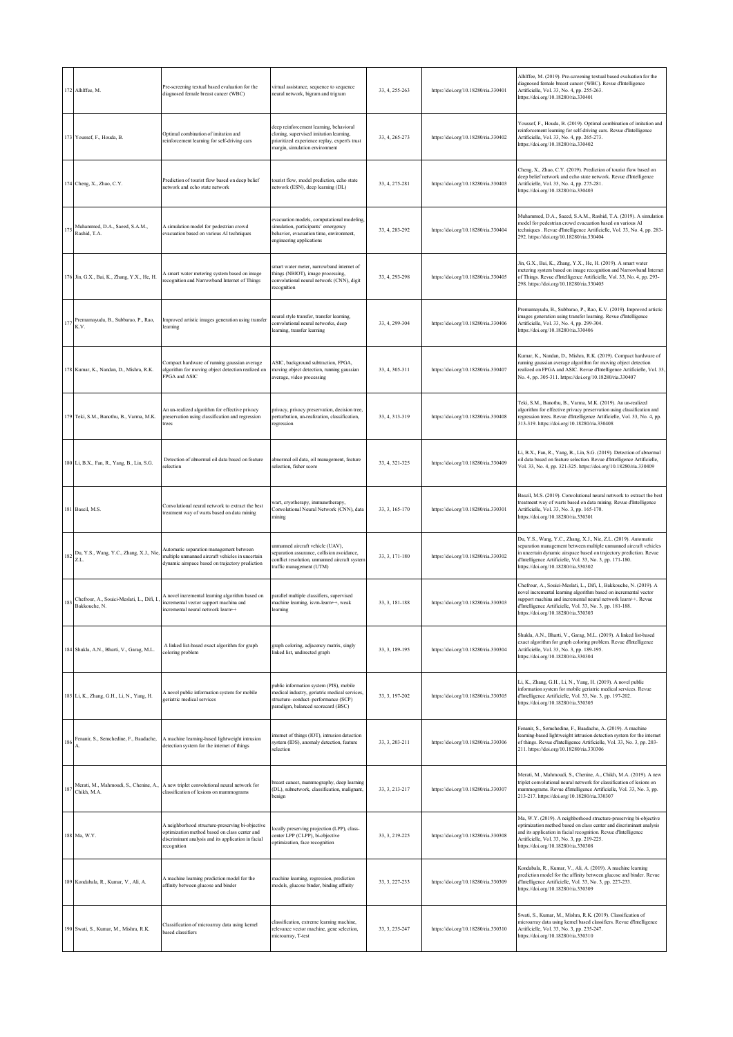|     | 172 Alhlffee, M.                                             | Pre-screening textual based evaluation for the<br>diagnosed female breast cancer (WBC)                                                                                  | virtual assistance, sequence to sequence<br>neural network, bigram and trigram                                                                                        | 33, 4, 255-263 | https://doi.org/10.18280/ria.330401 | Alhlffee, M. (2019). Pre-screening textual based evaluation for the<br>diagnosed female breast cancer (WBC). Revue d'Intelligence<br>Artificielle, Vol. 33, No. 4, pp. 255-263.<br>https://doi.org/10.18280/ria.330401                                                                                         |
|-----|--------------------------------------------------------------|-------------------------------------------------------------------------------------------------------------------------------------------------------------------------|-----------------------------------------------------------------------------------------------------------------------------------------------------------------------|----------------|-------------------------------------|----------------------------------------------------------------------------------------------------------------------------------------------------------------------------------------------------------------------------------------------------------------------------------------------------------------|
|     | 173 Youssef, F., Houda, B.                                   | Optimal combination of imitation and<br>reinforcement learning for self-driving cars                                                                                    | deep reinforcement learning, behavioral<br>cloning, supervised imitation learning,<br>prioritized experience replay, expert's trust<br>nargin, simulation environment | 33, 4, 265-273 | https://doi.org/10.18280/ria.330402 | Youssef, F., Houda, B. (2019). Optimal combination of imitation and<br>reinforcement learning for self-driving cars. Revue d'Intelligence<br>Artificielle, Vol. 33, No. 4, pp. 265-273.<br>https://doi.org/10.18280/ria.330402                                                                                 |
|     | 174 Cheng, X., Zhao, C.Y.                                    | Prediction of tourist flow based on deep belief<br>network and echo state network                                                                                       | ourist flow, model prediction, echo state<br>network (ESN), deep learning (DL)                                                                                        | 33, 4, 275-281 | https://doi.org/10.18280/ria.330403 | Cheng, X., Zhao, C.Y. (2019). Prediction of tourist flow based on<br>deep belief network and echo state network. Revue d'Intelligence<br>Artificielle, Vol. 33, No. 4, pp. 275-281.<br>https://doi.org/10.18280/ria.330403                                                                                     |
| 175 | Muhammed, D.A., Saeed, S.A.M.,<br>Rashid, T.A.               | A simulation model for pedestrian crowd<br>evacuation based on various AI techniques                                                                                    | evacuation models, computational modeling,<br>simulation, participants' emergency<br>behavior, evacuation time, environment,<br>engineering applications              | 33, 4, 283-292 | https://doi.org/10.18280/ria.330404 | Muhammed, D.A., Saeed, S.A.M., Rashid, T.A. (2019). A simulation<br>model for pedestrian crowd evacuation based on various AI<br>techniques . Revue d'Intelligence Artificielle, Vol. 33, No. 4, pp. 283-<br>292. https://doi.org/10.18280/ria.330404                                                          |
|     | 176 Jin, G.X., Bai, K., Zhang, Y.X., He, H.                  | A smart water metering system based on image<br>ecognition and Narrowband Internet of Things                                                                            | mart water meter, narrowband internet of<br>things (NBIOT), image processing,<br>convolutional neural network (CNN), digit<br>ecognition                              | 33, 4, 293-298 | https://doi.org/10.18280/ria.330405 | Jin, G.X., Bai, K., Zhang, Y.X., He, H. (2019). A smart water<br>metering system based on image recognition and Narrowband Internet<br>of Things. Revue d'Intelligence Artificielle, Vol. 33, No. 4, pp. 293-<br>298. https://doi.org/10.18280/ria.330405                                                      |
|     | Premamayudu, B., Subbarao, P., Rao,<br>K.V.                  | Improved artistic images generation using transfer<br>learning                                                                                                          | eural style transfer, transfer learning,<br>onvolutional neural networks, deep<br>learning, transfer learning                                                         | 33, 4, 299-304 | https://doi.org/10.18280/ria.330406 | Premamayudu, B., Subbarao, P., Rao, K.V. (2019). Improved artistic<br>images generation using transfer learning. Revue d'Intelligence<br>Artificielle, Vol. 33, No. 4, pp. 299-304.<br>https://doi.org/10.18280/ria.330406                                                                                     |
|     | 178 Kumar, K., Nandan, D., Mishra, R.K.                      | Compact hardware of running gaussian average<br>algorithm for moving object detection realized on<br>FPGA and ASIC                                                      | ASIC, background subtraction, FPGA,<br>moving object detection, running gaussian<br>average, video processing                                                         | 33, 4, 305-311 | https://doi.org/10.18280/ria.330407 | Kumar, K., Nandan, D., Mishra, R.K. (2019). Compact hardware of<br>running gaussian average algorithm for moving object detection<br>realized on FPGA and ASIC. Revue d'Intelligence Artificielle, Vol. 33,<br>No. 4, pp. 305-311. https://doi.org/10.18280/ria.330407                                         |
|     | 179 Teki, S.M., Banothu, B., Varma, M.K.                     | An un-realized algorithm for effective privacy<br>preservation using classification and regression<br>rees                                                              | privacy, privacy preservation, decision tree,<br>perturbation, un-realization, classification,<br>regression                                                          | 33, 4, 313-319 | https://doi.org/10.18280/ria.330408 | Teki, S.M., Banothu, B., Varma, M.K. (2019). An un-realized<br>algorithm for effective privacy preservation using classification and<br>regression trees. Revue d'Intelligence Artificielle, Vol. 33, No. 4, pp.<br>313-319. https://doi.org/10.18280/ria.330408                                               |
|     | 180 Li, B.X., Fan, R., Yang, B., Lin, S.G.                   | Detection of abnormal oil data based on feature<br>selection                                                                                                            | abnormal oil data, oil management, feature<br>selection, fisher score                                                                                                 | 33, 4, 321-325 | https://doi.org/10.18280/ria.330409 | Li, B.X., Fan, R., Yang, B., Lin, S.G. (2019). Detection of abnormal<br>oil data based on feature selection. Revue d'Intelligence Artificielle,<br>Vol. 33, No. 4, pp. 321-325. https://doi.org/10.18280/ria.330409                                                                                            |
|     | 181 Bascil, M.S.                                             | Convolutional neural network to extract the best<br>treatment way of warts based on data mining                                                                         | vart, cryotherapy, immunotherapy,<br>Convolutional Neural Network (CNN), data<br>nining                                                                               | 33, 3, 165-170 | https://doi.org/10.18280/ria.330301 | Bascil, M.S. (2019). Convolutional neural network to extract the best<br>treatment way of warts based on data mining. Revue d'Intelligence<br>Artificielle, Vol. 33, No. 3, pp. 165-170.<br>https://doi.org/10.18280/ria.330301                                                                                |
|     | 182 Du, Y.S., Wang, Y.C., Zhang, X.J., Nie, Z.L.             | Automatic separation management between<br>multiple unmanned aircraft vehicles in uncertain<br>dynamic airspace based on trajectory prediction                          | mmanned aircraft vehicle (UAV),<br>eparation assurance, collision avoidance,<br>conflict resolution, unmanned aircraft system<br>traffic management (UTM)             | 33, 3, 171-180 | https://doi.org/10.18280/ria.330302 | Du, Y.S., Wang, Y.C., Zhang, X.J., Nie, Z.L. (2019). Automatic<br>separation management between multiple unmanned aircraft vehicles<br>in uncertain dynamic airspace based on trajectory prediction. Revue<br>d'Intelligence Artificielle, Vol. 33, No. 3, pp. 171-180.<br>https://doi.org/10.18280/ria.330302 |
| 183 | Chefrour, A., Souici-Meslati, L., Difi, I.,<br>Bakkouche, N. | A novel incremental learning algorithm based on<br>incremental vector support machina and<br>incremental neural network learn++                                         | parallel multiple classifiers, supervised<br>machine learning, isvm-learn++, weak<br>learning                                                                         | 33, 3, 181-188 | https://doi.org/10.18280/ria.330303 | Chefrour, A., Souici-Meslati, L., Difi, I., Bakkouche, N. (2019). A<br>novel incremental learning algorithm based on incremental vector<br>support machina and incremental neural network learn++. Revue<br>d'Intelligence Artificielle, Vol. 33, No. 3, pp. 181-188.<br>https://doi.org/10.18280/ria.330303   |
|     | 184 Shukla, A.N., Bharti, V., Garag, M.L.                    | A linked list-based exact algorithm for graph<br>coloring problem                                                                                                       | graph coloring, adjacency matrix, singly<br>linked list, undirected graph                                                                                             | 33, 3, 189-195 | https://doi.org/10.18280/ria.330304 | Shukla, A.N., Bharti, V., Garag, M.L. (2019). A linked list-based<br>exact algorithm for graph coloring problem. Revue d'Intelligence<br>Artificielle, Vol. 33, No. 3, pp. 189-195.<br>https://doi.org/10.18280/ria.330304                                                                                     |
|     | 185 Li, K., Zhang, G.H., Li, N., Yang, H.                    | A novel public information system for mobile<br>geriatric medical services                                                                                              | public information system (PIS), mobile<br>medical industry, geriatric medical services,<br>structure-conduct-performance (SCP)<br>paradigm, balanced scorecard (BSC) | 33, 3, 197-202 | https://doi.org/10.18280/ria.330305 | Li, K., Zhang, G.H., Li, N., Yang, H. (2019). A novel public<br>information system for mobile geriatric medical services. Revue<br>d'Intelligence Artificielle, Vol. 33, No. 3, pp. 197-202.<br>https://doi.org/10.18280/ria.330305                                                                            |
| 186 | Feranir, S., Semchedine, F., Baadache,                       | A machine learning-based lightweight intrusion<br>detection system for the internet of things                                                                           | nternet of things (IOT), intrusion detection<br>system (IDS), anomaly detection, feature<br>selection                                                                 | 33, 3, 203-211 | https://doi.org/10.18280/ria.330306 | Fenanir, S., Semchedine, F., Baadache, A. (2019). A machine<br>learning-based lightweight intrusion detection system for the internet<br>of things. Revue d'Intelligence Artificielle, Vol. 33, No. 3, pp. 203-<br>211. https://doi.org/10.18280/ria.330306                                                    |
| 187 | Merati, M., Mahmoudi, S., Chenine, A.,<br>Chikh, M.A.        | A new triplet convolutional neural network for<br>classification of lesions on mammograms                                                                               | reast cancer, mammography, deep learning<br>(DL), subnetwork, classification, malignant,<br>benign                                                                    | 33, 3, 213-217 | https://doi.org/10.18280/ria.330307 | Merati, M., Mahmoudi, S., Chenine, A., Chikh, M.A. (2019). A new<br>triplet convolutional neural network for classification of lesions on<br>mammograms. Revue d'Intelligence Artificielle, Vol. 33, No. 3, pp.<br>213-217. https://doi.org/10.18280/ria.330307                                                |
|     | 188 Ma, W.Y.                                                 | A neighborhood structure-preserving bi-objective<br>optimization method based on class center and<br>discriminant analysis and its application in facial<br>recognition | locally preserving projection (LPP), class-<br>center LPP (CLPP), bi-objective<br>optimization, face recognition                                                      | 33, 3, 219-225 | https://doi.org/10.18280/ria.330308 | Ma, W.Y. (2019). A neighborhood structure-preserving bi-objective<br>optimization method based on class center and discriminant analysis<br>and its application in facial recognition. Revue d'Intelligence<br>Artificielle, Vol. 33, No. 3, pp. 219-225.<br>https://doi.org/10.18280/ria.330308               |
|     | 189 Kondabala, R., Kumar, V., Ali, A.                        | A machine learning prediction model for the<br>affinity between glucose and binder                                                                                      | nachine learning, regression, prediction<br>nodels, glucose binder, binding affinity                                                                                  | 33, 3, 227-233 | https://doi.org/10.18280/ria.330309 | Kondabala, R., Kumar, V., Ali, A. (2019). A machine learning<br>prediction model for the affinity between glucose and binder. Revue<br>d'Intelligence Artificielle, Vol. 33, No. 3, pp. 227-233.<br>https://doi.org/10.18280/ria.330309                                                                        |
|     | 190 Swati, S., Kumar, M., Mishra, R.K.                       | Classification of microarray data using kernel<br>vased classifiers                                                                                                     | classification, extreme learning machine,<br>relevance vector machine, gene selection,<br>microarray, T-test                                                          | 33, 3, 235-247 | https://doi.org/10.18280/ria.330310 | Swati, S., Kumar, M., Mishra, R.K. (2019). Classification of<br>microarray data using kernel based classifiers. Revue d'Intelligence<br>Artificielle, Vol. 33, No. 3, pp. 235-247.<br>https://doi.org/10.18280/ria.330310                                                                                      |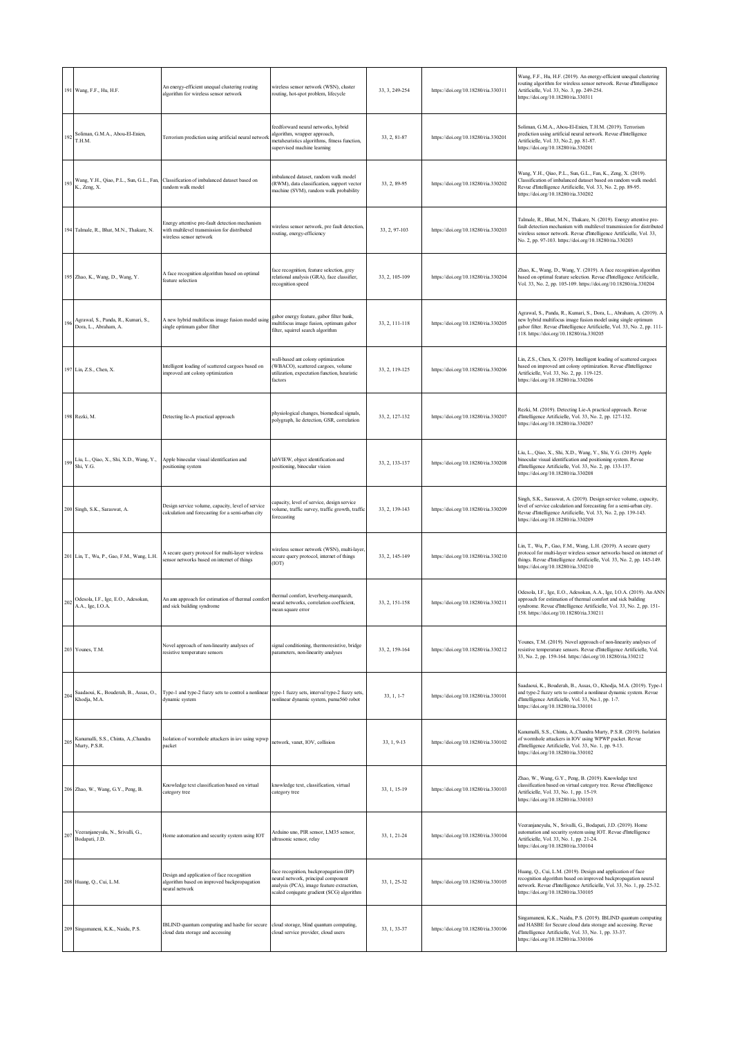| 191 Wang, F.F., Hu, H.F.                                                                        | An energy-efficient unequal clustering routing<br>algorithm for wireless sensor network                                   | wireless sensor network (WSN), cluster<br>routing, hot-spot problem, lifecycle                                                                                         | 33, 3, 249-254 | https://doi.org/10.18280/ria.330311 | Wang, F.F., Hu, H.F. (2019). An energy-efficient unequal clustering<br>routing algorithm for wireless sensor network. Revue d'Intelligence<br>Artificielle, Vol. 33, No. 3, pp. 249-254.<br>https://doi.org/10.18280/ria.330311                                                |
|-------------------------------------------------------------------------------------------------|---------------------------------------------------------------------------------------------------------------------------|------------------------------------------------------------------------------------------------------------------------------------------------------------------------|----------------|-------------------------------------|--------------------------------------------------------------------------------------------------------------------------------------------------------------------------------------------------------------------------------------------------------------------------------|
| 192 Soliman, G.M.A., Abou-El-Enien,<br>T.H.M.                                                   | Terrorism prediction using artificial neural network                                                                      | feedforward neural networks, hybrid<br>algorithm, wrapper approach,<br>metaheuristics algorithms, fitness function,<br>supervised machine learning                     | 33, 2, 81-87   | https://doi.org/10.18280/ria.330201 | Soliman, G.M.A., Abou-El-Enien, T.H.M. (2019). Terrorism<br>prediction using artificial neural network. Revue d'Intelligence<br>Artificielle, Vol. 33, No.2, pp. 81-87.<br>https://doi.org/10.18280/ria.330201                                                                 |
| Wang, Y.H., Qiao, P.L., Sun, G.L., Fan,<br>K., Zeng, X.                                         | Classification of imbalanced dataset based on<br>random walk model                                                        | mbalanced dataset, random walk model<br>RWM), data classification, support vector<br>nachine (SVM), random walk probability                                            | 33, 2, 89-95   | https://doi.org/10.18280/ria.330202 | Wang, Y.H., Qiao, P.L., Sun, G.L., Fan, K., Zeng, X. (2019).<br>Classification of imbalanced dataset based on random walk model.<br>Revue d'Intelligence Artificielle, Vol. 33, No. 2, pp. 89-95.<br>https://doi.org/10.18280/ria.330202                                       |
| 194 Talmale, R., Bhat, M.N., Thakare, N.                                                        | Energy attentive pre-fault detection mechanism<br>with multilevel transmission for distributed<br>wireless sensor network | wireless sensor network, pre fault detection,<br>routing, energy-efficiency                                                                                            | 33, 2, 97-103  | https://doi.org/10.18280/ria.330203 | Talmale, R., Bhat, M.N., Thakare, N. (2019). Energy attentive pre-<br>fault detection mechanism with multilevel transmission for distributed<br>wireless sensor network. Revue d'Intelligence Artificielle, Vol. 33,<br>No. 2, pp. 97-103. https://doi.org/10.18280/ria.330203 |
| 195 Zhao, K., Wang, D., Wang, Y.                                                                | A face recognition algorithm based on optimal<br>eature selection                                                         | face recognition, feature selection, grey<br>relational analysis (GRA), face classifier,<br>recognition speed                                                          | 33, 2, 105-109 | https://doi.org/10.18280/ria.330204 | Zhao, K., Wang, D., Wang, Y. (2019). A face recognition algorithm<br>based on optimal feature selection. Revue d'Intelligence Artificielle,<br>Vol. 33, No. 2, pp. 105-109. https://doi.org/10.18280/ria.330204                                                                |
| Agrawal, S., Panda, R., Kumari, S.,<br>196 $\overleftrightarrow{\textrm{Dora}}$ L., Abraham, A. | A new hybrid multifocus image fusion model using<br>single optimum gabor filter                                           | gabor energy feature, gabor filter bank,<br>nultifocus image fusion, optimum gabor<br>filter, squirrel search algorithm                                                | 33, 2, 111-118 | https://doi.org/10.18280/ria.330205 | Agrawal, S., Panda, R., Kumari, S., Dora, L., Abraham, A. (2019). A<br>new hybrid multifocus image fusion model using single optimum<br>gabor filter. Revue d'Intelligence Artificielle, Vol. 33, No. 2, pp. 111-<br>118. https://doi.org/10.18280/ria.330205                  |
| 197 Lin, Z.S., Chen, X.                                                                         | Intelligent loading of scattered cargoes based on<br>improved ant colony optimization                                     | wall-based ant colony optimization<br>(WBACO), scattered cargoes, volume<br>utilization, expectation function, heuristic<br>factors                                    | 33, 2, 119-125 | https://doi.org/10.18280/ria.330206 | Lin, Z.S., Chen, X. (2019). Intelligent loading of scattered cargoes<br>based on improved ant colony optimization. Revue d'Intelligence<br>Artificielle, Vol. 33, No. 2, pp. 119-125.<br>https://doi.org/10.18280/ria.330206                                                   |
| 198 Rezki, M.                                                                                   | Detecting lie-A practical approach                                                                                        | physiological changes, biomedical signals,<br>olygraph, lie detection, GSR, correlation                                                                                | 33, 2, 127-132 | https://doi.org/10.18280/ria.330207 | Rezki, M. (2019). Detecting Lie-A practical approach. Revue<br>d'Intelligence Artificielle, Vol. 33, No. 2, pp. 127-132.<br>https://doi.org/10.18280/ria.330207                                                                                                                |
| Liu, L., Qiao, X., Shi, X.D., Wang, Y., Shi, Y.G.                                               | Apple binocular visual identification and<br>positioning system                                                           | labVIEW, object identification and<br>positioning, binocular vision                                                                                                    | 33, 2, 133-137 | https://doi.org/10.18280/ria.330208 | Liu, L., Qiao, X., Shi, X.D., Wang, Y., Shi, Y.G. (2019). Apple<br>binocular visual identification and positioning system. Revue<br>d'Intelligence Artificielle, Vol. 33, No. 2, pp. 133-137.<br>https://doi.org/10.18280/ria.330208                                           |
| 200 Singh, S.K., Saraswat, A.                                                                   | Design service volume, capacity, level of service<br>calculation and forecasting for a semi-urban city                    | capacity, level of service, design service<br>olume, traffic survey, traffic growth, traffic<br>orecasting                                                             | 33, 2, 139-143 | https://doi.org/10.18280/ria.330209 | Singh, S.K., Saraswat, A. (2019). Design service volume, capacity,<br>level of service calculation and forecasting for a semi-urban city.<br>Revue d'Intelligence Artificielle, Vol. 33, No. 2, pp. 139-143.<br>https://doi.org/10.18280/ria.330209                            |
| 201 Lin, T., Wu, P., Gao, F.M., Wang, L.H.                                                      | A secure query protocol for multi-layer wireless<br>sensor networks based on internet of things                           | vireless sensor network (WSN), multi-layer<br>ecure query protocol, internet of things<br>(TOI)                                                                        | 33, 2, 145-149 | https://doi.org/10.18280/ria.330210 | Lin, T., Wu, P., Gao, F.M., Wang, L.H. (2019). A secure query<br>protocol for multi-layer wireless sensor networks based on internet of<br>things. Revue d'Intelligence Artificielle, Vol. 33, No. 2, pp. 145-149.<br>https://doi.org/10.18280/ria.330210                      |
| Odesola, I.F., Ige, E.O., Adesokan,<br>A.A., Ige, I.O.A.                                        | An ann approach for estimation of thermal comfort<br>and sick building syndrome                                           | thermal comfort, leverberg-marquardt,<br>neural networks, correlation coefficient,<br>mean square error                                                                | 33, 2, 151-158 | https://doi.org/10.18280/ria.330211 | Odesola, I.F., Ige, E.O., Adesokan, A.A., Ige, I.O.A. (2019). An ANN<br>approach for estimation of thermal comfort and sick building<br>syndrome. Revue d'Intelligence Artificielle, Vol. 33, No. 2, pp. 151-<br>158. https://doi.org/10.18280/ria.330211                      |
| 203 Younes, T.M.                                                                                | Novel approach of non-linearity analyses of<br>esistive temperature sensors                                               | signal conditioning, thermoresistive, bridge<br>parameters, non-linearity analyses                                                                                     | 33, 2, 159-164 | https://doi.org/10.18280/ria.330212 | Younes, T.M. (2019). Novel approach of non-linearity analyses of<br>resistive temperature sensors. Revue d'Intelligence Artificielle, Vol.<br>33, No. 2, pp. 159-164. https://doi.org/10.18280/ria.330212                                                                      |
| 204 Saadaoui, K., Bouderah, B., Assas, O., Khodja, M.A.                                         | Type-1 and type-2 fuzzy sets to control a nonlinear<br>dynamic system                                                     | type-1 fuzzy sets, interval type-2 fuzzy sets,<br>nonlinear dynamic system, puma560 robot                                                                              | $33, 1, 1-7$   | https://doi.org/10.18280/ria.330101 | Saadaoui, K., Bouderah, B., Assas, O., Khodja, M.A. (2019). Type-1<br>and type-2 fuzzy sets to control a nonlinear dynamic system. Revue<br>d'Intelligence Artificielle, Vol. 33, No.1, pp. 1-7.<br>https://doi.org/10.18280/ria.330101                                        |
| 205 Kanumalli, S.S., Chinta, A., Chandra<br>Murty, P.S.R.                                       | solation of wormhole attackers in iov using wpwp<br>packet                                                                | network, vanet, IOV, collision                                                                                                                                         | 33, 1, 9-13    | https://doi.org/10.18280/ria.330102 | Kanumalli, S.S., Chinta, A., Chandra Murty, P.S.R. (2019). Isolation<br>of wormhole attackers in IOV using WPWP packet. Revue<br>d'Intelligence Artificielle, Vol. 33, No. 1, pp. 9-13.<br>https://doi.org/10.18280/ria.330102                                                 |
| 206 Zhao, W., Wang, G.Y., Peng, B.                                                              | Knowledge text classification based on virtual<br>category tree                                                           | knowledge text, classification, virtual<br>category tree                                                                                                               | 33, 1, 15-19   | https://doi.org/10.18280/ria.330103 | Zhao, W., Wang, G.Y., Peng, B. (2019). Knowledge text<br>classification based on virtual category tree. Revue d'Intelligence<br>Artificielle, Vol. 33, No. 1, pp. 15-19.<br>https://doi.org/10.18280/ria.330103                                                                |
| Veeranjaneyulu, N., Srivalli, G.,<br>$207$ $\sum_{\text{Bodapati, J.D.}}$                       | Home automation and security system using IOT                                                                             | Arduino uno, PIR sensor, LM35 sensor,<br>ultrasonic sensor, relay                                                                                                      | 33, 1, 21-24   | https://doi.org/10.18280/ria.330104 | Veeranjaneyulu, N., Srivalli, G., Bodapati, J.D. (2019). Home<br>automation and security system using IOT. Revue d'Intelligence<br>Artificielle, Vol. 33, No. 1, pp. 21-24.<br>https://doi.org/10.18280/ria.330104                                                             |
| 208 Huang, Q., Cui, L.M.                                                                        | Design and application of face recognition<br>algorithm based on improved backpropagation<br>neural network               | face recognition, backpropagation (BP)<br>eural network, principal component<br>analysis (PCA), image feature extraction,<br>scaled conjugate gradient (SCG) algorithm | 33, 1, 25-32   | https://doi.org/10.18280/ria.330105 | Huang, Q., Cui, L.M. (2019). Design and application of face<br>recognition algorithm based on improved backpropagation neural<br>network. Revue d'Intelligence Artificielle, Vol. 33, No. 1, pp. 25-32.<br>https://doi.org/10.18280/ria.330105                                 |
| 209 Singamaneni, K.K., Naidu, P.S.                                                              | BLIND quantum computing and hasbe for secure<br>cloud data storage and accessing                                          | cloud storage, blind quantum computing,<br>cloud service provider, cloud users                                                                                         | 33, 1, 33-37   | https://doi.org/10.18280/ria.330106 | Singamaneni, K.K., Naidu, P.S. (2019). IBLIND quantum computing<br>and HASBE for Secure cloud data storage and accessing. Revue<br>d'Intelligence Artificielle, Vol. 33, No. 1, pp. 33-37.<br>https://doi.org/10.18280/ria.330106                                              |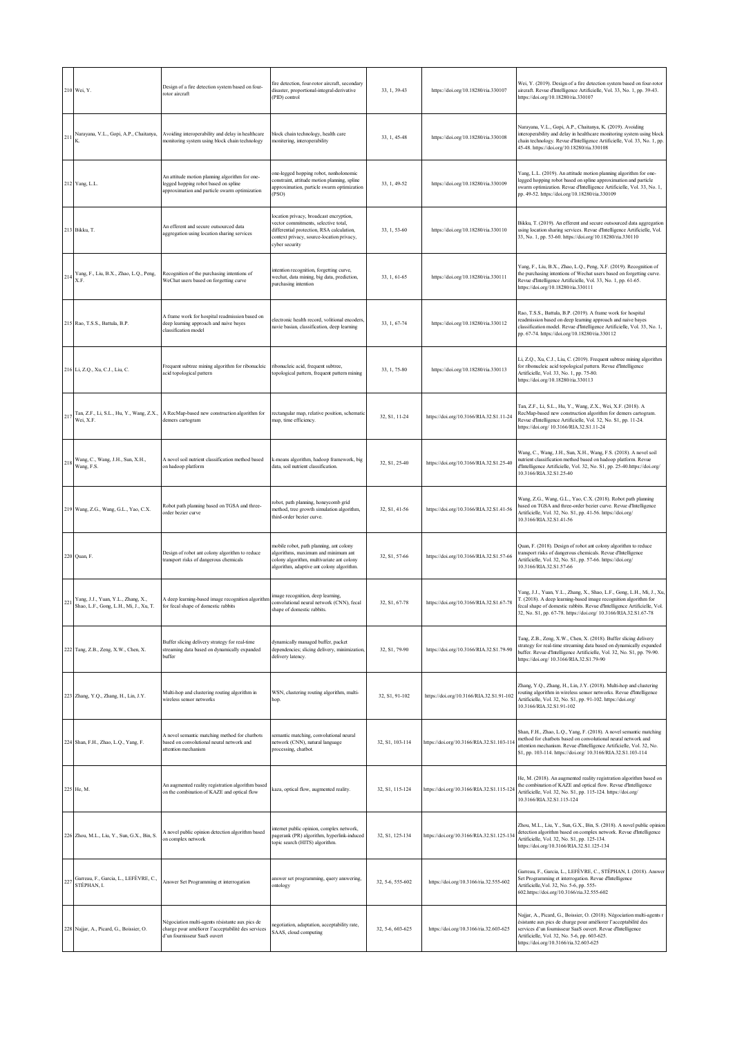|     | 210 Wei, Y.                                                                                       | Design of a fire detection system based on four-<br>rotor aircraft                                                                      | fire detection, four-rotor aircraft, secondary<br>disaster, proportional-integral-derivative<br>(PID) control                                                                               | 33, 1, 39-43     | https://doi.org/10.18280/ria.330107       | Wei, Y. (2019). Design of a fire detection system based on four-rotor<br>aircraft. Revue d'Intelligence Artificielle, Vol. 33, No. 1, pp. 39-43.<br>https://doi.org/10.18280/ria.330107                                                                                                             |
|-----|---------------------------------------------------------------------------------------------------|-----------------------------------------------------------------------------------------------------------------------------------------|---------------------------------------------------------------------------------------------------------------------------------------------------------------------------------------------|------------------|-------------------------------------------|-----------------------------------------------------------------------------------------------------------------------------------------------------------------------------------------------------------------------------------------------------------------------------------------------------|
|     | 211 Narayana, V.L., Gopi, A.P., Chaitanya,                                                        | Avoiding interoperability and delay in healthcare<br>monitoring system using block chain technology                                     | block chain technology, health care<br>monitering, interoperability                                                                                                                         | 33, 1, 45-48     | https://doi.org/10.18280/ria.330108       | Varayana, V.L., Gopi, A.P., Chaitanya, K. (2019). Avoiding<br>interoperability and delay in healthcare monitoring system using block<br>chain technology. Revue d'Intelligence Artificielle, Vol. 33, No. 1, pp.<br>45-48. https://doi.org/10.18280/ria.330108                                      |
|     | 212 Yang, L.L.                                                                                    | An attitude motion planning algorithm for one-<br>legged hopping robot based on spline<br>approximation and particle swarm optimization | one-legged hopping robot, nonholonomic<br>constraint, attitude motion planning, spline<br>approximation, particle swarm optimization<br>(PSO)                                               | 33, 1, 49-52     | https://doi.org/10.18280/ria.330109       | Yang, L.L. (2019). An attitude motion planning algorithm for one-<br>egged hopping robot based on spline approximation and particle<br>warm optimization. Revue d'Intelligence Artificielle, Vol. 33, No. 1,<br>pp. 49-52. https://doi.org/10.18280/ria.330109                                      |
|     | 213 Bikku, T.                                                                                     | An efferent and secure outsourced data<br>aggregation using location sharing services                                                   | location privacy, broadcast encryption,<br>vector commitments, selective total,<br>differential protection, RSA calculation,<br>context privacy, source-location privacy,<br>cyber security | 33, 1, 53-60     | https://doi.org/10.18280/ria.330110       | Bikku, T. (2019). An efferent and secure outsourced data aggregation<br>using location sharing services. Revue d'Intelligence Artificielle, Vol.<br>33, No. 1, pp. 53-60. https://doi.org/10.18280/ria.330110                                                                                       |
|     | $214\begin{array}{l} \text{Yang, F., Liu, B.X., Zhao, L.Q., Peng,} \\ \text{X.F.} \end{array}$    | Recognition of the purchasing intentions of<br>WeChat users based on forgetting curve                                                   | intention recognition, forgetting curve,<br>vechat, data mining, big data, prediction,<br>purchasing intention                                                                              | 33, 1, 61-65     | https://doi.org/10.18280/ria.330111       | Yang, F., Liu, B.X., Zhao, L.Q., Peng, X.F. (2019). Recognition of<br>he purchasing intentions of Wechat users based on forgetting curve.<br>Revue d'Intelligence Artificielle, Vol. 33, No. 1, pp. 61-65.<br>https://doi.org/10.18280/ria.330111                                                   |
|     | 215 Rao, T.S.S., Battula, B.P.                                                                    | A frame work for hospital readmission based on<br>deep learning approach and naive bayes<br>classification model                        | electronic health record, volitional encoders,<br>navie basian, classification, deep learning                                                                                               | 33, 1, 67-74     | https://doi.org/10.18280/ria.330112       | Rao, T.S.S., Battula, B.P. (2019). A frame work for hospital<br>eadmission based on deep learning approach and naive bayes<br>classification model. Revue d'Intelligence Artificielle, Vol. 33, No. 1,<br>pp. 67-74. https://doi.org/10.18280/ria.330112                                            |
|     | 216 Li, Z.Q., Xu, C.J., Liu, C.                                                                   | Frequent subtree mining algorithm for ribonucleic<br>acid topological pattern                                                           | ribonucleic acid, frequent subtree,<br>topological pattern, frequent pattern mining                                                                                                         | 33, 1, 75-80     | https://doi.org/10.18280/ria.330113       | Li, Z.Q., Xu, C.J., Liu, C. (2019). Frequent subtree mining algorithm<br>for ribonucleic acid topological pattern. Revue d'Intelligence<br>Artificielle, Vol. 33, No. 1, pp. 75-80.<br>https://doi.org/10.18280/ria.330113                                                                          |
|     | 217 Tan, Z.F., Li, S.L., Hu, Y., Wang, Z.X., Wei, X.F.                                            | A RecMap-based new construction algorithm for<br>demers cartogram                                                                       | rectangular map, relative position, schematic<br>map, time efficiency.                                                                                                                      | 32, S1, 11-24    | https://doi.org/10.3166/RIA.32.S1.11-24   | lan, Z.F., Li, S.L., Hu, Y., Wang, Z.X., Wei, X.F. (2018). A<br>RecMap-based new construction algorithm for demers cartogram.<br>Revue d'Intelligence Artificielle, Vol. 32, No. S1, pp. 11-24.<br>https://doi.org/ 10.3166/RIA.32.S1.11-24                                                         |
|     | $\begin{array}{c} \mbox{Wang, C., Wang, J.H., Sun, X.H.,}\\ \mbox{Wang, F.S.} \end{array}$        | A novel soil nutrient classification method based<br>on hadoop platform                                                                 | c-means algorithm, hadoop framework, big<br>data, soil nutrient classification.                                                                                                             | 32, S1, 25-40    | https://doi.org/10.3166/RIA.32.S1.25-40   | Wang, C., Wang, J.H., Sun, X.H., Wang, F.S. (2018). A novel soil<br>nutrient classification method based on hadoop platform. Revue<br>d'Intelligence Artificielle, Vol. 32, No. S1, pp. 25-40.https://doi.org/<br>10.3166/RIA.32.S1.25-40                                                           |
|     | 219 Wang, Z.G., Wang, G.L., Yao, C.X.                                                             | Robot path planning based on TGSA and three-<br>order bezier curve                                                                      | robot, path planning, honeycomb grid<br>nethod, tree growth simulation algorithm,<br>third-order bezier curve.                                                                              | 32, S1, 41-56    | https://doi.org/10.3166/RIA.32.S1.41-56   | Wang, Z.G., Wang, G.L., Yao, C.X. (2018). Robot path planning<br>based on TGSA and three-order bezier curve. Revue d'Intelligence<br>Artificielle, Vol. 32, No. S1, pp. 41-56. https://doi.org/<br>10.3166/RIA.32.S1.41-56                                                                          |
|     | 220 Quan, F.                                                                                      | Design of robot ant colony algorithm to reduce<br>transport risks of dangerous chemicals                                                | mobile robot, path planning, ant colony<br>algorithms, maximum and minimum ant<br>colony algorithm, multivariate ant colony<br>algorithm, adaptive ant colony algorithm.                    | 32, S1, 57-66    | https://doi.org/10.3166/RIA.32.S1.57-66   | Quan, F. (2018). Design of robot ant colony algorithm to reduce<br>transport risks of dangerous chemicals. Revue d'Intelligence<br>Artificielle, Vol. 32, No. S1, pp. 57-66. https://doi.org/<br>10.3166/RIA.32.S1.57-66                                                                            |
| 221 | Yang, J.J., Yuan, Y.L., Zhang, X.,<br>Shao, L.F., Gong, L.H., Mi, J., Xu, T.                      | A deep learning-based image recognition algorithn<br>for fecal shape of domestic rabbits                                                | image recognition, deep learning,<br>convolutional neural network (CNN), fecal<br>shape of domestic rabbits.                                                                                | 32, S1, 67-78    | https://doi.org/10.3166/RIA.32.S1.67-78   | Yang, J.J., Yuan, Y.L., Zhang, X., Shao, L.F., Gong, L.H., Mi, J., Xu,<br>1. (2018). A deep learning-based image recognition algorithm for<br>ecal shape of domestic rabbits. Revue d'Intelligence Artificielle, Vol.<br>32, No. S1, pp. 67-78. https://doi.org/ 10.3166/RIA.32.S1.67-78            |
|     | 222 Tang, Z.B., Zeng, X.W., Chen, X.                                                              | Buffer slicing delivery strategy for real-time<br>streaming data based on dynamically expanded<br>buffer                                | dynamically managed buffer, packet<br>dependencies; slicing delivery, minimization,<br>delivery latency.                                                                                    | 32, S1, 79-90    | https://doi.org/10.3166/RIA.32.S1.79-90   | Tang, Z.B., Zeng, X.W., Chen, X. (2018). Buffer slicing delivery<br>strategy for real-time streaming data based on dynamically expanded<br>buffer. Revue d'Intelligence Artificielle, Vol. 32, No. S1, pp. 79-90.<br>https://doi.org/ 10.3166/RIA.32.S1.79-90                                       |
|     | 223 Zhang, Y.Q., Zhang, H., Lin, J.Y.                                                             | Multi-hop and clustering routing algorithm in<br>wireless sensor networks                                                               | WSN, clustering routing algorithm, multi-<br>hop.                                                                                                                                           | 32, S1, 91-102   | https://doi.org/10.3166/RIA.32.S1.91-102  | Zhang, Y.Q., Zhang, H., Lin, J.Y. (2018). Multi-hop and clustering<br>routing algorithm in wireless sensor networks. Revue d'Intelligence<br>Artificielle, Vol. 32, No. S1, pp. 91-102. https://doi.org/<br>10.3166/RIA.32.S1.91-102                                                                |
|     | 224 Shan, F.H., Zhao, L.Q., Yang, F.                                                              | A novel semantic matching method for chatbots<br>based on convolutional neural network and<br>attention mechanism                       | semantic matching, convolutional neural<br>network (CNN), natural language<br>processing, chatbot.                                                                                          | 32, S1, 103-114  | https://doi.org/10.3166/RIA.32.S1.103-114 | Shan, F.H., Zhao, L.Q., Yang, F. (2018). A novel semantic matching<br>method for chatbots based on convolutional neural network and<br>attention mechanism. Revue d'Intelligence Artificielle, Vol. 32, No.<br>S1, pp. 103-114. https://doi.org/ 10.3166/RIA.32.S1.103-114                          |
|     | 225 He, M.                                                                                        | An augmented reality registration algorithm based<br>on the combination of KAZE and optical flow                                        | kaza, optical flow, augmented reality.                                                                                                                                                      | 32, S1, 115-124  | https://doi.org/10.3166/RIA.32.S1.115-124 | He, M. (2018). An augmented reality registration algorithm based on<br>the combination of KAZE and optical flow. Revue d'Intelligence<br>Artificielle, Vol. 32, No. S1, pp. 115-124. https://doi.org/<br>10.3166/RIA.32.S1.115-124                                                                  |
|     | 226 Zhou, M.L., Liu, Y., Sun, G.X., Bin, S.                                                       | A novel public opinion detection algorithm based<br>on complex network                                                                  | internet public opinion, complex network,<br>pagerank (PR) algorithm, hyperlink-induced<br>opic search (HITS) algorithm.                                                                    | 32, S1, 125-134  | https://doi.org/10.3166/RIA.32.S1.125-134 | Zhou, M.L., Liu, Y., Sun, G.X., Bin, S. (2018). A novel public opinion<br>detection algorithm based on complex network. Revue d'Intelligence<br>Artificielle, Vol. 32, No. S1, pp. 125-134.<br>https://doi.org/10.3166/RIA.32.S1.125-134                                                            |
|     | $227\begin{array}{l} {\rm Garreau, F., Garcia, L., LEFÈVRE, C.,}\\ {\rm STÉPHAN, I.} \end{array}$ | Answer Set Programming et interrogation                                                                                                 | answer set programming, query answering,<br>ontology                                                                                                                                        | 32, 5-6, 555-602 | https://doi.org/10.3166/ria.32.555-602    | Garreau, F., Garcia, L., LEFÈVRE, C., STÉPHAN, I. (2018). Answer<br>Set Programming et interrogation. Revue d'Intelligence<br>Artificielle, Vol. 32, No. 5-6, pp. 555-<br>602.https://doi.org/10.3166/ria.32.555-602                                                                                |
|     | 228 Najjar, A., Picard, G., Boissier, O.                                                          | Négociation multi-agents résistante aux pics de<br>charge pour améliorer l'acceptabilité des services<br>d'un fournisseur SaaS ouvert   | regotiation, adaptation, acceptability rate,<br>SAAS, cloud computing                                                                                                                       | 32, 5-6, 603-625 | https://doi.org/10.3166/ria.32.603-625    | Najjar, A., Picard, G., Boissier, O. (2018). Négociation multi-agents r<br>ésistante aux pics de charge pour améliorer l'acceptabilité des<br>services d'un fournisseur SaaS ouvert. Revue d'Intelligence<br>Artificielle, Vol. 32, No. 5-6, pp. 603-625.<br>https://doi.org/10.3166/ria.32.603-625 |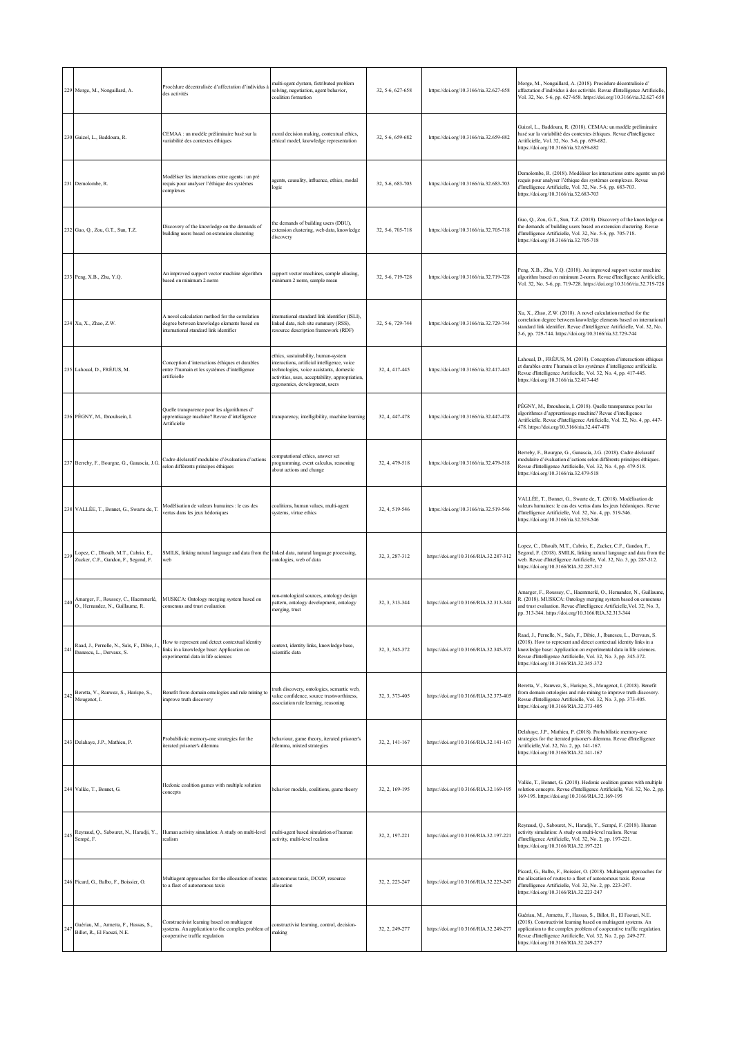|     | 229 Morge, M., Nongaillard, A.                                                | Procédure décentralisée d'affectation d'individus à<br>des activités                                                                   | multi-sgent dystem, fistributed problem<br>solving, negotiation, agent behavior,<br>coalition formation                                                                                                              | 32, 5-6, 627-658 | https://doi.org/10.3166/ria.32.627-658 | Morge, M., Nongaillard, A. (2018). Procédure décentralisée d'<br>affectation d'individus à des activités. Revue d'Intelligence Artificielle,<br>Vol. 32, No. 5-6, pp. 627-658. https://doi.org/10.3166/ria.32.627-658                                                                                                           |
|-----|-------------------------------------------------------------------------------|----------------------------------------------------------------------------------------------------------------------------------------|----------------------------------------------------------------------------------------------------------------------------------------------------------------------------------------------------------------------|------------------|----------------------------------------|---------------------------------------------------------------------------------------------------------------------------------------------------------------------------------------------------------------------------------------------------------------------------------------------------------------------------------|
|     | 230 Guizol, L., Baddoura, R.                                                  | CEMAA : un modèle préliminaire basé sur la<br>variabilité des contextes éthiques                                                       | noral decision making, contextual ethics,<br>ethical model, knowledge representation                                                                                                                                 | 32, 5-6, 659-682 | https://doi.org/10.3166/ria.32.659-682 | Guizol, L., Baddoura, R. (2018). CEMAA: un modèle préliminaire<br>basé sur la variabilité des contextes éthiques. Revue d'Intelligence<br>Artificielle, Vol. 32, No. 5-6, pp. 659-682.<br>https://doi.org/10.3166/ria.32.659-682                                                                                                |
|     | 231 Demolombe, R.                                                             | Modéliser les interactions entre agents : un pré<br>equis pour analyser l'éthique des systèmes<br>complexes                            | agents, causality, influence, ethics, modal<br>logic                                                                                                                                                                 | 32, 5-6, 683-703 | https://doi.org/10.3166/ria.32.683-703 | Demolombe, R. (2018). Modéliser les interactions entre agents: un pré<br>requis pour analyser l'éthique des systèmes complexes. Revue<br>d'Intelligence Artificielle, Vol. 32, No. 5-6, pp. 683-703.<br>https://doi.org/10.3166/ria.32.683-703                                                                                  |
|     | 232 Guo, Q., Zou, G.T., Sun, T.Z.                                             | Discovery of the knowledge on the demands of<br>building users based on extension clustering                                           | the demands of building users (DBU),<br>extension clustering, web data, knowledge<br>discovery                                                                                                                       | 32, 5-6, 705-718 | https://doi.org/10.3166/ria.32.705-718 | Guo, Q., Zou, G.T., Sun, T.Z. (2018). Discovery of the knowledge on<br>the demands of building users based on extension clustering. Revue<br>d'Intelligence Artificielle, Vol. 32, No. 5-6, pp. 705-718.<br>https://doi.org/10.3166/ria.32.705-718                                                                              |
|     | 233 Peng, X.B., Zhu, Y.Q.                                                     | An improved support vector machine algorithm<br>vased on minimum 2-norm                                                                | apport vector machines, sample aliasing,<br>ninimum 2 norm, sample mean                                                                                                                                              | 32, 5-6, 719-728 | https://doi.org/10.3166/ria.32.719-728 | Peng, X.B., Zhu, Y.Q. (2018). An improved support vector machine<br>algorithm based on minimum 2-norm. Revue d'Intelligence Artificielle<br>Vol. 32, No. 5-6, pp. 719-728. https://doi.org/10.3166/ria.32.719-728                                                                                                               |
|     | 234 Xu, X., Zhao, Z.W.                                                        | A novel calculation method for the correlation<br>degree between knowledge elements based on<br>international standard link identifier | international standard link identifier (ISLI),<br>linked data, rich site summary (RSS),<br>resource description framework (RDF)                                                                                      | 32, 5-6, 729-744 | https://doi.org/10.3166/ria.32.729-744 | Xu, X., Zhao, Z.W. (2018). A novel calculation method for the<br>correlation degree between knowledge elements based on international<br>standard link identifier. Revue d'Intelligence Artificielle, Vol. 32, No.<br>5-6, pp. 729-744. https://doi.org/10.3166/ria.32.729-744                                                  |
|     | 235 Lahoual, D., FRÉJUS, M.                                                   | Conception d'interactions éthiques et durables<br>entre l'humain et les systèmes d'intelligence<br>artificielle                        | ethics, sustainability, human-system<br>interactions, artificial intelligence, voice<br>echnologies, voice assistants, domestic<br>activities, uses, acceptability, appropriation,<br>ergonomics, development, users | 32, 4, 417-445   | https://doi.org/10.3166/ria.32.417-445 | Lahoual, D., FRÉJUS, M. (2018). Conception d'interactions éthiques<br>et durables entre l'humain et les systèmes d'intelligence artificielle.<br>Revue d'Intelligence Artificielle, Vol. 32, No. 4, pp. 417-445.<br>https://doi.org/10.3166/ria.32.417-445                                                                      |
|     | 236 PÉGNY, M., Ibnouhsein, I.                                                 | Quelle transparence pour les algorithmes d'<br>apprentissage machine? Revue d'intelligence<br>Artificielle                             | transparency, intelligibility, machine learning                                                                                                                                                                      | 32, 4, 447-478   | https://doi.org/10.3166/ria.32.447-478 | PÉGNY, M., Ibnouhsein, I. (2018). Quelle transparence pour les<br>algorithmes d'apprentissage machine? Revue d'intelligence<br>Artificielle. Revue d'Intelligence Artificielle, Vol. 32, No. 4, pp. 447-<br>478. https://doi.org/10.3166/ria.32.447-478                                                                         |
|     | 237 Berreby, F., Bourgne, G., Ganascia, J.G.                                  | Cadre déclaratif modulaire d'évaluation d'actions<br>selon différents principes éthiques                                               | computational ethics, answer set<br>programming, event calculus, reasoning<br>about actions and change                                                                                                               | 32, 4, 479-518   | https://doi.org/10.3166/ria.32.479-518 | Berreby, F., Bourgne, G., Ganascia, J.G. (2018). Cadre déclaratif<br>modulaire d'évaluation d'actions selon différents principes éthiques.<br>Revue d'Intelligence Artificielle, Vol. 32, No. 4, pp. 479-518.<br>https://doi.org/10.3166/ria.32.479-518                                                                         |
|     | 238 VALLÉE, T., Bonnet, G., Swarte de, T.                                     | Modélisation de valeurs humaines : le cas des<br>vertus dans les jeux hédoniques                                                       | coalitions, human values, multi-agent<br>systems, virtue ethics                                                                                                                                                      | 32, 4, 519-546   | https://doi.org/10.3166/ria.32.519-546 | VALLÉE, T., Bonnet, G., Swarte de, T. (2018). Modélisation de<br>valeurs humaines: le cas des vertus dans les jeux hédoniques. Revue<br>d'Intelligence Artificielle, Vol. 32, No. 4, pp. 519-546.<br>https://doi.org/10.3166/ria.32.519-546                                                                                     |
|     | 239 Lopez, C., Dhouib, M.T., Cabrio, E., Zucker, C.F., Gandon, F., Segond, F. | SMILK, linking natural language and data from the linked data, natural language processing,<br>web                                     | ontologies, web of data                                                                                                                                                                                              | 32, 3, 287-312   | https://doi.org/10.3166/RIA.32.287-312 | Lopez, C., Dhouib, M.T., Cabrio, E., Zucker, C.F., Gandon, F.,<br>Segond, F. (2018). SMILK, linking natural language and data from the<br>web. Revue d'Intelligence Artificielle, Vol. 32, No. 3, pp. 287-312.<br>https://doi.org/10.3166/RIA.32.287-312                                                                        |
| 240 | Amarger, F., Roussey, C., Haemmerlé,<br>O., Hernandez, N., Guillaume, R.      | MUSKCA: Ontology merging system based on<br>consensus and trust evaluation                                                             | non-ontological sources, ontology design<br>pattern, ontology development, ontology<br>merging, trust                                                                                                                | 32, 3, 313-344   | https://doi.org/10.3166/RIA.32.313-344 | Amarger, F., Roussey, C., Haemmerlé, O., Hernandez, N., Guillaume,<br>R. (2018). MUSKCA: Ontology merging system based on consensus<br>and trust evaluation. Revue d'Intelligence Artificielle, Vol. 32, No. 3,<br>pp. 313-344. https://doi.org/10.3166/RIA.32.313-344                                                          |
| 241 | Raad, J., Pernelle, N., Saïs, F., Dibie, J.<br>Ibanescu, L., Dervaux, S.      | low to represent and detect contextual identity<br>links in a knowledge base: Application on<br>experimental data in life sciences     | context, identity links, knowledge base,<br>cientific data                                                                                                                                                           | 32, 3, 345-372   | https://doi.org/10.3166/RIA.32.345-372 | Raad, J., Pernelle, N., Saïs, F., Dibie, J., Ibanescu, L., Dervaux, S.<br>(2018). How to represent and detect contextual identity links in a<br>knowledge base: Application on experimental data in life sciences.<br>Revue d'Intelligence Artificielle, Vol. 32, No. 3, pp. 345-372.<br>https://doi.org/10.3166/RIA.32.345-372 |
|     | 242 Beretta, V., Ranwez, S., Harispe, S.,<br>Mougenot, I.                     | Benefit from domain ontologies and rule mining to<br>improve truth discovery                                                           | truth discovery, ontologies, semantic web,<br>value confidence, source trustworthiness,<br>association rule learning, reasoning                                                                                      | 32, 3, 373-405   | https://doi.org/10.3166/RIA.32.373-405 | Beretta, V., Ranwez, S., Harispe, S., Mougenot, I. (2018). Benefit<br>from domain ontologies and rule mining to improve truth discovery.<br>Revue d'Intelligence Artificielle, Vol. 32, No. 3, pp. 373-405.<br>https://doi.org/10.3166/RIA.32.373-405                                                                           |
|     | 243 Delahaye, J.P., Mathieu, P.                                               | Probabilistic memory-one strategies for the<br>terated prisoner's dilemma                                                              | behaviour, game theory, iterated prisoner's<br>dilemma, mixted strategies                                                                                                                                            | 32, 2, 141-167   | https://doi.org/10.3166/RIA.32.141-167 | Delahaye, J.P., Mathieu, P. (2018). Probabilistic memory-one<br>strategies for the iterated prisoner's dilemma. Revue d'Intelligence<br>Artificielle, Vol. 32, No. 2, pp. 141-167.<br>https://doi.org/10.3166/RIA.32.141-167                                                                                                    |
|     | 244 Vallée, T., Bonnet, G.                                                    | Hedonic coalition games with multiple solution<br>concepts                                                                             | behavior models, coalitions, game theory                                                                                                                                                                             | 32, 2, 169-195   | https://doi.org/10.3166/RIA.32.169-195 | Vallée, T., Bonnet, G. (2018). Hedonic coalition games with multiple<br>solution concepts. Revue d'Intelligence Artificielle, Vol. 32, No. 2, pp.<br>169-195. https://doi.org/10.3166/RIA.32.169-195                                                                                                                            |
|     | Reynaud, Q., Sabouret, N., Haradji, Y.,<br>245 $Sempé, F$ .                   | Human activity simulation: A study on multi-level<br>realism                                                                           | nulti-agent based simulation of human<br>activity, multi-level realism                                                                                                                                               | 32, 2, 197-221   | https://doi.org/10.3166/RIA.32.197-221 | Reynaud, Q., Sabouret, N., Haradji, Y., Sempé, F. (2018). Human<br>activity simulation: A study on multi-level realism. Revue<br>d'Intelligence Artificielle, Vol. 32, No. 2, pp. 197-221.<br>https://doi.org/10.3166/RIA.32.197-221                                                                                            |
|     | 246 Picard, G., Balbo, F., Boissier, O.                                       | Multiagent approaches for the allocation of routes<br>o a fleet of autonomous taxis                                                    | autonomous taxis, DCOP, resource<br>allocation                                                                                                                                                                       | 32, 2, 223-247   | https://doi.org/10.3166/RIA.32.223-247 | Picard, G., Balbo, F., Boissier, O. (2018). Multiagent approaches for<br>the allocation of routes to a fleet of autonomous taxis. Revue<br>d'Intelligence Artificielle, Vol. 32, No. 2, pp. 223-247.<br>https://doi.org/10.3166/RIA.32.223-247                                                                                  |
|     | 247 Guériau, M., Armetta, F., Hassas, S.,<br>Billot, R., El Faouzi, N.E.      | Constructivist learning based on multiagent<br>systems. An application to the complex problem of<br>cooperative traffic regulation     | constructivist learning, control, decision-<br>making                                                                                                                                                                | 32, 2, 249-277   | https://doi.org/10.3166/RIA.32.249-277 | Guériau, M., Armetta, F., Hassas, S., Billot, R., El Faouzi, N.E.<br>(2018). Constructivist learning based on multiagent systems. An<br>application to the complex problem of cooperative traffic regulation.<br>Revue d'Intelligence Artificielle, Vol. 32, No. 2, pp. 249-277.<br>https://doi.org/10.3166/RIA.32.249-277      |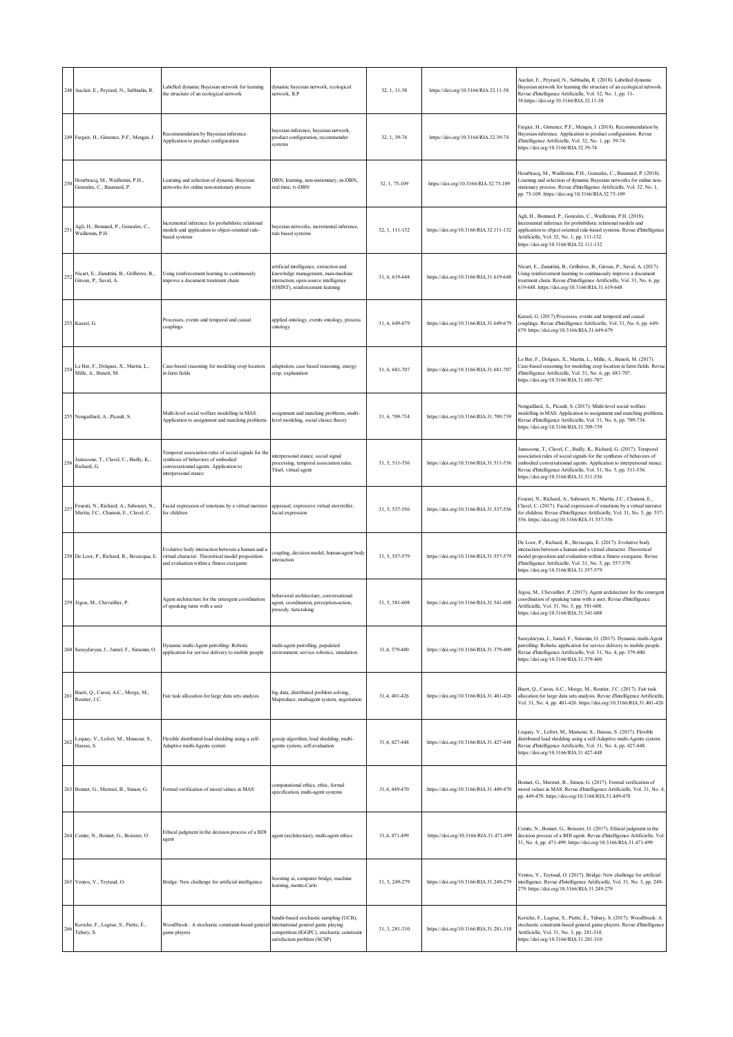|     | 248 Auclair, E., Peyrard, N., Sabbadin, R.                                       | abelled dynamic Bayesian network for learning.<br>the structure of an ecological network                                                                   | dynamic bayesian network, ecological<br>network, ILP                                                                                                   | 32, 1, 11-38   | https://doi.org/10.3166/RIA.32.11-38   | Auclair, E., Peyrard, N., Sabbadin, R. (2018). Labelled dynamic<br>Bayesian network for learning the structure of an ecological network.<br>Revue d'Intelligence Artificielle, Vol. 32, No. 1, pp. 11-<br>38.https://doi.org/10.3166/RIA.32.11-38                                                                                  |
|-----|----------------------------------------------------------------------------------|------------------------------------------------------------------------------------------------------------------------------------------------------------|--------------------------------------------------------------------------------------------------------------------------------------------------------|----------------|----------------------------------------|------------------------------------------------------------------------------------------------------------------------------------------------------------------------------------------------------------------------------------------------------------------------------------------------------------------------------------|
|     | 249 Fargier, H., Gimenez, P.F., Mengin, J.                                       | Recommendation by Bayesian inference.<br>Application to product configuration                                                                              | bayesian inference, bayesian network,<br>product configuration, recommender<br>systems                                                                 | 32, 1, 39-74   | https://doi.org/10.3166/RIA.32.39-74   | Fargier, H., Gimenez, P.F., Mengin, J. (2018). Recommendation by<br>Bayesian inference. Application to product configuration. Revue<br>d'Intelligence Artificielle, Vol. 32, No. 1, pp. 39-74.<br>https://doi.org/10.3166/RIA.32.39-74                                                                                             |
| 250 | Hourbracq, M., Wuillemin, P.H.,<br>Gonzales, C., Baumard, P.                     | earning and selection of dynamic Bayesian<br>retworks for online non-stationary process                                                                    | DBN, learning, non-stationnary, ns-DBN,<br>real time, tv-DBN                                                                                           | 32, 1, 75-109  | https://doi.org/10.3166/RIA.32.75-109  | Hourbracq, M., Wuillemin, P.H., Gonzales, C., Baumard, P. (2018).<br>carning and selection of dynamic Bayesian networks for online non-<br>stationary process. Revue d'Intelligence Artificielle, Vol. 32, No. 1,<br>pp. 75-109. https://doi.org/10.3166/RIA.32.75-109                                                             |
| 251 | Agli, H., Bonnard, P., Gonzales, C.,<br>Wuillemin, P.H.                          | ncremental inference for probabilistic relational<br>nodels and application to object-oriented rule-<br>ased systems                                       | payesian networks, incremental inference,<br>rule based systems                                                                                        | 32, 1, 111-132 | https://doi.org/10.3166/RIA.32.111-132 | Agli, H., Bonnard, P., Gonzales, C., Wuillemin, P.H. (2018).<br>Incremental inference for probabilistic relational models and<br>application to object-oriented rule-based systems. Revue d'Intelligence<br>Artificielle, Vol. 32, No. 1, pp. 111-132.<br>https://doi.org/10.3166/RIA.32.111-132                                   |
| 252 | Nicart, E., Zanuttini, B., Grilhères, B.,<br>Giroux, P., Saval, A.               | Using reinforcement learning to continuously<br>mprove a document treatment chain                                                                          | artificial intelligence, extraction and<br>knowledge management, man-machine<br>nteraction, open source intelligence<br>OSINT), reinforcement learning | 31, 6, 619-648 | https://doi.org/10.3166/RIA.31.619-648 | Nicart, E., Zanuttini, B., Grilhères, B., Giroux, P., Saval, A. (2017).<br>Using reinforcement learning to continuously improve a document<br>reatment chain. Revue d'Intelligence Artificielle, Vol. 31, No. 6, pp.<br>619-648. https://doi.org/10.3166/RIA.31.619-648                                                            |
|     | 253 Kassel, G.                                                                   | Processes, events and temporal and causal<br>couplings                                                                                                     | applied ontology, events ontology, process<br>ontology                                                                                                 | 31, 6, 649-679 | https://doi.org/10.3166/RIA.31.649-679 | Kassel, G. (2017). Processes, events and temporal and causal<br>couplings. Revue d'Intelligence Artificielle, Vol. 31, No. 6, pp. 649-<br>679. https://doi.org/10.3166/RIA.31.649-679                                                                                                                                              |
| 254 | Le Ber, F., Dolques, X., Martin, L.,<br>Mille, A., Benoît, M.                    | Case-based reasoning for modeling crop location<br>in farm fields                                                                                          | adaptation, case based reasoning, energy<br>crop, explanation                                                                                          | 31, 6, 681-707 | https://doi.org/10.3166/RIA.31.681-707 | Le Ber, F., Dolques, X., Martin, L., Mille, A., Benoît, M. (2017).<br>Case-based reasoning for modeling crop location in farm fields. Revue<br>d'Intelligence Artificielle, Vol. 31, No. 6, pp. 681-707.<br>https://doi.org/10.3166/RIA.31.681-707                                                                                 |
|     | 255 Nongaillard, A., Picault, S.                                                 | Multi-level social welfare modelling in MAS :<br>Application to assignment and matching problems                                                           | issignment and matching problems, multi-<br>evel modeling, social choice theory                                                                        | 31, 6, 709-734 | https://doi.org/10.3166/RIA.31.709-739 | Nongaillard, A., Picault, S. (2017). Multi-level social welfare<br>modelling in MAS: Application to assignment and matching problems.<br>Revue d'Intelligence Artificielle, Vol. 31, No. 6, pp. 709-734.<br>https://doi.org/10.3166/RIA.31.709-739                                                                                 |
| 256 | Janssoone, T., Clavel, C., Bailly, K.,<br>Richard, G.                            | lemporal association rules of social signals for the<br>synthesis of behaviors of embodied<br>onversationnal agents. Application to<br>nterpersonal stance | interpersonal stance, social signal<br>processing, temporal association rules,<br>Titarl, virtual agent                                                | 31, 5, 511-536 | https://doi.org/10.3166/RIA.31.511-536 | Janssoone, T., Clavel, C., Bailly, K., Richard, G. (2017). Temporal<br>association rules of social signals for the synthesis of behaviors of<br>embodied conversationnal agents. Application to interpersonal stance.<br>Revue d'Intelligence Artificielle, Vol. 31, No. 5, pp. 511-536.<br>https://doi.org/10.3166/RIA.31.511-536 |
| 257 | Fourati, N., Richard, A., Sabouret, N.,<br>Martin, J.C., Chanoni, E., Clavel, C. | Facial expression of emotions by a virtual narrator<br>for children                                                                                        | appraisal, expressive virtual storyteller,<br>facial expression                                                                                        | 31, 5, 537-556 | https://doi.org/10.3166/RIA.31.537-556 | Fourati, N., Richard, A., Sabouret, N., Martin, J.C., Chanoni, E.,<br>Clavel, C. (2017). Facial expression of emotions by a virtual narrator<br>for children. Revue d'Intelligence Artificielle, Vol. 31, No. 5, pp. 537-<br>556. https://doi.org/10.3166/RIA.31.537-556                                                           |
|     | 258 De Loor, P., Richard, R., Bevacqua, E.                                       | Evolutive body interaction between a human and a<br>virtual character. Theoretical model proposition<br>and evaluation within a fitness exergame           | oupling, decision model, human-agent body<br>interaction                                                                                               | 31, 5, 557-579 | https://doi.org/10.3166/RIA.31.557-579 | De Loor, P., Richard, R., Bevacqua, E. (2017). Evolutive body<br>nteraction between a human and a virtual character. Theoretical<br>nodel proposition and evaluation within a fitness exergame. Revue<br>d'Intelligence Artificielle, Vol. 31, No. 5, pp. 557-579.<br>https://doi.org/10.3166/RIA.31.557-579                       |
|     | 259 Jégou, M., Chevaillier, P.                                                   | Agent architecture for the emergent coordination<br>of speaking turns with a user                                                                          | ehavioral architecture, conversational<br>agent, coordination, perception-action,<br>prosody, turn-taking                                              | 31, 5, 581-608 | https://doi.org/10.3166/RIA.31.541-608 | Jégou, M., Chevaillier, P. (2017). Agent architecture for the emergent<br>coordination of speaking turns with a user, Revue d'Intelligence<br>Artificielle, Vol. 31, No. 5, pp. 581-608.<br>https://doi.org/10.3166/RIA.31.541-608                                                                                                 |
|     | 260 Saraydaryan, J., Jumel, F., Simonin, O.                                      | Dynamic multi-Agent patrolling: Robotic<br>application for service delivery to mobile people                                                               | nulti-agent patrolling, populated<br>environment, service robotics, simulation                                                                         | 31,4, 379-400  | https://doi.org/10.3166/RIA.31.379-400 | Saraydaryan, J., Jumel, F., Simonin, O. (2017). Dynamic multi-Agent<br>patrolling: Robotic application for service delivery to mobile people.<br>Revue d'Intelligence Artificielle, Vol. 31, No. 4, pp. 379-400.<br>https://doi.org/10.3166/RIA.31.379-400                                                                         |
| 261 | Baert, Q., Caron, A.C., Morge, M.,<br>Routier, J.C.                              | Fair task allocation for large data sets analysis                                                                                                          | big data, distributed problem solving,<br>Mapreduce, multiagent system, negotiation                                                                    | 31,4, 401-426  | https://doi.org/10.3166/RIA.31.401-426 | Baert, Q., Caron, A.C., Morge, M., Routier, J.C. (2017). Fair task<br>allocation for large data sets analysis. Revue d'Intelligence Artificielle,<br>Vol. 31, No. 4, pp. 401-426. https://doi.org/10.3166/RIA.31.401-426                                                                                                           |
| 262 | Lequay, V., Lefort, M., Mansour, S.,<br>Hassas, S.                               | Flexible distributed load shedding using a self-<br>Adaptive multi-Agents system                                                                           | gossip algorithm, load shedding, multi-<br>agents system, self-evaluation                                                                              | 31,4, 427-448  | https://doi.org/10.3166/RIA.31.427-448 | Lequay, V., Lefort, M., Mansour, S., Hassas, S. (2017). Flexible<br>distributed load shedding using a self-Adaptive multi-Agents system.<br>Revue d'Intelligence Artificielle, Vol. 31, No. 4, pp. 427-448.<br>https://doi.org/10.3166/RIA.31.427-448                                                                              |
|     | 263 Bonnet, G., Mermet, B., Simon, G.                                            | Formal verification of moral values in MAS                                                                                                                 | omputational ethics, ethic, formal<br>pecification, multi-agent systems                                                                                | 31,4, 449-470  | https://doi.org/10.3166/RIA.31.449-470 | Bonnet, G., Mermet, B., Simon, G. (2017). Formal verification of<br>moral values in MAS. Revue d'Intelligence Artificielle, Vol. 31, No. 4,<br>pp. 449-470. https://doi.org/10.3166/RIA.31.449-470                                                                                                                                 |
|     | 264 Cointe, N., Bonnet, G., Boissier, O.                                         | Ethical judgment in the decision process of a BDI<br>igent                                                                                                 | agent (architecture), multi-agent ethics                                                                                                               | 31,4, 471-499  | https://doi.org/10.3166/RIA.31.471-499 | Cointe, N., Bonnet, G., Boissier, O. (2017). Ethical judgment in the<br>decision process of a BDI agent. Revue d'Intelligence Artificielle, Vol.<br>31, No. 4, pp. 471-499. https://doi.org/10.3166/RIA.31.471-499                                                                                                                 |
|     | 265 Ventos, V., Teytaud, O.                                                      | Bridge: New challenge for artificial intelligence                                                                                                          | oosting ai, computer bridge, machine<br>earning, monte-Carlo                                                                                           | 31, 3, 249-279 | https://doi.org/10.3166/RIA.31.249-279 | Ventos, V., Teytaud, O. (2017). Bridge: New challenge for artificial<br>intelligence. Revue d'Intelligence Artificielle, Vol. 31, No. 3, pp. 249-<br>279. https://doi.org/10.3166/RIA.31.249-279                                                                                                                                   |
| 266 | Koriche, F., Lagrue, S., Piette, É.,<br>Tabary, S.                               | WoodStook: A stochastic constraint-based general international general game playing<br>game players                                                        | pandit-based stochastic sampling (UCB),<br>competition (IGGPC), stochastic constraint<br>satisfaction problem (SCSP)                                   | 31, 3, 281-310 | https://doi.org/10.3166/RIA.31.281-310 | Koriche, F., Lagrue, S., Piette, É., Tabary, S. (2017). WoodStook: A<br>stochastic constraint-based general game players. Revue d'Intelligence<br>Artificielle, Vol. 31, No. 3, pp. 281-310.<br>https://doi.org/10.3166/RIA.31.281-310                                                                                             |